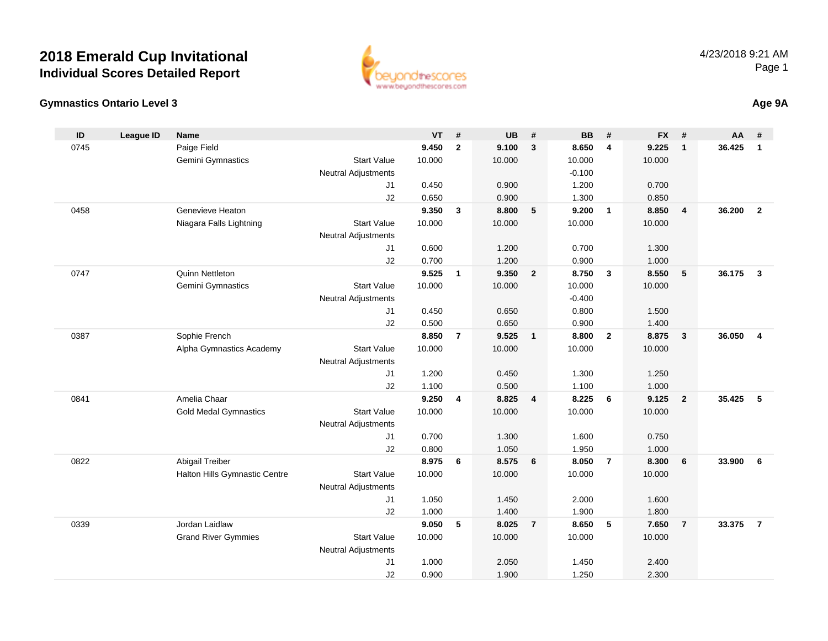

#### **Gymnastics Ontario Level 3Age 9A**

| ID   | <b>League ID</b> | <b>Name</b>                   |                            | <b>VT</b>      | #              | <b>UB</b>      | #              | <b>BB</b>      | #                       | <b>FX</b>      | #                       | AA     | #              |
|------|------------------|-------------------------------|----------------------------|----------------|----------------|----------------|----------------|----------------|-------------------------|----------------|-------------------------|--------|----------------|
| 0745 |                  | Paige Field                   |                            | 9.450          | $\mathbf{2}$   | 9.100          | $\mathbf{3}$   | 8.650          | $\overline{\mathbf{4}}$ | 9.225          | $\mathbf{1}$            | 36.425 | $\mathbf{1}$   |
|      |                  | Gemini Gymnastics             | <b>Start Value</b>         | 10.000         |                | 10.000         |                | 10.000         |                         | 10.000         |                         |        |                |
|      |                  |                               | <b>Neutral Adjustments</b> |                |                |                |                | $-0.100$       |                         |                |                         |        |                |
|      |                  |                               | J <sub>1</sub>             | 0.450          |                | 0.900          |                | 1.200          |                         | 0.700          |                         |        |                |
|      |                  |                               | J2                         | 0.650          |                | 0.900          |                | 1.300          |                         | 0.850          |                         |        |                |
| 0458 |                  | Genevieve Heaton              |                            | 9.350          | 3              | 8.800          | 5              | 9.200          | $\overline{1}$          | 8.850          | $\overline{4}$          | 36.200 | $\overline{2}$ |
|      |                  | Niagara Falls Lightning       | <b>Start Value</b>         | 10.000         |                | 10.000         |                | 10.000         |                         | 10.000         |                         |        |                |
|      |                  |                               | <b>Neutral Adjustments</b> |                |                |                |                |                |                         |                |                         |        |                |
|      |                  |                               | J1                         | 0.600          |                | 1.200          |                | 0.700          |                         | 1.300          |                         |        |                |
|      |                  |                               | J2                         | 0.700          |                | 1.200          |                | 0.900          |                         | 1.000          |                         |        |                |
| 0747 |                  | <b>Quinn Nettleton</b>        |                            | 9.525          | $\mathbf{1}$   | 9.350          | $\overline{2}$ | 8.750          | $\mathbf{3}$            | 8.550          | 5                       | 36.175 | $\mathbf{3}$   |
|      |                  | Gemini Gymnastics             | <b>Start Value</b>         | 10.000         |                | 10.000         |                | 10.000         |                         | 10.000         |                         |        |                |
|      |                  |                               | <b>Neutral Adjustments</b> |                |                |                |                | $-0.400$       |                         |                |                         |        |                |
|      |                  |                               | J <sub>1</sub>             | 0.450          |                | 0.650          |                | 0.800          |                         | 1.500          |                         |        |                |
|      |                  |                               | J2                         | 0.500          |                | 0.650          |                | 0.900          |                         | 1.400          |                         |        |                |
| 0387 |                  | Sophie French                 |                            | 8.850          | $\overline{7}$ | 9.525          | $\overline{1}$ | 8.800          | $\overline{2}$          | 8.875          | $\overline{\mathbf{3}}$ | 36.050 | $\overline{4}$ |
|      |                  | Alpha Gymnastics Academy      | <b>Start Value</b>         | 10.000         |                | 10.000         |                | 10.000         |                         | 10.000         |                         |        |                |
|      |                  |                               | <b>Neutral Adjustments</b> |                |                |                |                |                |                         |                |                         |        |                |
|      |                  |                               | J <sub>1</sub>             | 1.200          |                | 0.450          |                | 1.300          |                         | 1.250          |                         |        |                |
|      |                  |                               | J2                         | 1.100          |                | 0.500          |                | 1.100          |                         | 1.000          |                         |        |                |
| 0841 |                  | Amelia Chaar                  |                            | 9.250          | 4              | 8.825          | $\overline{4}$ | 8.225          | 6                       | 9.125          | $\overline{2}$          | 35.425 | -5             |
|      |                  | <b>Gold Medal Gymnastics</b>  | <b>Start Value</b>         | 10.000         |                | 10.000         |                | 10.000         |                         | 10.000         |                         |        |                |
|      |                  |                               | <b>Neutral Adjustments</b> |                |                |                |                |                |                         |                |                         |        |                |
|      |                  |                               | J1                         | 0.700          |                | 1.300          |                | 1.600          |                         | 0.750          |                         |        |                |
| 0822 |                  | Abigail Treiber               | J2                         | 0.800<br>8.975 | 6              | 1.050<br>8.575 | 6              | 1.950<br>8.050 | $\overline{7}$          | 1.000<br>8.300 | 6                       | 33.900 | 6              |
|      |                  | Halton Hills Gymnastic Centre | <b>Start Value</b>         | 10.000         |                | 10.000         |                | 10.000         |                         | 10.000         |                         |        |                |
|      |                  |                               | <b>Neutral Adjustments</b> |                |                |                |                |                |                         |                |                         |        |                |
|      |                  |                               | J <sub>1</sub>             | 1.050          |                | 1.450          |                | 2.000          |                         | 1.600          |                         |        |                |
|      |                  |                               | J2                         | 1.000          |                | 1.400          |                | 1.900          |                         | 1.800          |                         |        |                |
| 0339 |                  | Jordan Laidlaw                |                            | 9.050          | 5              | 8.025          | $\overline{7}$ | 8.650          | 5                       | 7.650          | $\overline{7}$          | 33.375 | $\overline{7}$ |
|      |                  | <b>Grand River Gymmies</b>    | <b>Start Value</b>         | 10.000         |                | 10.000         |                | 10.000         |                         | 10.000         |                         |        |                |
|      |                  |                               | <b>Neutral Adjustments</b> |                |                |                |                |                |                         |                |                         |        |                |
|      |                  |                               | J <sub>1</sub>             | 1.000          |                | 2.050          |                | 1.450          |                         | 2.400          |                         |        |                |
|      |                  |                               | J2                         | 0.900          |                | 1.900          |                | 1.250          |                         | 2.300          |                         |        |                |
|      |                  |                               |                            |                |                |                |                |                |                         |                |                         |        |                |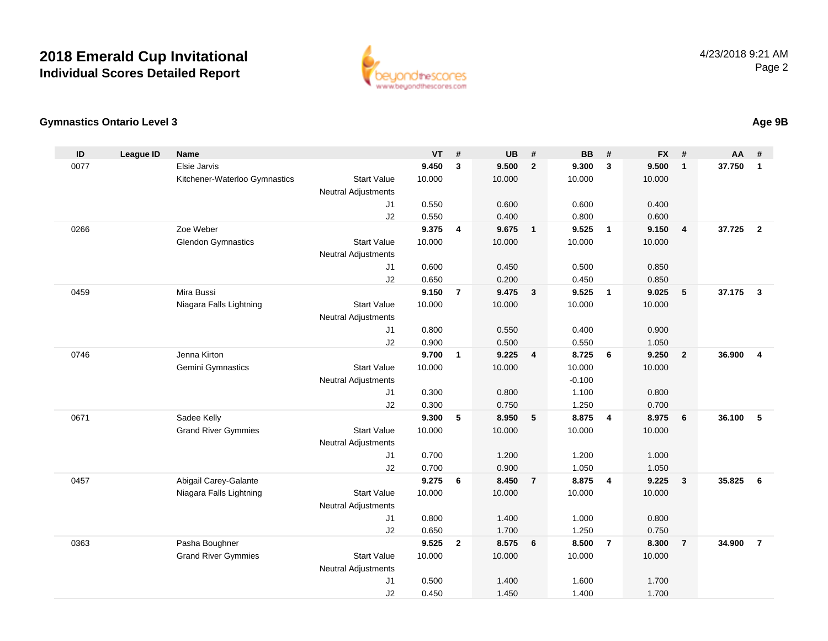

### **Gymnastics Ontario Level 3**

| ID   | <b>League ID</b> | <b>Name</b>                   |                            | <b>VT</b>      | #              | <b>UB</b>      | #                       | <b>BB</b>      | #              | <b>FX</b>      | #              | <b>AA</b> | #              |
|------|------------------|-------------------------------|----------------------------|----------------|----------------|----------------|-------------------------|----------------|----------------|----------------|----------------|-----------|----------------|
| 0077 |                  | Elsie Jarvis                  |                            | 9.450          | 3              | 9.500          | $\overline{2}$          | 9.300          | 3              | 9.500          | $\mathbf{1}$   | 37.750    | $\mathbf{1}$   |
|      |                  | Kitchener-Waterloo Gymnastics | <b>Start Value</b>         | 10.000         |                | 10.000         |                         | 10.000         |                | 10.000         |                |           |                |
|      |                  |                               | Neutral Adjustments        |                |                |                |                         |                |                |                |                |           |                |
|      |                  |                               | J <sub>1</sub>             | 0.550          |                | 0.600          |                         | 0.600          |                | 0.400          |                |           |                |
|      |                  |                               | J2                         | 0.550          |                | 0.400          |                         | 0.800          |                | 0.600          |                |           |                |
| 0266 |                  | Zoe Weber                     |                            | 9.375          | 4              | 9.675          | $\overline{1}$          | 9.525          | $\overline{1}$ | 9.150          | $\overline{4}$ | 37.725    | $\overline{2}$ |
|      |                  | <b>Glendon Gymnastics</b>     | <b>Start Value</b>         | 10.000         |                | 10.000         |                         | 10.000         |                | 10.000         |                |           |                |
|      |                  |                               | <b>Neutral Adjustments</b> |                |                |                |                         |                |                |                |                |           |                |
|      |                  |                               | J <sub>1</sub>             | 0.600          |                | 0.450          |                         | 0.500          |                | 0.850          |                |           |                |
|      |                  |                               | J2                         | 0.650          |                | 0.200          |                         | 0.450          |                | 0.850          |                |           |                |
| 0459 |                  | Mira Bussi                    |                            | 9.150          | $\overline{7}$ | 9.475          | $\overline{\mathbf{3}}$ | 9.525          | $\overline{1}$ | 9.025          | 5              | 37.175    | $\mathbf{3}$   |
|      |                  | Niagara Falls Lightning       | <b>Start Value</b>         | 10.000         |                | 10.000         |                         | 10.000         |                | 10.000         |                |           |                |
|      |                  |                               | <b>Neutral Adjustments</b> |                |                |                |                         |                |                |                |                |           |                |
|      |                  |                               | J <sub>1</sub>             | 0.800<br>0.900 |                | 0.550<br>0.500 |                         | 0.400<br>0.550 |                | 0.900          |                |           |                |
| 0746 |                  | Jenna Kirton                  | J2                         | 9.700          | $\mathbf{1}$   | 9.225          | $\overline{4}$          | 8.725          | - 6            | 1.050<br>9.250 | $\overline{2}$ | 36.900    | $\overline{4}$ |
|      |                  | Gemini Gymnastics             | <b>Start Value</b>         | 10.000         |                | 10.000         |                         | 10.000         |                | 10.000         |                |           |                |
|      |                  |                               | <b>Neutral Adjustments</b> |                |                |                |                         | $-0.100$       |                |                |                |           |                |
|      |                  |                               | J <sub>1</sub>             | 0.300          |                | 0.800          |                         | 1.100          |                | 0.800          |                |           |                |
|      |                  |                               | J2                         | 0.300          |                | 0.750          |                         | 1.250          |                | 0.700          |                |           |                |
| 0671 |                  | Sadee Kelly                   |                            | 9.300          | 5              | 8.950          | $-5$                    | 8.875          | $\overline{4}$ | 8.975          | 6              | 36.100    | 5              |
|      |                  | <b>Grand River Gymmies</b>    | <b>Start Value</b>         | 10.000         |                | 10.000         |                         | 10.000         |                | 10.000         |                |           |                |
|      |                  |                               | <b>Neutral Adjustments</b> |                |                |                |                         |                |                |                |                |           |                |
|      |                  |                               | J1                         | 0.700          |                | 1.200          |                         | 1.200          |                | 1.000          |                |           |                |
|      |                  |                               | J2                         | 0.700          |                | 0.900          |                         | 1.050          |                | 1.050          |                |           |                |
| 0457 |                  | Abigail Carey-Galante         |                            | 9.275          | 6              | 8.450          | $\overline{7}$          | 8.875          | $\overline{4}$ | 9.225          | $\mathbf{3}$   | 35.825    | 6              |
|      |                  | Niagara Falls Lightning       | <b>Start Value</b>         | 10.000         |                | 10.000         |                         | 10.000         |                | 10.000         |                |           |                |
|      |                  |                               | <b>Neutral Adjustments</b> |                |                |                |                         |                |                |                |                |           |                |
|      |                  |                               | J1                         | 0.800          |                | 1.400          |                         | 1.000          |                | 0.800          |                |           |                |
|      |                  |                               | J2                         | 0.650          |                | 1.700          |                         | 1.250          |                | 0.750          |                |           |                |
| 0363 |                  | Pasha Boughner                |                            | 9.525          | $\overline{2}$ | 8.575          | 6                       | 8.500          | $\overline{7}$ | 8.300          | $\overline{7}$ | 34.900    | $\overline{7}$ |
|      |                  | <b>Grand River Gymmies</b>    | <b>Start Value</b>         | 10.000         |                | 10.000         |                         | 10.000         |                | 10.000         |                |           |                |
|      |                  |                               | Neutral Adjustments        |                |                |                |                         |                |                |                |                |           |                |
|      |                  |                               | J1                         | 0.500          |                | 1.400          |                         | 1.600          |                | 1.700          |                |           |                |
|      |                  |                               | J2                         | 0.450          |                | 1.450          |                         | 1.400          |                | 1.700          |                |           |                |

### **Age 9B**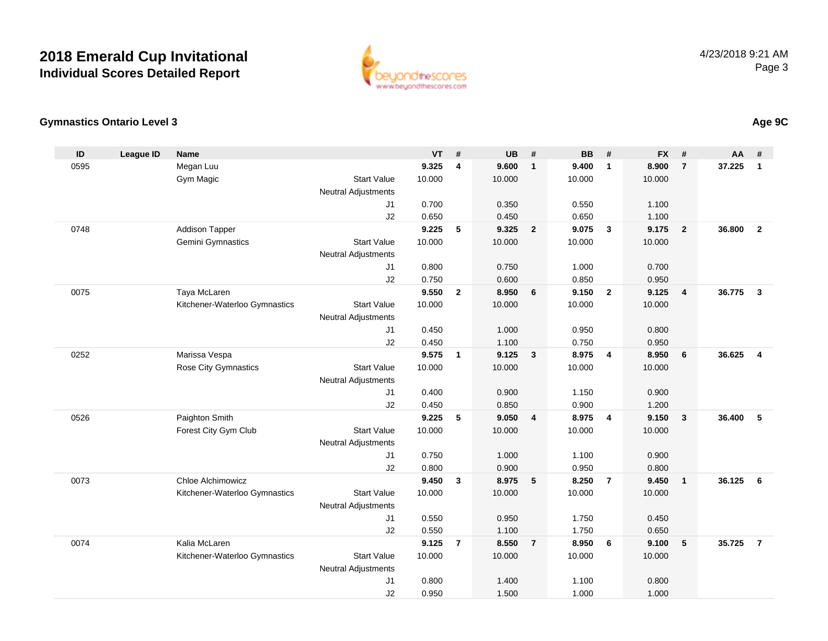

### **Gymnastics Ontario Level 3**

| ID   | <b>League ID</b> | <b>Name</b>                   |                            | <b>VT</b>      | #              | <b>UB</b>      | #                       | <b>BB</b>      | #                       | <b>FX</b>      | #              | <b>AA</b> | #              |
|------|------------------|-------------------------------|----------------------------|----------------|----------------|----------------|-------------------------|----------------|-------------------------|----------------|----------------|-----------|----------------|
| 0595 |                  | Megan Luu                     |                            | 9.325          | 4              | 9.600          | $\overline{1}$          | 9.400          | $\overline{1}$          | 8.900          | $\overline{7}$ | 37.225    | $\mathbf{1}$   |
|      |                  | Gym Magic                     | <b>Start Value</b>         | 10.000         |                | 10.000         |                         | 10.000         |                         | 10.000         |                |           |                |
|      |                  |                               | <b>Neutral Adjustments</b> |                |                |                |                         |                |                         |                |                |           |                |
|      |                  |                               | J <sub>1</sub>             | 0.700          |                | 0.350          |                         | 0.550          |                         | 1.100          |                |           |                |
|      |                  |                               | J2                         | 0.650          |                | 0.450          |                         | 0.650          |                         | 1.100          |                |           |                |
| 0748 |                  | <b>Addison Tapper</b>         |                            | 9.225          | 5              | 9.325          | $\overline{\mathbf{2}}$ | 9.075          | $\mathbf{3}$            | 9.175          | $\overline{2}$ | 36.800    | $\overline{2}$ |
|      |                  | Gemini Gymnastics             | <b>Start Value</b>         | 10.000         |                | 10.000         |                         | 10.000         |                         | 10.000         |                |           |                |
|      |                  |                               | Neutral Adjustments        |                |                |                |                         |                |                         |                |                |           |                |
|      |                  |                               | J1                         | 0.800          |                | 0.750          |                         | 1.000          |                         | 0.700          |                |           |                |
|      |                  |                               | J2                         | 0.750          |                | 0.600          |                         | 0.850          |                         | 0.950          |                |           |                |
| 0075 |                  | Taya McLaren                  |                            | 9.550          | $\overline{2}$ | 8.950          | 6                       | 9.150          | $\overline{2}$          | 9.125          | 4              | 36.775    | $\mathbf{3}$   |
|      |                  | Kitchener-Waterloo Gymnastics | <b>Start Value</b>         | 10.000         |                | 10.000         |                         | 10.000         |                         | 10.000         |                |           |                |
|      |                  |                               | <b>Neutral Adjustments</b> |                |                |                |                         |                |                         |                |                |           |                |
|      |                  |                               | J1                         | 0.450<br>0.450 |                | 1.000          |                         | 0.950          |                         | 0.800          |                |           |                |
| 0252 |                  | Marissa Vespa                 | J2                         | 9.575          | $\mathbf{1}$   | 1.100<br>9.125 | $\overline{\mathbf{3}}$ | 0.750<br>8.975 | $\overline{\mathbf{4}}$ | 0.950<br>8.950 | 6              | 36.625    | $\overline{4}$ |
|      |                  | Rose City Gymnastics          | <b>Start Value</b>         | 10.000         |                | 10.000         |                         | 10.000         |                         | 10.000         |                |           |                |
|      |                  |                               | Neutral Adjustments        |                |                |                |                         |                |                         |                |                |           |                |
|      |                  |                               | J <sub>1</sub>             | 0.400          |                | 0.900          |                         | 1.150          |                         | 0.900          |                |           |                |
|      |                  |                               | J2                         | 0.450          |                | 0.850          |                         | 0.900          |                         | 1.200          |                |           |                |
| 0526 |                  | Paighton Smith                |                            | 9.225          | 5              | 9.050          | $\overline{\mathbf{4}}$ | 8.975          | $\overline{4}$          | 9.150          | $\mathbf{3}$   | 36.400    | 5              |
|      |                  | Forest City Gym Club          | <b>Start Value</b>         | 10.000         |                | 10.000         |                         | 10.000         |                         | 10.000         |                |           |                |
|      |                  |                               | Neutral Adjustments        |                |                |                |                         |                |                         |                |                |           |                |
|      |                  |                               | J1                         | 0.750          |                | 1.000          |                         | 1.100          |                         | 0.900          |                |           |                |
|      |                  |                               | J2                         | 0.800          |                | 0.900          |                         | 0.950          |                         | 0.800          |                |           |                |
| 0073 |                  | Chloe Alchimowicz             |                            | 9.450          | $\mathbf{3}$   | 8.975          | $\sqrt{5}$              | 8.250          | $\overline{7}$          | 9.450          | $\mathbf{1}$   | 36.125    | 6              |
|      |                  | Kitchener-Waterloo Gymnastics | <b>Start Value</b>         | 10.000         |                | 10.000         |                         | 10.000         |                         | 10.000         |                |           |                |
|      |                  |                               | Neutral Adjustments        |                |                |                |                         |                |                         |                |                |           |                |
|      |                  |                               | J1                         | 0.550          |                | 0.950          |                         | 1.750          |                         | 0.450          |                |           |                |
|      |                  |                               | J2                         | 0.550          |                | 1.100          |                         | 1.750          |                         | 0.650          |                |           |                |
| 0074 |                  | Kalia McLaren                 |                            | 9.125          | $\overline{7}$ | 8.550          | $\overline{7}$          | 8.950          | $6\phantom{1}6$         | 9.100          | 5              | 35.725    | $\overline{7}$ |
|      |                  | Kitchener-Waterloo Gymnastics | <b>Start Value</b>         | 10.000         |                | 10.000         |                         | 10.000         |                         | 10.000         |                |           |                |
|      |                  |                               | Neutral Adjustments        |                |                |                |                         |                |                         |                |                |           |                |
|      |                  |                               | J1                         | 0.800          |                | 1.400          |                         | 1.100          |                         | 0.800          |                |           |                |
|      |                  |                               | J2                         | 0.950          |                | 1.500          |                         | 1.000          |                         | 1.000          |                |           |                |

### **Age 9C**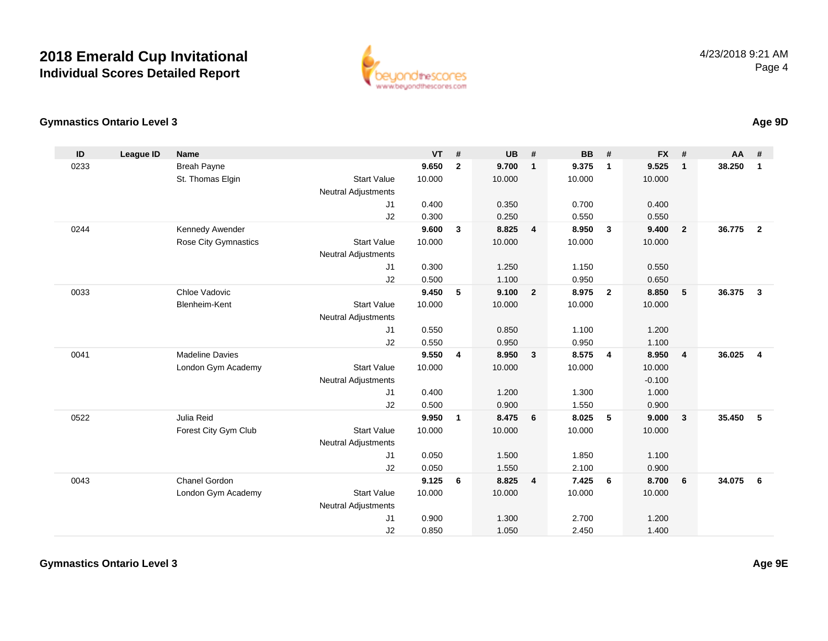

### **Gymnastics Ontario Level 3**

| ID   | <b>League ID</b> | <b>Name</b>            |                            | <b>VT</b> | #              | <b>UB</b> | #                       | <b>BB</b> | #              | <b>FX</b> | #              | <b>AA</b> | #                       |
|------|------------------|------------------------|----------------------------|-----------|----------------|-----------|-------------------------|-----------|----------------|-----------|----------------|-----------|-------------------------|
| 0233 |                  | <b>Breah Payne</b>     |                            | 9.650     | $\mathbf{2}$   | 9.700     | $\overline{1}$          | 9.375     | $\mathbf{1}$   | 9.525     | $\mathbf{1}$   | 38.250    | $\mathbf{1}$            |
|      |                  | St. Thomas Elgin       | <b>Start Value</b>         | 10.000    |                | 10.000    |                         | 10.000    |                | 10.000    |                |           |                         |
|      |                  |                        | <b>Neutral Adjustments</b> |           |                |           |                         |           |                |           |                |           |                         |
|      |                  |                        | J1                         | 0.400     |                | 0.350     |                         | 0.700     |                | 0.400     |                |           |                         |
|      |                  |                        | J2                         | 0.300     |                | 0.250     |                         | 0.550     |                | 0.550     |                |           |                         |
| 0244 |                  | Kennedy Awender        |                            | 9.600     | 3              | 8.825     | $\overline{4}$          | 8.950     | 3              | 9.400     | $\overline{2}$ | 36.775    | $\overline{\mathbf{2}}$ |
|      |                  | Rose City Gymnastics   | <b>Start Value</b>         | 10.000    |                | 10.000    |                         | 10.000    |                | 10.000    |                |           |                         |
|      |                  |                        | <b>Neutral Adjustments</b> |           |                |           |                         |           |                |           |                |           |                         |
|      |                  |                        | J <sub>1</sub>             | 0.300     |                | 1.250     |                         | 1.150     |                | 0.550     |                |           |                         |
|      |                  |                        | J2                         | 0.500     |                | 1.100     |                         | 0.950     |                | 0.650     |                |           |                         |
| 0033 |                  | Chloe Vadovic          |                            | 9.450     | 5              | 9.100     | $\overline{\mathbf{2}}$ | 8.975     | $\overline{2}$ | 8.850     | 5              | 36.375    | $\overline{\mathbf{3}}$ |
|      |                  | Blenheim-Kent          | Start Value                | 10.000    |                | 10.000    |                         | 10.000    |                | 10.000    |                |           |                         |
|      |                  |                        | <b>Neutral Adjustments</b> |           |                |           |                         |           |                |           |                |           |                         |
|      |                  |                        | J1                         | 0.550     |                | 0.850     |                         | 1.100     |                | 1.200     |                |           |                         |
|      |                  |                        | J2                         | 0.550     |                | 0.950     |                         | 0.950     |                | 1.100     |                |           |                         |
| 0041 |                  | <b>Madeline Davies</b> |                            | 9.550     | $\overline{4}$ | 8.950     | $\overline{\mathbf{3}}$ | 8.575     | $\overline{4}$ | 8.950     | $\overline{4}$ | 36.025    | $\overline{4}$          |
|      |                  | London Gym Academy     | <b>Start Value</b>         | 10.000    |                | 10.000    |                         | 10.000    |                | 10.000    |                |           |                         |
|      |                  |                        | <b>Neutral Adjustments</b> |           |                |           |                         |           |                | $-0.100$  |                |           |                         |
|      |                  |                        | J1                         | 0.400     |                | 1.200     |                         | 1.300     |                | 1.000     |                |           |                         |
|      |                  |                        | J2                         | 0.500     |                | 0.900     |                         | 1.550     |                | 0.900     |                |           |                         |
| 0522 |                  | Julia Reid             |                            | 9.950     | $\mathbf{1}$   | 8.475     | 6                       | 8.025     | 5              | 9.000     | $\mathbf{3}$   | 35.450    | 5                       |
|      |                  | Forest City Gym Club   | <b>Start Value</b>         | 10.000    |                | 10.000    |                         | 10.000    |                | 10.000    |                |           |                         |
|      |                  |                        | <b>Neutral Adjustments</b> |           |                |           |                         |           |                |           |                |           |                         |
|      |                  |                        | J1                         | 0.050     |                | 1.500     |                         | 1.850     |                | 1.100     |                |           |                         |
|      |                  |                        | J2                         | 0.050     |                | 1.550     |                         | 2.100     |                | 0.900     |                |           |                         |
| 0043 |                  | Chanel Gordon          |                            | 9.125     | 6              | 8.825     | $\overline{4}$          | 7.425     | 6              | 8.700     | 6              | 34.075    | 6                       |
|      |                  | London Gym Academy     | <b>Start Value</b>         | 10.000    |                | 10.000    |                         | 10.000    |                | 10.000    |                |           |                         |
|      |                  |                        | <b>Neutral Adjustments</b> |           |                |           |                         |           |                |           |                |           |                         |
|      |                  |                        | J <sub>1</sub>             | 0.900     |                | 1.300     |                         | 2.700     |                | 1.200     |                |           |                         |
|      |                  |                        | J2                         | 0.850     |                | 1.050     |                         | 2.450     |                | 1.400     |                |           |                         |

**Age 9D**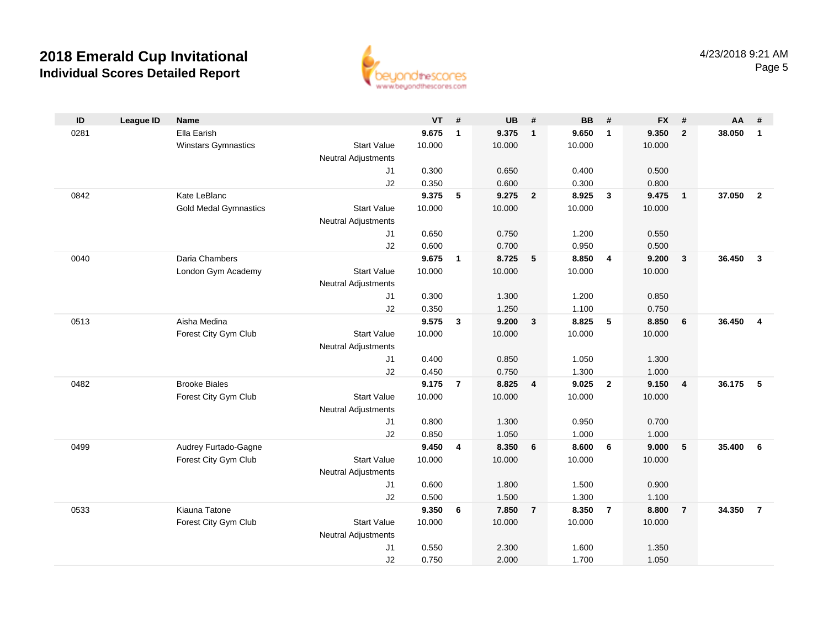

| ID   | <b>League ID</b> | <b>Name</b>                  |                            | <b>VT</b>      | #              | <b>UB</b>      | #              | <b>BB</b>      | #              | <b>FX</b>      | #                       | AA     | #              |
|------|------------------|------------------------------|----------------------------|----------------|----------------|----------------|----------------|----------------|----------------|----------------|-------------------------|--------|----------------|
| 0281 |                  | Ella Earish                  |                            | 9.675          | $\mathbf{1}$   | 9.375          | $\mathbf{1}$   | 9.650          | $\overline{1}$ | 9.350          | $\overline{2}$          | 38.050 | $\mathbf{1}$   |
|      |                  | <b>Winstars Gymnastics</b>   | <b>Start Value</b>         | 10.000         |                | 10.000         |                | 10.000         |                | 10.000         |                         |        |                |
|      |                  |                              | <b>Neutral Adjustments</b> |                |                |                |                |                |                |                |                         |        |                |
|      |                  |                              | J1                         | 0.300          |                | 0.650          |                | 0.400          |                | 0.500          |                         |        |                |
|      |                  |                              | J2                         | 0.350          |                | 0.600          |                | 0.300          |                | 0.800          |                         |        |                |
| 0842 |                  | Kate LeBlanc                 |                            | 9.375          | 5              | 9.275          | $\overline{2}$ | 8.925          | $\mathbf{3}$   | 9.475          | $\overline{\mathbf{1}}$ | 37.050 | $\overline{2}$ |
|      |                  | <b>Gold Medal Gymnastics</b> | <b>Start Value</b>         | 10.000         |                | 10.000         |                | 10.000         |                | 10.000         |                         |        |                |
|      |                  |                              | <b>Neutral Adjustments</b> |                |                |                |                |                |                |                |                         |        |                |
|      |                  |                              | J1                         | 0.650          |                | 0.750          |                | 1.200          |                | 0.550          |                         |        |                |
| 0040 |                  | Daria Chambers               | J2                         | 0.600<br>9.675 |                | 0.700<br>8.725 | 5              | 0.950<br>8.850 | $\overline{4}$ | 0.500<br>9.200 | $\mathbf{3}$            | 36.450 | $\mathbf{3}$   |
|      |                  | London Gym Academy           | <b>Start Value</b>         | 10.000         | $\mathbf{1}$   | 10.000         |                | 10.000         |                | 10.000         |                         |        |                |
|      |                  |                              | <b>Neutral Adjustments</b> |                |                |                |                |                |                |                |                         |        |                |
|      |                  |                              | J1                         | 0.300          |                | 1.300          |                | 1.200          |                | 0.850          |                         |        |                |
|      |                  |                              | J2                         | 0.350          |                | 1.250          |                | 1.100          |                | 0.750          |                         |        |                |
| 0513 |                  | Aisha Medina                 |                            | 9.575          | $\mathbf{3}$   | 9.200          | $\overline{3}$ | 8.825          | 5              | 8.850          | 6                       | 36.450 | $\overline{4}$ |
|      |                  | Forest City Gym Club         | <b>Start Value</b>         | 10.000         |                | 10.000         |                | 10.000         |                | 10.000         |                         |        |                |
|      |                  |                              | <b>Neutral Adjustments</b> |                |                |                |                |                |                |                |                         |        |                |
|      |                  |                              | J1                         | 0.400          |                | 0.850          |                | 1.050          |                | 1.300          |                         |        |                |
|      |                  |                              | J2                         | 0.450          |                | 0.750          |                | 1.300          |                | 1.000          |                         |        |                |
| 0482 |                  | <b>Brooke Biales</b>         |                            | 9.175          | $\overline{7}$ | 8.825          | $\overline{4}$ | 9.025          | $\overline{2}$ | 9.150          | $\overline{\mathbf{4}}$ | 36.175 | -5             |
|      |                  | Forest City Gym Club         | <b>Start Value</b>         | 10.000         |                | 10.000         |                | 10.000         |                | 10.000         |                         |        |                |
|      |                  |                              | <b>Neutral Adjustments</b> |                |                |                |                |                |                |                |                         |        |                |
|      |                  |                              | J1                         | 0.800          |                | 1.300          |                | 0.950          |                | 0.700          |                         |        |                |
|      |                  |                              | J2                         | 0.850          |                | 1.050          |                | 1.000          |                | 1.000          |                         |        |                |
| 0499 |                  | Audrey Furtado-Gagne         |                            | 9.450          | 4              | 8.350          | 6              | 8.600          | 6              | 9.000          | 5                       | 35.400 | - 6            |
|      |                  | Forest City Gym Club         | <b>Start Value</b>         | 10.000         |                | 10.000         |                | 10.000         |                | 10.000         |                         |        |                |
|      |                  |                              | <b>Neutral Adjustments</b> |                |                |                |                |                |                |                |                         |        |                |
|      |                  |                              | J1                         | 0.600          |                | 1.800          |                | 1.500          |                | 0.900          |                         |        |                |
| 0533 |                  | Kiauna Tatone                | J2                         | 0.500<br>9.350 | 6              | 1.500<br>7.850 | $\overline{7}$ | 1.300<br>8.350 | $\overline{7}$ | 1.100<br>8.800 | $\overline{7}$          | 34.350 | $\overline{7}$ |
|      |                  | Forest City Gym Club         | <b>Start Value</b>         | 10.000         |                | 10.000         |                | 10.000         |                | 10.000         |                         |        |                |
|      |                  |                              | <b>Neutral Adjustments</b> |                |                |                |                |                |                |                |                         |        |                |
|      |                  |                              | J <sub>1</sub>             | 0.550          |                | 2.300          |                | 1.600          |                | 1.350          |                         |        |                |
|      |                  |                              | J2                         | 0.750          |                | 2.000          |                | 1.700          |                | 1.050          |                         |        |                |
|      |                  |                              |                            |                |                |                |                |                |                |                |                         |        |                |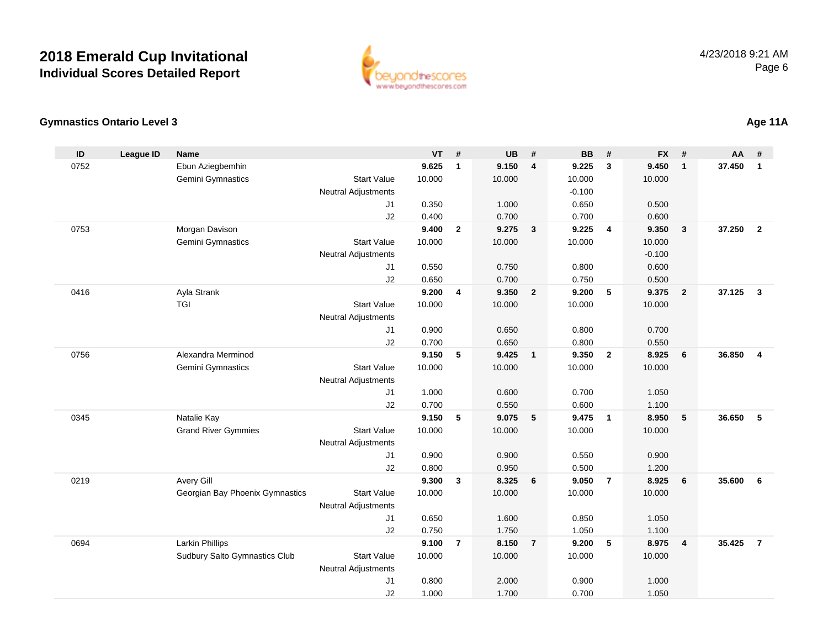

### **Gymnastics Ontario Level 3**

| ID   | <b>League ID</b> | <b>Name</b>                     |                            | <b>VT</b> | #              | <b>UB</b> | #                       | <b>BB</b> | #              | <b>FX</b> | #              | <b>AA</b> | #              |
|------|------------------|---------------------------------|----------------------------|-----------|----------------|-----------|-------------------------|-----------|----------------|-----------|----------------|-----------|----------------|
| 0752 |                  | Ebun Aziegbemhin                |                            | 9.625     | $\mathbf{1}$   | 9.150     | $\overline{4}$          | 9.225     | 3              | 9.450     | $\mathbf{1}$   | 37.450    | $\mathbf{1}$   |
|      |                  | Gemini Gymnastics               | <b>Start Value</b>         | 10.000    |                | 10.000    |                         | 10.000    |                | 10.000    |                |           |                |
|      |                  |                                 | <b>Neutral Adjustments</b> |           |                |           |                         | $-0.100$  |                |           |                |           |                |
|      |                  |                                 | J <sub>1</sub>             | 0.350     |                | 1.000     |                         | 0.650     |                | 0.500     |                |           |                |
|      |                  |                                 | J2                         | 0.400     |                | 0.700     |                         | 0.700     |                | 0.600     |                |           |                |
| 0753 |                  | Morgan Davison                  |                            | 9.400     | $\overline{2}$ | 9.275     | $\overline{\mathbf{3}}$ | 9.225     | $\overline{4}$ | 9.350     | 3              | 37.250    | $\overline{2}$ |
|      |                  | Gemini Gymnastics               | <b>Start Value</b>         | 10.000    |                | 10.000    |                         | 10.000    |                | 10.000    |                |           |                |
|      |                  |                                 | <b>Neutral Adjustments</b> |           |                |           |                         |           |                | $-0.100$  |                |           |                |
|      |                  |                                 | J1                         | 0.550     |                | 0.750     |                         | 0.800     |                | 0.600     |                |           |                |
|      |                  |                                 | J2                         | 0.650     |                | 0.700     |                         | 0.750     |                | 0.500     |                |           |                |
| 0416 |                  | Ayla Strank                     |                            | 9.200     | 4              | 9.350     | $\overline{2}$          | 9.200     | 5              | 9.375     | $\overline{2}$ | 37.125    | $\mathbf{3}$   |
|      |                  | <b>TGI</b>                      | <b>Start Value</b>         | 10.000    |                | 10.000    |                         | 10.000    |                | 10.000    |                |           |                |
|      |                  |                                 | <b>Neutral Adjustments</b> |           |                |           |                         |           |                |           |                |           |                |
|      |                  |                                 | J1                         | 0.900     |                | 0.650     |                         | 0.800     |                | 0.700     |                |           |                |
|      |                  |                                 | J2                         | 0.700     |                | 0.650     |                         | 0.800     |                | 0.550     |                |           |                |
| 0756 |                  | Alexandra Merminod              |                            | 9.150     | 5              | 9.425     | $\overline{1}$          | 9.350     | $\overline{2}$ | 8.925     | 6              | 36.850    | $\overline{4}$ |
|      |                  | Gemini Gymnastics               | <b>Start Value</b>         | 10.000    |                | 10.000    |                         | 10.000    |                | 10.000    |                |           |                |
|      |                  |                                 | <b>Neutral Adjustments</b> |           |                |           |                         |           |                |           |                |           |                |
|      |                  |                                 | J <sub>1</sub>             | 1.000     |                | 0.600     |                         | 0.700     |                | 1.050     |                |           |                |
|      |                  |                                 | J2                         | 0.700     |                | 0.550     |                         | 0.600     |                | 1.100     |                |           |                |
| 0345 |                  | Natalie Kay                     |                            | 9.150     | 5              | 9.075     | $-5$                    | 9.475     | $\overline{1}$ | 8.950     | 5              | 36.650    | 5              |
|      |                  | <b>Grand River Gymmies</b>      | <b>Start Value</b>         | 10.000    |                | 10.000    |                         | 10.000    |                | 10.000    |                |           |                |
|      |                  |                                 | <b>Neutral Adjustments</b> |           |                |           |                         |           |                |           |                |           |                |
|      |                  |                                 | J1                         | 0.900     |                | 0.900     |                         | 0.550     |                | 0.900     |                |           |                |
|      |                  |                                 | J2                         | 0.800     |                | 0.950     |                         | 0.500     |                | 1.200     |                |           |                |
| 0219 |                  | Avery Gill                      |                            | 9.300     | $\mathbf{3}$   | 8.325     | 6                       | 9.050     | $\overline{7}$ | 8.925     | 6              | 35.600    | 6              |
|      |                  | Georgian Bay Phoenix Gymnastics | <b>Start Value</b>         | 10.000    |                | 10.000    |                         | 10.000    |                | 10.000    |                |           |                |
|      |                  |                                 | <b>Neutral Adjustments</b> |           |                |           |                         |           |                |           |                |           |                |
|      |                  |                                 | J1                         | 0.650     |                | 1.600     |                         | 0.850     |                | 1.050     |                |           |                |
|      |                  |                                 | J2                         | 0.750     |                | 1.750     |                         | 1.050     |                | 1.100     |                |           |                |
| 0694 |                  | <b>Larkin Phillips</b>          |                            | 9.100     | $\overline{7}$ | 8.150     | $\overline{7}$          | 9.200     | 5              | 8.975     | 4              | 35.425    | $\overline{7}$ |
|      |                  | Sudbury Salto Gymnastics Club   | <b>Start Value</b>         | 10.000    |                | 10.000    |                         | 10.000    |                | 10.000    |                |           |                |
|      |                  |                                 | <b>Neutral Adjustments</b> |           |                |           |                         |           |                |           |                |           |                |
|      |                  |                                 | J <sub>1</sub>             | 0.800     |                | 2.000     |                         | 0.900     |                | 1.000     |                |           |                |
|      |                  |                                 | J2                         | 1.000     |                | 1.700     |                         | 0.700     |                | 1.050     |                |           |                |

### **Age 11A**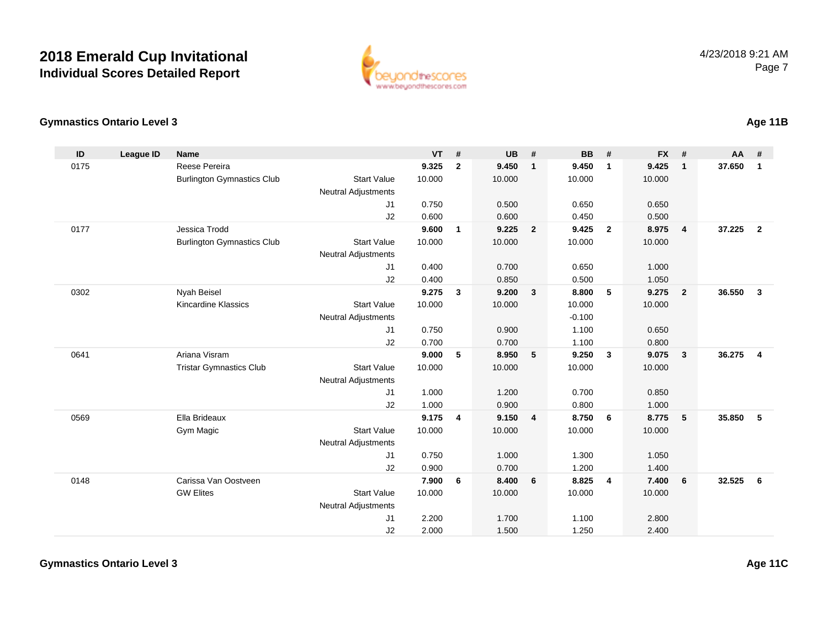

### **Gymnastics Ontario Level 3**

| ID   | League ID | <b>Name</b>                       |                            | <b>VT</b> | #              | <b>UB</b> | #                       | <b>BB</b> | #              | <b>FX</b> | #                       | <b>AA</b> | #                       |
|------|-----------|-----------------------------------|----------------------------|-----------|----------------|-----------|-------------------------|-----------|----------------|-----------|-------------------------|-----------|-------------------------|
| 0175 |           | <b>Reese Pereira</b>              |                            | 9.325     | $\mathbf{2}$   | 9.450     | $\overline{1}$          | 9.450     | $\mathbf{1}$   | 9.425     | $\mathbf{1}$            | 37.650    | $\mathbf{1}$            |
|      |           | <b>Burlington Gymnastics Club</b> | <b>Start Value</b>         | 10.000    |                | 10.000    |                         | 10.000    |                | 10.000    |                         |           |                         |
|      |           |                                   | <b>Neutral Adjustments</b> |           |                |           |                         |           |                |           |                         |           |                         |
|      |           |                                   | J1                         | 0.750     |                | 0.500     |                         | 0.650     |                | 0.650     |                         |           |                         |
|      |           |                                   | J2                         | 0.600     |                | 0.600     |                         | 0.450     |                | 0.500     |                         |           |                         |
| 0177 |           | Jessica Trodd                     |                            | 9.600     | $\mathbf{1}$   | 9.225     | $\overline{\mathbf{2}}$ | 9.425     | $\overline{2}$ | 8.975     | $\overline{\mathbf{4}}$ | 37.225    | $\overline{\mathbf{2}}$ |
|      |           | <b>Burlington Gymnastics Club</b> | <b>Start Value</b>         | 10.000    |                | 10.000    |                         | 10.000    |                | 10.000    |                         |           |                         |
|      |           |                                   | <b>Neutral Adjustments</b> |           |                |           |                         |           |                |           |                         |           |                         |
|      |           |                                   | J1                         | 0.400     |                | 0.700     |                         | 0.650     |                | 1.000     |                         |           |                         |
|      |           |                                   | J2                         | 0.400     |                | 0.850     |                         | 0.500     |                | 1.050     |                         |           |                         |
| 0302 |           | Nyah Beisel                       |                            | 9.275     | 3              | 9.200     | $\mathbf{3}$            | 8.800     | 5              | 9.275     | $\overline{2}$          | 36.550    | $\mathbf{3}$            |
|      |           | Kincardine Klassics               | <b>Start Value</b>         | 10.000    |                | 10.000    |                         | 10.000    |                | 10.000    |                         |           |                         |
|      |           |                                   | <b>Neutral Adjustments</b> |           |                |           |                         | $-0.100$  |                |           |                         |           |                         |
|      |           |                                   | J1                         | 0.750     |                | 0.900     |                         | 1.100     |                | 0.650     |                         |           |                         |
|      |           |                                   | J2                         | 0.700     |                | 0.700     |                         | 1.100     |                | 0.800     |                         |           |                         |
| 0641 |           | Ariana Visram                     |                            | 9.000     | 5              | 8.950     | $5\phantom{1}$          | 9.250     | $\mathbf{3}$   | 9.075     | $\mathbf{3}$            | 36.275    | $\overline{4}$          |
|      |           | <b>Tristar Gymnastics Club</b>    | <b>Start Value</b>         | 10.000    |                | 10.000    |                         | 10.000    |                | 10.000    |                         |           |                         |
|      |           |                                   | <b>Neutral Adjustments</b> |           |                |           |                         |           |                |           |                         |           |                         |
|      |           |                                   | J1                         | 1.000     |                | 1.200     |                         | 0.700     |                | 0.850     |                         |           |                         |
|      |           |                                   | J2                         | 1.000     |                | 0.900     |                         | 0.800     |                | 1.000     |                         |           |                         |
| 0569 |           | Ella Brideaux                     |                            | 9.175     | $\overline{4}$ | 9.150     | $\overline{4}$          | 8.750     | 6              | 8.775     | 5                       | 35.850    | 5                       |
|      |           | Gym Magic                         | <b>Start Value</b>         | 10.000    |                | 10.000    |                         | 10.000    |                | 10.000    |                         |           |                         |
|      |           |                                   | <b>Neutral Adjustments</b> |           |                |           |                         |           |                |           |                         |           |                         |
|      |           |                                   | J <sub>1</sub>             | 0.750     |                | 1.000     |                         | 1.300     |                | 1.050     |                         |           |                         |
|      |           |                                   | J2                         | 0.900     |                | 0.700     |                         | 1.200     |                | 1.400     |                         |           |                         |
| 0148 |           | Carissa Van Oostveen              |                            | 7.900     | 6              | 8.400     | 6                       | 8.825     | $\overline{4}$ | 7.400     | 6                       | 32.525    | 6                       |
|      |           | <b>GW Elites</b>                  | <b>Start Value</b>         | 10.000    |                | 10.000    |                         | 10.000    |                | 10.000    |                         |           |                         |
|      |           |                                   | <b>Neutral Adjustments</b> |           |                |           |                         |           |                |           |                         |           |                         |
|      |           |                                   | J <sub>1</sub>             | 2.200     |                | 1.700     |                         | 1.100     |                | 2.800     |                         |           |                         |
|      |           |                                   | J2                         | 2.000     |                | 1.500     |                         | 1.250     |                | 2.400     |                         |           |                         |

**Age 11B**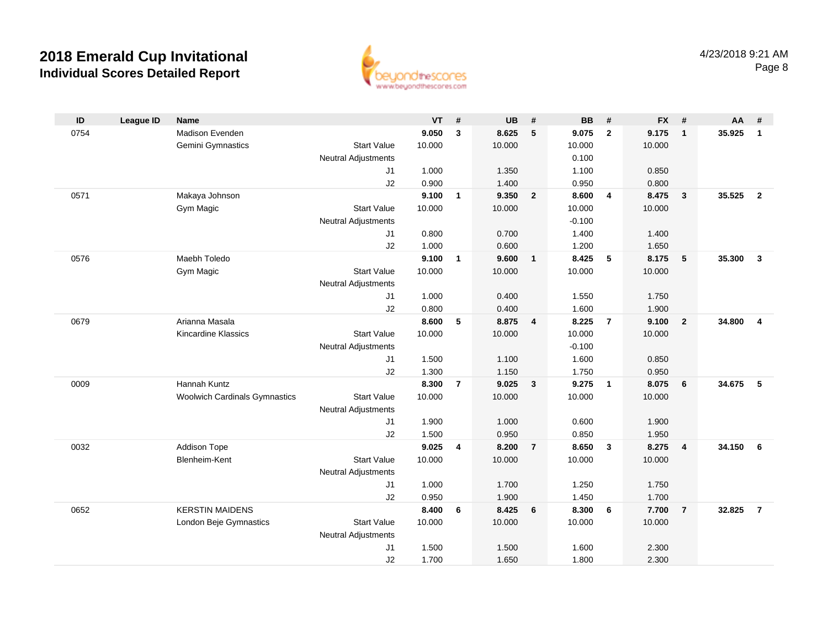

| ID   | <b>League ID</b> | <b>Name</b>                          |                            | <b>VT</b>      | #              | <b>UB</b>      | #              | <b>BB</b>      | #              | <b>FX</b>      | #                       | AA     | #              |
|------|------------------|--------------------------------------|----------------------------|----------------|----------------|----------------|----------------|----------------|----------------|----------------|-------------------------|--------|----------------|
| 0754 |                  | Madison Evenden                      |                            | 9.050          | $\mathbf{3}$   | 8.625          | 5              | 9.075          | $\overline{2}$ | 9.175          | $\overline{1}$          | 35.925 | $\mathbf{1}$   |
|      |                  | Gemini Gymnastics                    | <b>Start Value</b>         | 10.000         |                | 10.000         |                | 10.000         |                | 10.000         |                         |        |                |
|      |                  |                                      | <b>Neutral Adjustments</b> |                |                |                |                | 0.100          |                |                |                         |        |                |
|      |                  |                                      | J1                         | 1.000          |                | 1.350          |                | 1.100          |                | 0.850          |                         |        |                |
|      |                  |                                      | J2                         | 0.900          |                | 1.400          |                | 0.950          |                | 0.800          |                         |        |                |
| 0571 |                  | Makaya Johnson                       |                            | 9.100          | 1              | 9.350          | $\overline{2}$ | 8.600          | $\overline{4}$ | 8.475          | $\overline{\mathbf{3}}$ | 35.525 | $\overline{2}$ |
|      |                  | Gym Magic                            | <b>Start Value</b>         | 10.000         |                | 10.000         |                | 10.000         |                | 10.000         |                         |        |                |
|      |                  |                                      | Neutral Adjustments        |                |                |                |                | $-0.100$       |                |                |                         |        |                |
|      |                  |                                      | J1                         | 0.800          |                | 0.700          |                | 1.400          |                | 1.400          |                         |        |                |
|      |                  |                                      | J2                         | 1.000          |                | 0.600          |                | 1.200          |                | 1.650          |                         |        |                |
| 0576 |                  | Maebh Toledo                         |                            | 9.100          | $\mathbf{1}$   | 9.600          | $\mathbf{1}$   | 8.425          | 5              | 8.175          | 5                       | 35.300 | $\mathbf{3}$   |
|      |                  | Gym Magic                            | <b>Start Value</b>         | 10.000         |                | 10.000         |                | 10.000         |                | 10.000         |                         |        |                |
|      |                  |                                      | <b>Neutral Adjustments</b> |                |                |                |                |                |                |                |                         |        |                |
|      |                  |                                      | J <sub>1</sub><br>J2       | 1.000<br>0.800 |                | 0.400<br>0.400 |                | 1.550<br>1.600 |                | 1.750<br>1.900 |                         |        |                |
| 0679 |                  | Arianna Masala                       |                            | 8.600          | 5              | 8.875          | $\overline{4}$ | 8.225          | $\overline{7}$ | 9.100          | $\overline{\mathbf{2}}$ | 34.800 | $\overline{4}$ |
|      |                  | <b>Kincardine Klassics</b>           | <b>Start Value</b>         | 10.000         |                | 10.000         |                | 10.000         |                | 10.000         |                         |        |                |
|      |                  |                                      | <b>Neutral Adjustments</b> |                |                |                |                | $-0.100$       |                |                |                         |        |                |
|      |                  |                                      | J1                         | 1.500          |                | 1.100          |                | 1.600          |                | 0.850          |                         |        |                |
|      |                  |                                      | J2                         | 1.300          |                | 1.150          |                | 1.750          |                | 0.950          |                         |        |                |
| 0009 |                  | Hannah Kuntz                         |                            | 8.300          | $\overline{7}$ | 9.025          | $\mathbf{3}$   | 9.275          | $\overline{1}$ | 8.075          | $6\phantom{1}6$         | 34.675 | - 5            |
|      |                  | <b>Woolwich Cardinals Gymnastics</b> | <b>Start Value</b>         | 10.000         |                | 10.000         |                | 10.000         |                | 10.000         |                         |        |                |
|      |                  |                                      | Neutral Adjustments        |                |                |                |                |                |                |                |                         |        |                |
|      |                  |                                      | J1                         | 1.900          |                | 1.000          |                | 0.600          |                | 1.900          |                         |        |                |
|      |                  |                                      | J2                         | 1.500          |                | 0.950          |                | 0.850          |                | 1.950          |                         |        |                |
| 0032 |                  | Addison Tope                         |                            | 9.025          | 4              | 8.200          | $\overline{7}$ | 8.650          | $\mathbf{3}$   | 8.275          | $\overline{4}$          | 34.150 | - 6            |
|      |                  | Blenheim-Kent                        | <b>Start Value</b>         | 10.000         |                | 10.000         |                | 10.000         |                | 10.000         |                         |        |                |
|      |                  |                                      | Neutral Adjustments        |                |                |                |                |                |                |                |                         |        |                |
|      |                  |                                      | J1                         | 1.000          |                | 1.700          |                | 1.250          |                | 1.750          |                         |        |                |
|      |                  |                                      | J2                         | 0.950          |                | 1.900          |                | 1.450          |                | 1.700          |                         |        |                |
| 0652 |                  | <b>KERSTIN MAIDENS</b>               |                            | 8.400          | 6              | 8.425          | 6              | 8.300          | 6              | 7.700          | $\overline{7}$          | 32.825 | $\overline{7}$ |
|      |                  | London Beje Gymnastics               | <b>Start Value</b>         | 10.000         |                | 10.000         |                | 10.000         |                | 10.000         |                         |        |                |
|      |                  |                                      | <b>Neutral Adjustments</b> |                |                |                |                |                |                |                |                         |        |                |
|      |                  |                                      | J <sub>1</sub>             | 1.500          |                | 1.500          |                | 1.600          |                | 2.300          |                         |        |                |
|      |                  |                                      | J2                         | 1.700          |                | 1.650          |                | 1.800          |                | 2.300          |                         |        |                |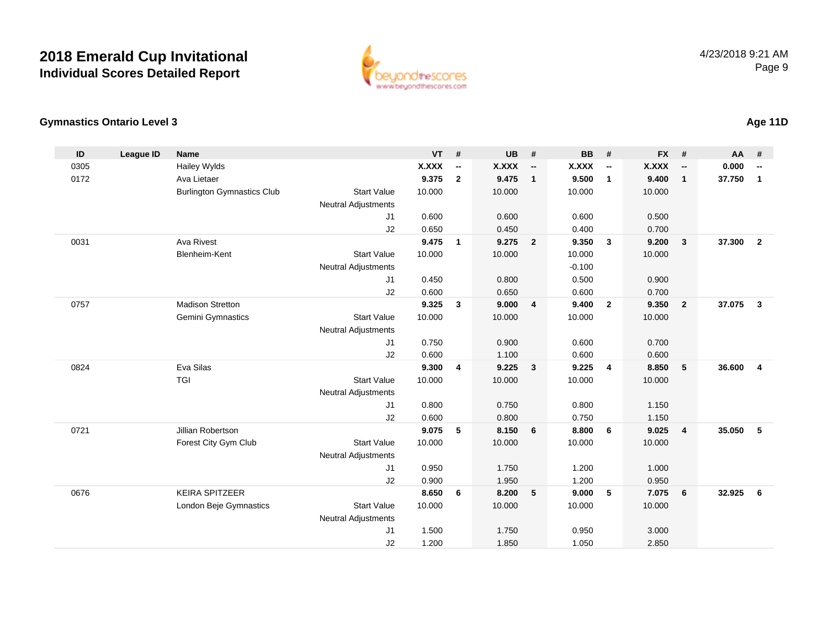

### **Gymnastics Ontario Level 3**

| ID   | <b>League ID</b> | <b>Name</b>                       |                            | <b>VT</b>    | #                        | <b>UB</b>    | #                        | <b>BB</b> | #                        | <b>FX</b>    | #                        | AA     | #                        |
|------|------------------|-----------------------------------|----------------------------|--------------|--------------------------|--------------|--------------------------|-----------|--------------------------|--------------|--------------------------|--------|--------------------------|
| 0305 |                  | Hailey Wylds                      |                            | <b>X.XXX</b> | $\overline{\phantom{a}}$ | <b>X.XXX</b> | $\overline{\phantom{a}}$ | X.XXX     | $\overline{\phantom{a}}$ | <b>X.XXX</b> | $\overline{\phantom{a}}$ | 0.000  | $\overline{\phantom{a}}$ |
| 0172 |                  | Ava Lietaer                       |                            | 9.375        | $\mathbf{2}$             | 9.475        | $\mathbf{1}$             | 9.500     | $\mathbf{1}$             | 9.400        | $\mathbf{1}$             | 37.750 | $\mathbf{1}$             |
|      |                  | <b>Burlington Gymnastics Club</b> | <b>Start Value</b>         | 10.000       |                          | 10.000       |                          | 10.000    |                          | 10.000       |                          |        |                          |
|      |                  |                                   | Neutral Adjustments        |              |                          |              |                          |           |                          |              |                          |        |                          |
|      |                  |                                   | J1                         | 0.600        |                          | 0.600        |                          | 0.600     |                          | 0.500        |                          |        |                          |
|      |                  |                                   | J2                         | 0.650        |                          | 0.450        |                          | 0.400     |                          | 0.700        |                          |        |                          |
| 0031 |                  | <b>Ava Rivest</b>                 |                            | 9.475        | $\mathbf{1}$             | 9.275        | $\overline{\mathbf{2}}$  | 9.350     | $\overline{\mathbf{3}}$  | 9.200        | $\mathbf{3}$             | 37.300 | $\overline{2}$           |
|      |                  | <b>Blenheim-Kent</b>              | <b>Start Value</b>         | 10.000       |                          | 10.000       |                          | 10.000    |                          | 10.000       |                          |        |                          |
|      |                  |                                   | <b>Neutral Adjustments</b> |              |                          |              |                          | $-0.100$  |                          |              |                          |        |                          |
|      |                  |                                   | J1                         | 0.450        |                          | 0.800        |                          | 0.500     |                          | 0.900        |                          |        |                          |
|      |                  |                                   | J2                         | 0.600        |                          | 0.650        |                          | 0.600     |                          | 0.700        |                          |        |                          |
| 0757 |                  | <b>Madison Stretton</b>           |                            | 9.325        | $\mathbf{3}$             | 9.000        | $\overline{4}$           | 9.400     | $\overline{2}$           | 9.350        | $\overline{2}$           | 37.075 | $\mathbf{3}$             |
|      |                  | Gemini Gymnastics                 | <b>Start Value</b>         | 10.000       |                          | 10.000       |                          | 10.000    |                          | 10.000       |                          |        |                          |
|      |                  |                                   | <b>Neutral Adjustments</b> |              |                          |              |                          |           |                          |              |                          |        |                          |
|      |                  |                                   | J1                         | 0.750        |                          | 0.900        |                          | 0.600     |                          | 0.700        |                          |        |                          |
|      |                  |                                   | J2                         | 0.600        |                          | 1.100        |                          | 0.600     |                          | 0.600        |                          |        |                          |
| 0824 |                  | Eva Silas                         |                            | 9.300        | $\overline{\mathbf{4}}$  | 9.225        | $\mathbf{3}$             | 9.225     | $\overline{4}$           | 8.850        | 5                        | 36.600 | $\overline{\mathbf{4}}$  |
|      |                  | <b>TGI</b>                        | <b>Start Value</b>         | 10.000       |                          | 10.000       |                          | 10.000    |                          | 10.000       |                          |        |                          |
|      |                  |                                   | <b>Neutral Adjustments</b> |              |                          |              |                          |           |                          |              |                          |        |                          |
|      |                  |                                   | J1                         | 0.800        |                          | 0.750        |                          | 0.800     |                          | 1.150        |                          |        |                          |
|      |                  |                                   | J2                         | 0.600        |                          | 0.800        |                          | 0.750     |                          | 1.150        |                          |        |                          |
| 0721 |                  | Jillian Robertson                 |                            | 9.075        | 5                        | 8.150        | 6                        | 8.800     | 6                        | 9.025        | $\overline{4}$           | 35.050 | 5                        |
|      |                  | Forest City Gym Club              | <b>Start Value</b>         | 10.000       |                          | 10.000       |                          | 10.000    |                          | 10.000       |                          |        |                          |
|      |                  |                                   | <b>Neutral Adjustments</b> |              |                          |              |                          |           |                          |              |                          |        |                          |
|      |                  |                                   | J1                         | 0.950        |                          | 1.750        |                          | 1.200     |                          | 1.000        |                          |        |                          |
|      |                  |                                   | J2                         | 0.900        |                          | 1.950        |                          | 1.200     |                          | 0.950        |                          |        |                          |
| 0676 |                  | <b>KEIRA SPITZEER</b>             |                            | 8.650        | 6                        | 8.200        | 5                        | 9.000     | 5                        | 7.075        | 6                        | 32.925 | 6                        |
|      |                  | London Beje Gymnastics            | <b>Start Value</b>         | 10.000       |                          | 10.000       |                          | 10.000    |                          | 10.000       |                          |        |                          |
|      |                  |                                   | <b>Neutral Adjustments</b> |              |                          |              |                          |           |                          |              |                          |        |                          |
|      |                  |                                   | J <sub>1</sub>             | 1.500        |                          | 1.750        |                          | 0.950     |                          | 3.000        |                          |        |                          |
|      |                  |                                   | J2                         | 1.200        |                          | 1.850        |                          | 1.050     |                          | 2.850        |                          |        |                          |
|      |                  |                                   |                            |              |                          |              |                          |           |                          |              |                          |        |                          |

### **Age 11D**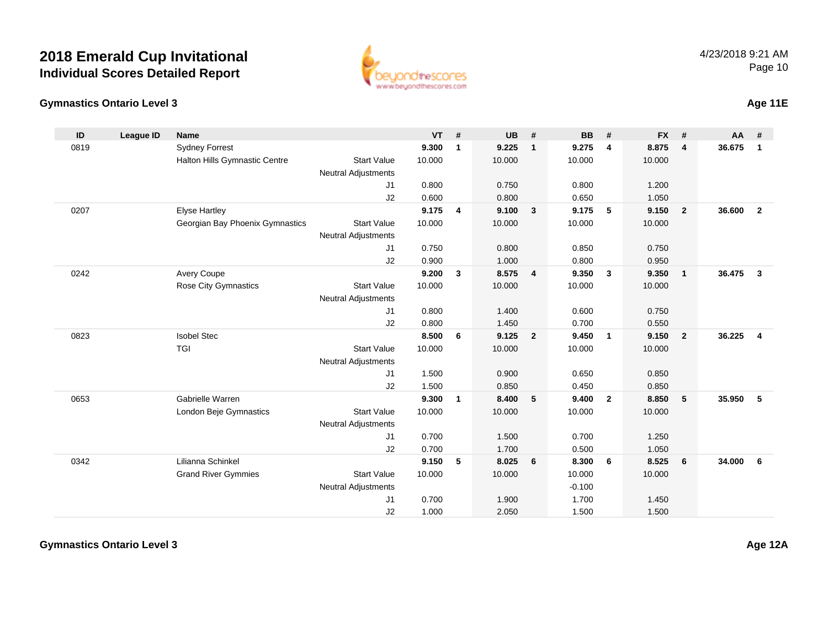

#### **Gymnastics Ontario Level 3Age 11E**

**ID**

| D   | League ID | Name                            |                            | <b>VT</b> | #   | <b>UB</b> | #              | <b>BB</b> | #  | $FX$ # |                | <b>AA</b> | #            |  |
|-----|-----------|---------------------------------|----------------------------|-----------|-----|-----------|----------------|-----------|----|--------|----------------|-----------|--------------|--|
| 319 |           | <b>Sydney Forrest</b>           |                            | 9.300     | - 1 | 9.225     | $\blacksquare$ | 9.275     | -4 | 8.875  | $\overline{4}$ | 36.675    |              |  |
|     |           | Halton Hills Gymnastic Centre   | <b>Start Value</b>         | 10.000    |     | 10.000    |                | 10.000    |    | 10.000 |                |           |              |  |
|     |           |                                 | <b>Neutral Adjustments</b> |           |     |           |                |           |    |        |                |           |              |  |
|     |           |                                 | J1                         | 0.800     |     | 0.750     |                | 0.800     |    | 1.200  |                |           |              |  |
|     |           |                                 | J2                         | 0.600     |     | 0.800     |                | 0.650     |    | 1.050  |                |           |              |  |
| 207 |           | <b>Elyse Hartley</b>            |                            | 9.175     | -4  | 9.100     | $_{3}$         | 9.175     | -5 | 9.150  | $\mathbf{2}$   | 36.600    | $\mathbf{2}$ |  |
|     |           | Georgian Bay Phoenix Gymnastics | <b>Start Value</b>         | 10.000    |     | 10.000    |                | 10.000    |    | 10.000 |                |           |              |  |
|     |           |                                 | <b>Neutral Adjustments</b> |           |     |           |                |           |    |        |                |           |              |  |
|     |           |                                 | J <sub>1</sub>             | 0.750     |     | 0.800     |                | 0.850     |    | 0.750  |                |           |              |  |
|     |           |                                 | J2                         | 0.900     |     | 1.000     |                | 0.800     |    | 0.950  |                |           |              |  |
| 242 |           | <b>Avery Coupe</b>              |                            | 9.200     | - 3 | 8.575     | - 4            | 9.350     | 3  | 9.350  |                | 36.475    | 3            |  |
|     |           | <b>Rose City Gymnastics</b>     | <b>Start Value</b>         | 10.000    |     | 10.000    |                | 10.000    |    | 10.000 |                |           |              |  |
|     |           |                                 | <b>Neutral Adjustments</b> |           |     |           |                |           |    |        |                |           |              |  |

| 0819 | <b>Sydney Forrest</b>           |                            | 9.300  | $\mathbf{1}$ | 9.225  | $\mathbf{1}$   | 9.275    | 4              | 8.875  | 4              | 36.675   | $\blacksquare$ |
|------|---------------------------------|----------------------------|--------|--------------|--------|----------------|----------|----------------|--------|----------------|----------|----------------|
|      | Halton Hills Gymnastic Centre   | <b>Start Value</b>         | 10.000 |              | 10.000 |                | 10.000   |                | 10.000 |                |          |                |
|      |                                 | <b>Neutral Adjustments</b> |        |              |        |                |          |                |        |                |          |                |
|      |                                 | J <sub>1</sub>             | 0.800  |              | 0.750  |                | 0.800    |                | 1.200  |                |          |                |
|      |                                 | J2                         | 0.600  |              | 0.800  |                | 0.650    |                | 1.050  |                |          |                |
| 0207 | <b>Elyse Hartley</b>            |                            | 9.175  | 4            | 9.100  | $\mathbf{3}$   | 9.175    | 5              | 9.150  | $\overline{2}$ | 36.600 2 |                |
|      | Georgian Bay Phoenix Gymnastics | <b>Start Value</b>         | 10.000 |              | 10.000 |                | 10.000   |                | 10.000 |                |          |                |
|      |                                 | Neutral Adjustments        |        |              |        |                |          |                |        |                |          |                |
|      |                                 | J <sub>1</sub>             | 0.750  |              | 0.800  |                | 0.850    |                | 0.750  |                |          |                |
|      |                                 | J2                         | 0.900  |              | 1.000  |                | 0.800    |                | 0.950  |                |          |                |
| 0242 | <b>Avery Coupe</b>              |                            | 9.200  | 3            | 8.575  | $\overline{4}$ | 9.350    | 3              | 9.350  | $\mathbf{1}$   | 36.475 3 |                |
|      | Rose City Gymnastics            | <b>Start Value</b>         | 10.000 |              | 10.000 |                | 10.000   |                | 10.000 |                |          |                |
|      |                                 | <b>Neutral Adjustments</b> |        |              |        |                |          |                |        |                |          |                |
|      |                                 | J <sub>1</sub>             | 0.800  |              | 1.400  |                | 0.600    |                | 0.750  |                |          |                |
|      |                                 | J2                         | 0.800  |              | 1.450  |                | 0.700    |                | 0.550  |                |          |                |
| 0823 | <b>Isobel Stec</b>              |                            | 8.500  | 6            | 9.125  | $\overline{2}$ | 9.450    | $\mathbf{1}$   | 9.150  | $\overline{2}$ | 36.225 4 |                |
|      | <b>TGI</b>                      | <b>Start Value</b>         | 10.000 |              | 10.000 |                | 10.000   |                | 10.000 |                |          |                |
|      |                                 | Neutral Adjustments        |        |              |        |                |          |                |        |                |          |                |
|      |                                 | J1                         | 1.500  |              | 0.900  |                | 0.650    |                | 0.850  |                |          |                |
|      |                                 | J2                         | 1.500  |              | 0.850  |                | 0.450    |                | 0.850  |                |          |                |
| 0653 | Gabrielle Warren                |                            | 9.300  | $\mathbf{1}$ | 8.400  | 5              | 9.400    | $\overline{2}$ | 8.850  | 5              | 35.950 5 |                |
|      | London Beje Gymnastics          | <b>Start Value</b>         | 10.000 |              | 10.000 |                | 10.000   |                | 10.000 |                |          |                |
|      |                                 | <b>Neutral Adjustments</b> |        |              |        |                |          |                |        |                |          |                |
|      |                                 | J1                         | 0.700  |              | 1.500  |                | 0.700    |                | 1.250  |                |          |                |
|      |                                 | J2                         | 0.700  |              | 1.700  |                | 0.500    |                | 1.050  |                |          |                |
| 0342 | Lilianna Schinkel               |                            | 9.150  | 5            | 8.025  | 6              | 8.300    | 6              | 8.525  | 6              | 34.000 6 |                |
|      | <b>Grand River Gymmies</b>      | <b>Start Value</b>         | 10.000 |              | 10.000 |                | 10.000   |                | 10.000 |                |          |                |
|      |                                 | <b>Neutral Adjustments</b> |        |              |        |                | $-0.100$ |                |        |                |          |                |
|      |                                 | J1                         | 0.700  |              | 1.900  |                | 1.700    |                | 1.450  |                |          |                |
|      |                                 | J2                         | 1.000  |              | 2.050  |                | 1.500    |                | 1.500  |                |          |                |

**Gymnastics Ontario Level 3**

**Age 12A**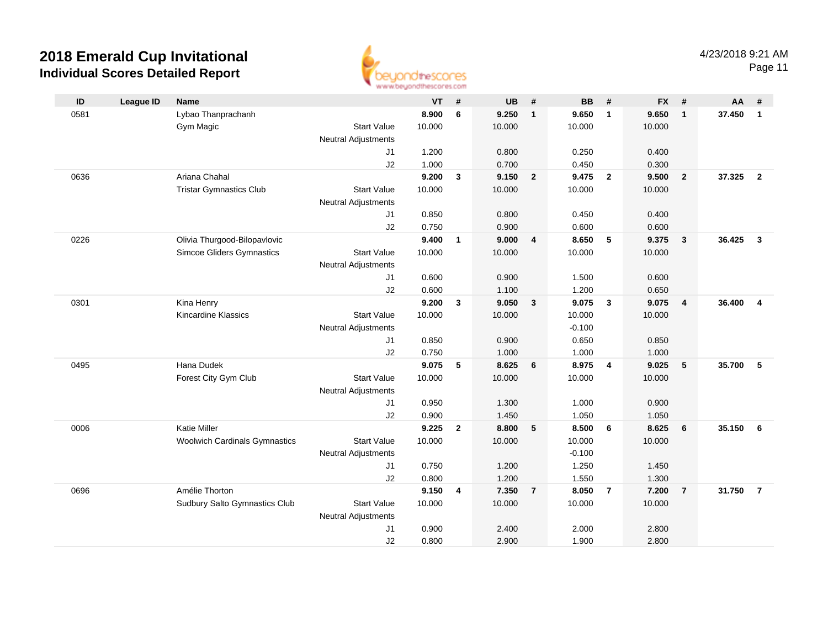

Page 11

| ID   | <b>League ID</b> | <b>Name</b>                                                      |                            | <b>VT</b>      | #              | <b>UB</b>      | #              | <b>BB</b>      | #              | <b>FX</b>      | #              | AA       | #                       |
|------|------------------|------------------------------------------------------------------|----------------------------|----------------|----------------|----------------|----------------|----------------|----------------|----------------|----------------|----------|-------------------------|
| 0581 |                  | Lybao Thanprachanh                                               |                            | 8.900          | 6              | 9.250          | $\mathbf{1}$   | 9.650          | $\mathbf{1}$   | 9.650          | $\overline{1}$ | 37.450   | $\overline{1}$          |
|      |                  | Gym Magic                                                        | <b>Start Value</b>         | 10.000         |                | 10.000         |                | 10.000         |                | 10.000         |                |          |                         |
|      |                  |                                                                  | <b>Neutral Adjustments</b> |                |                |                |                |                |                |                |                |          |                         |
|      |                  |                                                                  | J <sub>1</sub>             | 1.200          |                | 0.800          |                | 0.250          |                | 0.400          |                |          |                         |
|      |                  |                                                                  | J2                         | 1.000          |                | 0.700          |                | 0.450          |                | 0.300          |                |          |                         |
| 0636 |                  | Ariana Chahal                                                    |                            | 9.200          | 3              | 9.150          | $\overline{2}$ | 9.475          | $\overline{2}$ | 9.500          | $\overline{2}$ | 37.325   | $\overline{\mathbf{2}}$ |
|      |                  | <b>Tristar Gymnastics Club</b>                                   | <b>Start Value</b>         | 10.000         |                | 10.000         |                | 10.000         |                | 10.000         |                |          |                         |
|      |                  |                                                                  | <b>Neutral Adjustments</b> |                |                |                |                |                |                |                |                |          |                         |
|      |                  |                                                                  | J1                         | 0.850          |                | 0.800          |                | 0.450          |                | 0.400          |                |          |                         |
| 0226 |                  |                                                                  | J2                         | 0.750<br>9.400 | $\mathbf{1}$   | 0.900<br>9.000 | $\overline{4}$ | 0.600<br>8.650 | 5              | 0.600<br>9.375 | $\mathbf{3}$   | 36.425   | $\overline{\mathbf{3}}$ |
|      |                  | Olivia Thurgood-Bilopavlovic<br><b>Simcoe Gliders Gymnastics</b> | <b>Start Value</b>         | 10.000         |                | 10.000         |                | 10.000         |                | 10.000         |                |          |                         |
|      |                  |                                                                  | <b>Neutral Adjustments</b> |                |                |                |                |                |                |                |                |          |                         |
|      |                  |                                                                  | J1                         | 0.600          |                | 0.900          |                | 1.500          |                | 0.600          |                |          |                         |
|      |                  |                                                                  | J2                         | 0.600          |                | 1.100          |                | 1.200          |                | 0.650          |                |          |                         |
| 0301 |                  | Kina Henry                                                       |                            | 9.200          | $\mathbf{3}$   | 9.050          | $\mathbf{3}$   | 9.075          | $\mathbf{3}$   | 9.075          | $\overline{4}$ | 36,400   | $\overline{4}$          |
|      |                  | Kincardine Klassics                                              | <b>Start Value</b>         | 10.000         |                | 10.000         |                | 10.000         |                | 10.000         |                |          |                         |
|      |                  |                                                                  | Neutral Adjustments        |                |                |                |                | $-0.100$       |                |                |                |          |                         |
|      |                  |                                                                  | J1                         | 0.850          |                | 0.900          |                | 0.650          |                | 0.850          |                |          |                         |
|      |                  |                                                                  | J2                         | 0.750          |                | 1.000          |                | 1.000          |                | 1.000          |                |          |                         |
| 0495 |                  | Hana Dudek                                                       |                            | 9.075          | 5              | 8.625          | 6              | 8.975          | $\overline{4}$ | 9.025          | 5              | 35.700   | - 5                     |
|      |                  | Forest City Gym Club                                             | <b>Start Value</b>         | 10.000         |                | 10.000         |                | 10.000         |                | 10.000         |                |          |                         |
|      |                  |                                                                  | <b>Neutral Adjustments</b> |                |                |                |                |                |                |                |                |          |                         |
|      |                  |                                                                  | J1                         | 0.950          |                | 1.300          |                | 1.000          |                | 0.900          |                |          |                         |
|      |                  |                                                                  | J2                         | 0.900          |                | 1.450          |                | 1.050          |                | 1.050          |                |          |                         |
| 0006 |                  | <b>Katie Miller</b>                                              |                            | 9.225          | $\overline{2}$ | 8.800          | 5              | 8.500          | 6              | 8.625          | 6              | 35.150   | - 6                     |
|      |                  | <b>Woolwich Cardinals Gymnastics</b>                             | <b>Start Value</b>         | 10.000         |                | 10.000         |                | 10.000         |                | 10.000         |                |          |                         |
|      |                  |                                                                  | Neutral Adjustments        |                |                |                |                | $-0.100$       |                |                |                |          |                         |
|      |                  |                                                                  | J1                         | 0.750          |                | 1.200          |                | 1.250          |                | 1.450          |                |          |                         |
|      |                  |                                                                  | J2                         | 0.800          |                | 1.200          |                | 1.550          |                | 1.300          |                |          |                         |
| 0696 |                  | Amélie Thorton                                                   |                            | 9.150          | 4              | 7.350          | $\overline{7}$ | 8.050          | $\overline{7}$ | 7.200          | $\overline{7}$ | 31.750 7 |                         |
|      |                  | Sudbury Salto Gymnastics Club                                    | <b>Start Value</b>         | 10.000         |                | 10.000         |                | 10.000         |                | 10.000         |                |          |                         |
|      |                  |                                                                  | <b>Neutral Adjustments</b> |                |                |                |                |                |                |                |                |          |                         |
|      |                  |                                                                  | J1                         | 0.900          |                | 2.400          |                | 2.000          |                | 2.800          |                |          |                         |
|      |                  |                                                                  | J2                         | 0.800          |                | 2.900          |                | 1.900          |                | 2.800          |                |          |                         |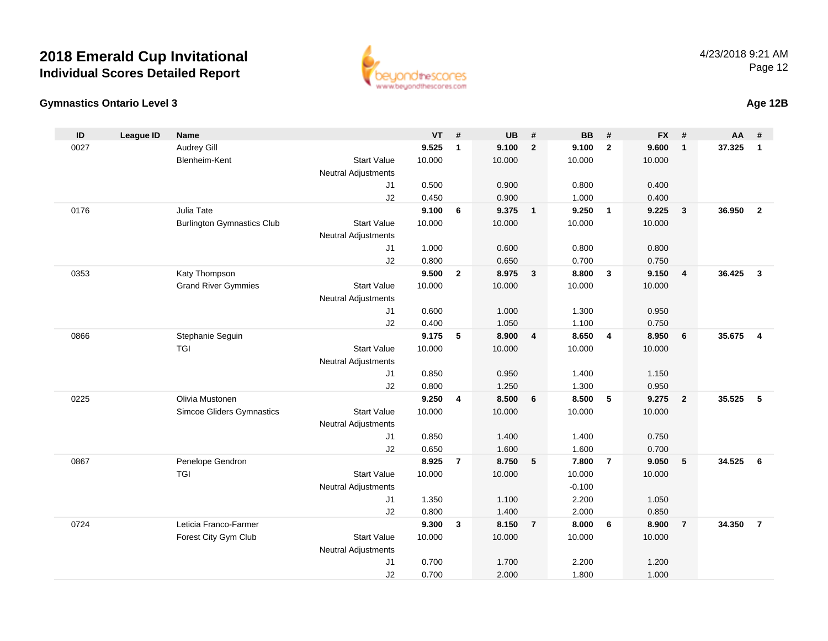



**Age 12B**

| 9.525<br>Audrey Gill<br>9.100<br>$\overline{2}$<br>9.100<br>9.600<br>37.325<br>0027<br>$\mathbf{1}$<br>$\overline{2}$<br>$\mathbf{1}$<br><b>Start Value</b><br>10.000<br>10.000<br>Blenheim-Kent<br>10.000<br>10.000<br><b>Neutral Adjustments</b><br>0.500<br>0.900<br>0.800<br>0.400<br>J1<br>0.450<br>J2<br>0.900<br>1.000<br>0.400 | $\mathbf{1}$<br>$\overline{2}$ |
|----------------------------------------------------------------------------------------------------------------------------------------------------------------------------------------------------------------------------------------------------------------------------------------------------------------------------------------|--------------------------------|
|                                                                                                                                                                                                                                                                                                                                        |                                |
|                                                                                                                                                                                                                                                                                                                                        |                                |
|                                                                                                                                                                                                                                                                                                                                        |                                |
|                                                                                                                                                                                                                                                                                                                                        |                                |
|                                                                                                                                                                                                                                                                                                                                        |                                |
| 0176<br>Julia Tate<br>9.100<br>9.375<br>9.250<br>36.950<br>6<br>$\overline{1}$<br>9.225<br>$\overline{\mathbf{3}}$<br>$\overline{1}$                                                                                                                                                                                                   |                                |
| <b>Burlington Gymnastics Club</b><br><b>Start Value</b><br>10.000<br>10.000<br>10.000<br>10.000                                                                                                                                                                                                                                        |                                |
| <b>Neutral Adjustments</b>                                                                                                                                                                                                                                                                                                             |                                |
| 1.000<br>J1<br>0.600<br>0.800<br>0.800                                                                                                                                                                                                                                                                                                 |                                |
| 0.800<br>J2<br>0.650<br>0.700<br>0.750                                                                                                                                                                                                                                                                                                 |                                |
| 9.500<br>8.975<br>8.800<br>36.425<br>0353<br>Katy Thompson<br>$\mathbf{2}$<br>$\mathbf{3}$<br>$\mathbf{3}$<br>9.150<br>$\overline{4}$                                                                                                                                                                                                  | $\mathbf{3}$                   |
| <b>Grand River Gymmies</b><br><b>Start Value</b><br>10.000<br>10.000<br>10.000<br>10.000                                                                                                                                                                                                                                               |                                |
| <b>Neutral Adjustments</b>                                                                                                                                                                                                                                                                                                             |                                |
| 0.600<br>1.000<br>J <sub>1</sub><br>1.300<br>0.950                                                                                                                                                                                                                                                                                     |                                |
| 0.400<br>1.050<br>J2<br>1.100<br>0.750                                                                                                                                                                                                                                                                                                 |                                |
| Stephanie Seguin<br>9.175<br>5<br>8.900<br>$\overline{4}$<br>8.650<br>$\overline{4}$<br>8.950<br>35.675<br>0866<br>6                                                                                                                                                                                                                   | $\overline{\mathbf{4}}$        |
| TGI<br><b>Start Value</b><br>10.000<br>10.000<br>10.000<br>10.000                                                                                                                                                                                                                                                                      |                                |
| <b>Neutral Adjustments</b>                                                                                                                                                                                                                                                                                                             |                                |
| 0.850<br>0.950<br>1.400<br>1.150<br>J1                                                                                                                                                                                                                                                                                                 |                                |
| J2<br>0.800<br>1.250<br>1.300<br>0.950<br>Olivia Mustonen<br>5                                                                                                                                                                                                                                                                         |                                |
| 0225<br>9.250<br>8.500<br>8.500<br>35.525<br>4<br>6<br>9.275<br>$\overline{2}$                                                                                                                                                                                                                                                         | 5                              |
| Simcoe Gliders Gymnastics<br><b>Start Value</b><br>10.000<br>10.000<br>10.000<br>10.000                                                                                                                                                                                                                                                |                                |
| <b>Neutral Adjustments</b><br>0.850<br>1.400<br>1.400<br>0.750<br>J1                                                                                                                                                                                                                                                                   |                                |
| J2<br>0.650<br>1.600<br>1.600<br>0.700                                                                                                                                                                                                                                                                                                 |                                |
| 0867<br>Penelope Gendron<br>8.925<br>$\overline{7}$<br>8.750<br>5<br>7.800<br>$\overline{7}$<br>9.050<br>5<br>34.525                                                                                                                                                                                                                   | - 6                            |
| <b>TGI</b><br><b>Start Value</b><br>10.000<br>10.000<br>10.000<br>10.000                                                                                                                                                                                                                                                               |                                |
| <b>Neutral Adjustments</b><br>$-0.100$                                                                                                                                                                                                                                                                                                 |                                |
| 1.350<br>1.100<br>2.200<br>1.050<br>J1                                                                                                                                                                                                                                                                                                 |                                |
| 0.800<br>1.400<br>J2<br>2.000<br>0.850                                                                                                                                                                                                                                                                                                 |                                |
| 0724<br>Leticia Franco-Farmer<br>9.300<br>8.150<br>8.000<br>6<br>8.900<br>34.350<br>3<br>$\overline{7}$<br>$\overline{7}$                                                                                                                                                                                                              | $\overline{7}$                 |
| Forest City Gym Club<br><b>Start Value</b><br>10.000<br>10.000<br>10.000<br>10.000                                                                                                                                                                                                                                                     |                                |
| <b>Neutral Adjustments</b>                                                                                                                                                                                                                                                                                                             |                                |
| J <sub>1</sub><br>0.700<br>1.700<br>2.200<br>1.200                                                                                                                                                                                                                                                                                     |                                |
| J2<br>0.700<br>2.000<br>1.800<br>1.000                                                                                                                                                                                                                                                                                                 |                                |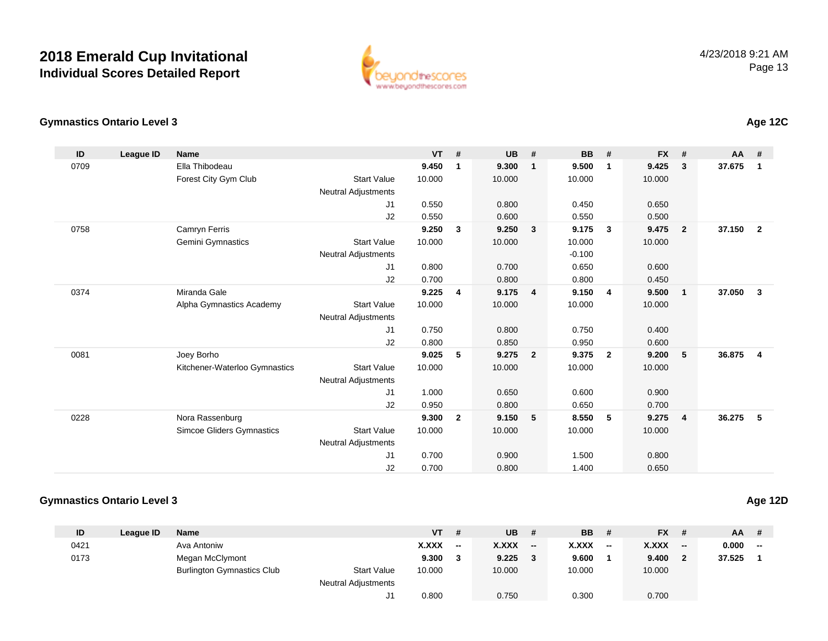

### **Gymnastics Ontario Level 3**

| 0709<br>Ella Thibodeau<br>9.450<br>9.300<br>9.500<br>9.425<br>$\mathbf{3}$<br>$\mathbf{1}$<br>$\mathbf{1}$<br>$\mathbf{1}$<br>Forest City Gym Club<br><b>Start Value</b><br>10.000<br>10.000<br>10.000<br>10.000<br><b>Neutral Adjustments</b><br>J <sub>1</sub><br>0.550<br>0.800<br>0.450<br>0.650<br>J2<br>0.550<br>0.600<br>0.500<br>0.550<br>9.250<br>9.475<br>0758<br>Camryn Ferris<br>$\mathbf{3}$<br>9.250<br>9.175<br>3<br>$\overline{2}$<br>- 3<br><b>Start Value</b><br><b>Gemini Gymnastics</b><br>10.000<br>10.000<br>10.000<br>10.000<br><b>Neutral Adjustments</b><br>$-0.100$<br>0.800<br>0.700<br>0.600<br>J1<br>0.650<br>0.700<br>J <sub>2</sub><br>0.800<br>0.800<br>0.450<br>Miranda Gale<br>0374<br>9.225<br>9.175<br>9.150<br>9.500<br>$\overline{4}$<br>$\overline{4}$<br>4<br>$\mathbf{1}$<br><b>Start Value</b><br>10.000<br>10.000<br>Alpha Gymnastics Academy<br>10.000<br>10.000<br><b>Neutral Adjustments</b><br>J <sub>1</sub><br>0.800<br>0.400<br>0.750<br>0.750<br>J2<br>0.800<br>0.850<br>0.950<br>0.600<br>0081<br>Joey Borho<br>9.025<br>5<br>9.275<br>9.200<br>5<br>$\overline{\mathbf{2}}$<br>9.375<br>$\mathbf{2}$<br>Kitchener-Waterloo Gymnastics<br><b>Start Value</b><br>10.000<br>10.000<br>10.000<br>10.000<br><b>Neutral Adjustments</b><br>J <sub>1</sub><br>1.000<br>0.650<br>0.600<br>0.900<br>J2<br>0.950<br>0.800<br>0.650<br>0.700<br>9.300<br>$\overline{2}$<br>9.150<br>5<br>5<br>9.275<br>0228<br>Nora Rassenburg<br>8.550<br>$\overline{4}$<br><b>Simcoe Gliders Gymnastics</b><br><b>Start Value</b><br>10.000<br>10.000<br>10.000<br>10.000 | $AA$ #                            | # | <b>FX</b> | # | <b>BB</b> | # | <b>UB</b> | # | <b>VT</b> | <b>Name</b> | <b>League ID</b> | ID |
|-------------------------------------------------------------------------------------------------------------------------------------------------------------------------------------------------------------------------------------------------------------------------------------------------------------------------------------------------------------------------------------------------------------------------------------------------------------------------------------------------------------------------------------------------------------------------------------------------------------------------------------------------------------------------------------------------------------------------------------------------------------------------------------------------------------------------------------------------------------------------------------------------------------------------------------------------------------------------------------------------------------------------------------------------------------------------------------------------------------------------------------------------------------------------------------------------------------------------------------------------------------------------------------------------------------------------------------------------------------------------------------------------------------------------------------------------------------------------------------------------------------------------------------------------------------------------------------------------------|-----------------------------------|---|-----------|---|-----------|---|-----------|---|-----------|-------------|------------------|----|
|                                                                                                                                                                                                                                                                                                                                                                                                                                                                                                                                                                                                                                                                                                                                                                                                                                                                                                                                                                                                                                                                                                                                                                                                                                                                                                                                                                                                                                                                                                                                                                                                       | 37.675<br>$\overline{\mathbf{1}}$ |   |           |   |           |   |           |   |           |             |                  |    |
|                                                                                                                                                                                                                                                                                                                                                                                                                                                                                                                                                                                                                                                                                                                                                                                                                                                                                                                                                                                                                                                                                                                                                                                                                                                                                                                                                                                                                                                                                                                                                                                                       |                                   |   |           |   |           |   |           |   |           |             |                  |    |
|                                                                                                                                                                                                                                                                                                                                                                                                                                                                                                                                                                                                                                                                                                                                                                                                                                                                                                                                                                                                                                                                                                                                                                                                                                                                                                                                                                                                                                                                                                                                                                                                       |                                   |   |           |   |           |   |           |   |           |             |                  |    |
|                                                                                                                                                                                                                                                                                                                                                                                                                                                                                                                                                                                                                                                                                                                                                                                                                                                                                                                                                                                                                                                                                                                                                                                                                                                                                                                                                                                                                                                                                                                                                                                                       |                                   |   |           |   |           |   |           |   |           |             |                  |    |
|                                                                                                                                                                                                                                                                                                                                                                                                                                                                                                                                                                                                                                                                                                                                                                                                                                                                                                                                                                                                                                                                                                                                                                                                                                                                                                                                                                                                                                                                                                                                                                                                       |                                   |   |           |   |           |   |           |   |           |             |                  |    |
|                                                                                                                                                                                                                                                                                                                                                                                                                                                                                                                                                                                                                                                                                                                                                                                                                                                                                                                                                                                                                                                                                                                                                                                                                                                                                                                                                                                                                                                                                                                                                                                                       | 37.150<br>$\overline{2}$          |   |           |   |           |   |           |   |           |             |                  |    |
|                                                                                                                                                                                                                                                                                                                                                                                                                                                                                                                                                                                                                                                                                                                                                                                                                                                                                                                                                                                                                                                                                                                                                                                                                                                                                                                                                                                                                                                                                                                                                                                                       |                                   |   |           |   |           |   |           |   |           |             |                  |    |
|                                                                                                                                                                                                                                                                                                                                                                                                                                                                                                                                                                                                                                                                                                                                                                                                                                                                                                                                                                                                                                                                                                                                                                                                                                                                                                                                                                                                                                                                                                                                                                                                       |                                   |   |           |   |           |   |           |   |           |             |                  |    |
|                                                                                                                                                                                                                                                                                                                                                                                                                                                                                                                                                                                                                                                                                                                                                                                                                                                                                                                                                                                                                                                                                                                                                                                                                                                                                                                                                                                                                                                                                                                                                                                                       |                                   |   |           |   |           |   |           |   |           |             |                  |    |
|                                                                                                                                                                                                                                                                                                                                                                                                                                                                                                                                                                                                                                                                                                                                                                                                                                                                                                                                                                                                                                                                                                                                                                                                                                                                                                                                                                                                                                                                                                                                                                                                       |                                   |   |           |   |           |   |           |   |           |             |                  |    |
|                                                                                                                                                                                                                                                                                                                                                                                                                                                                                                                                                                                                                                                                                                                                                                                                                                                                                                                                                                                                                                                                                                                                                                                                                                                                                                                                                                                                                                                                                                                                                                                                       | 37.050<br>$\mathbf{3}$            |   |           |   |           |   |           |   |           |             |                  |    |
|                                                                                                                                                                                                                                                                                                                                                                                                                                                                                                                                                                                                                                                                                                                                                                                                                                                                                                                                                                                                                                                                                                                                                                                                                                                                                                                                                                                                                                                                                                                                                                                                       |                                   |   |           |   |           |   |           |   |           |             |                  |    |
|                                                                                                                                                                                                                                                                                                                                                                                                                                                                                                                                                                                                                                                                                                                                                                                                                                                                                                                                                                                                                                                                                                                                                                                                                                                                                                                                                                                                                                                                                                                                                                                                       |                                   |   |           |   |           |   |           |   |           |             |                  |    |
|                                                                                                                                                                                                                                                                                                                                                                                                                                                                                                                                                                                                                                                                                                                                                                                                                                                                                                                                                                                                                                                                                                                                                                                                                                                                                                                                                                                                                                                                                                                                                                                                       |                                   |   |           |   |           |   |           |   |           |             |                  |    |
|                                                                                                                                                                                                                                                                                                                                                                                                                                                                                                                                                                                                                                                                                                                                                                                                                                                                                                                                                                                                                                                                                                                                                                                                                                                                                                                                                                                                                                                                                                                                                                                                       |                                   |   |           |   |           |   |           |   |           |             |                  |    |
|                                                                                                                                                                                                                                                                                                                                                                                                                                                                                                                                                                                                                                                                                                                                                                                                                                                                                                                                                                                                                                                                                                                                                                                                                                                                                                                                                                                                                                                                                                                                                                                                       | 36.875<br>$\overline{4}$          |   |           |   |           |   |           |   |           |             |                  |    |
|                                                                                                                                                                                                                                                                                                                                                                                                                                                                                                                                                                                                                                                                                                                                                                                                                                                                                                                                                                                                                                                                                                                                                                                                                                                                                                                                                                                                                                                                                                                                                                                                       |                                   |   |           |   |           |   |           |   |           |             |                  |    |
|                                                                                                                                                                                                                                                                                                                                                                                                                                                                                                                                                                                                                                                                                                                                                                                                                                                                                                                                                                                                                                                                                                                                                                                                                                                                                                                                                                                                                                                                                                                                                                                                       |                                   |   |           |   |           |   |           |   |           |             |                  |    |
|                                                                                                                                                                                                                                                                                                                                                                                                                                                                                                                                                                                                                                                                                                                                                                                                                                                                                                                                                                                                                                                                                                                                                                                                                                                                                                                                                                                                                                                                                                                                                                                                       |                                   |   |           |   |           |   |           |   |           |             |                  |    |
|                                                                                                                                                                                                                                                                                                                                                                                                                                                                                                                                                                                                                                                                                                                                                                                                                                                                                                                                                                                                                                                                                                                                                                                                                                                                                                                                                                                                                                                                                                                                                                                                       |                                   |   |           |   |           |   |           |   |           |             |                  |    |
|                                                                                                                                                                                                                                                                                                                                                                                                                                                                                                                                                                                                                                                                                                                                                                                                                                                                                                                                                                                                                                                                                                                                                                                                                                                                                                                                                                                                                                                                                                                                                                                                       | 36.275<br>- 5                     |   |           |   |           |   |           |   |           |             |                  |    |
|                                                                                                                                                                                                                                                                                                                                                                                                                                                                                                                                                                                                                                                                                                                                                                                                                                                                                                                                                                                                                                                                                                                                                                                                                                                                                                                                                                                                                                                                                                                                                                                                       |                                   |   |           |   |           |   |           |   |           |             |                  |    |
| <b>Neutral Adjustments</b>                                                                                                                                                                                                                                                                                                                                                                                                                                                                                                                                                                                                                                                                                                                                                                                                                                                                                                                                                                                                                                                                                                                                                                                                                                                                                                                                                                                                                                                                                                                                                                            |                                   |   |           |   |           |   |           |   |           |             |                  |    |
| 0.700<br>0.900<br>1.500<br>0.800<br>J1                                                                                                                                                                                                                                                                                                                                                                                                                                                                                                                                                                                                                                                                                                                                                                                                                                                                                                                                                                                                                                                                                                                                                                                                                                                                                                                                                                                                                                                                                                                                                                |                                   |   |           |   |           |   |           |   |           |             |                  |    |
| J2<br>0.700<br>0.800<br>0.650<br>1.400                                                                                                                                                                                                                                                                                                                                                                                                                                                                                                                                                                                                                                                                                                                                                                                                                                                                                                                                                                                                                                                                                                                                                                                                                                                                                                                                                                                                                                                                                                                                                                |                                   |   |           |   |           |   |           |   |           |             |                  |    |

#### **Gymnastics Ontario Level 3Age 12D**

| ID   | League ID | <b>Name</b>                       |                            | <b>VT</b> | #      | <b>UB</b> | #                        | <b>BB</b>    | #            | <b>FX</b> | #                        | $AA$ # |                          |
|------|-----------|-----------------------------------|----------------------------|-----------|--------|-----------|--------------------------|--------------|--------------|-----------|--------------------------|--------|--------------------------|
| 0421 |           | Ava Antoniw                       |                            | X.XXX     | $\sim$ | X.XXX     | $\overline{\phantom{a}}$ | <b>X.XXX</b> | $\mathbf{u}$ | X.XXX     | $\overline{\phantom{a}}$ | 0.000  | $\overline{\phantom{a}}$ |
| 0173 |           | Megan McClymont                   |                            | 9.300     |        | 9.225     |                          | 9.600        |              | 9.400     |                          | 37.525 |                          |
|      |           | <b>Burlington Gymnastics Club</b> | <b>Start Value</b>         | 10.000    |        | 10.000    |                          | 10.000       |              | 10.000    |                          |        |                          |
|      |           |                                   | <b>Neutral Adjustments</b> |           |        |           |                          |              |              |           |                          |        |                          |
|      |           |                                   | ال                         | 0.800     |        | 0.750     |                          | 0.300        |              | 0.700     |                          |        |                          |

### **Age 12C**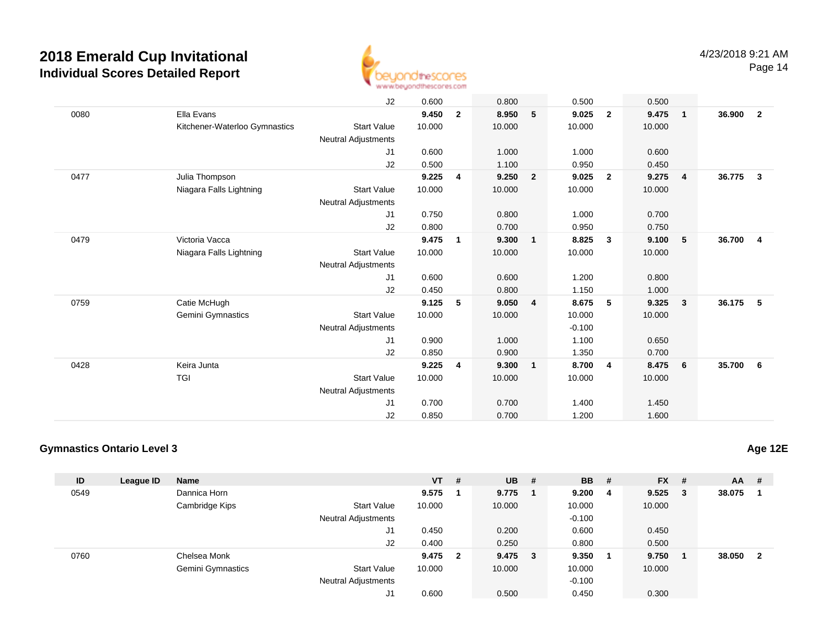

Page 14

|      |                               | J2                         | 0.600  |                | 0.800  |                | 0.500    |                | 0.500  |                 |          |                         |
|------|-------------------------------|----------------------------|--------|----------------|--------|----------------|----------|----------------|--------|-----------------|----------|-------------------------|
| 0080 | Ella Evans                    |                            | 9.450  | $\overline{2}$ | 8.950  | 5              | 9.025    | $\mathbf{2}$   | 9.475  | $\overline{1}$  | 36.900   | $\overline{\mathbf{2}}$ |
|      | Kitchener-Waterloo Gymnastics | <b>Start Value</b>         | 10.000 |                | 10.000 |                | 10.000   |                | 10.000 |                 |          |                         |
|      |                               | Neutral Adjustments        |        |                |        |                |          |                |        |                 |          |                         |
|      |                               | J1                         | 0.600  |                | 1.000  |                | 1.000    |                | 0.600  |                 |          |                         |
|      |                               | J2                         | 0.500  |                | 1.100  |                | 0.950    |                | 0.450  |                 |          |                         |
| 0477 | Julia Thompson                |                            | 9.225  | 4              | 9.250  | $\overline{2}$ | 9.025    | $\overline{2}$ | 9.275  | $\overline{4}$  | 36.775   | $\overline{\mathbf{3}}$ |
|      | Niagara Falls Lightning       | <b>Start Value</b>         | 10.000 |                | 10.000 |                | 10.000   |                | 10.000 |                 |          |                         |
|      |                               | Neutral Adjustments        |        |                |        |                |          |                |        |                 |          |                         |
|      |                               | J1                         | 0.750  |                | 0.800  |                | 1.000    |                | 0.700  |                 |          |                         |
|      |                               | J2                         | 0.800  |                | 0.700  |                | 0.950    |                | 0.750  |                 |          |                         |
| 0479 | Victoria Vacca                |                            | 9.475  | $\mathbf{1}$   | 9.300  | $\mathbf{1}$   | 8.825    | 3              | 9.100  | 5               | 36.700 4 |                         |
|      | Niagara Falls Lightning       | <b>Start Value</b>         | 10.000 |                | 10.000 |                | 10.000   |                | 10.000 |                 |          |                         |
|      |                               | Neutral Adjustments        |        |                |        |                |          |                |        |                 |          |                         |
|      |                               | J1                         | 0.600  |                | 0.600  |                | 1.200    |                | 0.800  |                 |          |                         |
|      |                               | J2                         | 0.450  |                | 0.800  |                | 1.150    |                | 1.000  |                 |          |                         |
| 0759 | Catie McHugh                  |                            | 9.125  | 5              | 9.050  | 4              | 8.675    | 5              | 9.325  | $\mathbf{3}$    | 36.175 5 |                         |
|      | Gemini Gymnastics             | <b>Start Value</b>         | 10.000 |                | 10.000 |                | 10.000   |                | 10.000 |                 |          |                         |
|      |                               | Neutral Adjustments        |        |                |        |                | $-0.100$ |                |        |                 |          |                         |
|      |                               | J1                         | 0.900  |                | 1.000  |                | 1.100    |                | 0.650  |                 |          |                         |
|      |                               | J2                         | 0.850  |                | 0.900  |                | 1.350    |                | 0.700  |                 |          |                         |
| 0428 | Keira Junta                   |                            | 9.225  | 4              | 9.300  | $\mathbf{1}$   | 8.700    | $\overline{4}$ | 8.475  | $6\overline{6}$ | 35.700 6 |                         |
|      | <b>TGI</b>                    | <b>Start Value</b>         | 10.000 |                | 10.000 |                | 10.000   |                | 10.000 |                 |          |                         |
|      |                               | <b>Neutral Adjustments</b> |        |                |        |                |          |                |        |                 |          |                         |
|      |                               | J <sub>1</sub>             | 0.700  |                | 0.700  |                | 1.400    |                | 1.450  |                 |          |                         |
|      |                               | J2                         | 0.850  |                | 0.700  |                | 1.200    |                | 1.600  |                 |          |                         |

### **Gymnastics Ontario Level 3**

| ID   | League ID | <b>Name</b>              |                            | $VT$ # |                         | $UB$ #    | <b>BB</b> | # | $FX$ # |        | AA     | #   |
|------|-----------|--------------------------|----------------------------|--------|-------------------------|-----------|-----------|---|--------|--------|--------|-----|
| 0549 |           | Dannica Horn             |                            | 9.575  |                         | 9.775     | 9.200 4   |   | 9.525  | $_{3}$ | 38.075 |     |
|      |           | Cambridge Kips           | <b>Start Value</b>         | 10.000 |                         | 10.000    | 10.000    |   | 10.000 |        |        |     |
|      |           |                          | <b>Neutral Adjustments</b> |        |                         |           | $-0.100$  |   |        |        |        |     |
|      |           |                          | J1                         | 0.450  |                         | 0.200     | 0.600     |   | 0.450  |        |        |     |
|      |           |                          | J2                         | 0.400  |                         | 0.250     | 0.800     |   | 0.500  |        |        |     |
| 0760 |           | Chelsea Monk             |                            | 9.475  | $\overline{\mathbf{2}}$ | $9.475$ 3 | 9.350     |   | 9.750  |        | 38.050 | - 2 |
|      |           | <b>Gemini Gymnastics</b> | <b>Start Value</b>         | 10.000 |                         | 10.000    | 10.000    |   | 10.000 |        |        |     |
|      |           |                          | <b>Neutral Adjustments</b> |        |                         |           | $-0.100$  |   |        |        |        |     |
|      |           |                          | J1                         | 0.600  |                         | 0.500     | 0.450     |   | 0.300  |        |        |     |

**Age 12E**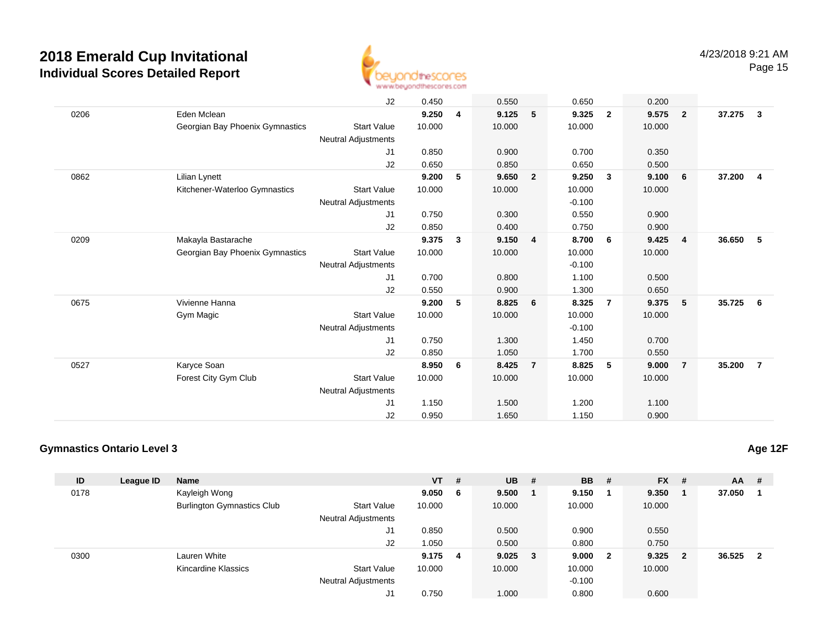

Page 15

|      |                                 | J2                         | 0.450  |              | 0.550  |                | 0.650    |              | 0.200  |                         |          |                         |
|------|---------------------------------|----------------------------|--------|--------------|--------|----------------|----------|--------------|--------|-------------------------|----------|-------------------------|
| 0206 | Eden Mclean                     |                            | 9.250  | 4            | 9.125  | 5              | 9.325    | $\mathbf{2}$ | 9.575  | $\overline{\mathbf{2}}$ | 37.275   | $\overline{\mathbf{3}}$ |
|      | Georgian Bay Phoenix Gymnastics | <b>Start Value</b>         | 10.000 |              | 10.000 |                | 10.000   |              | 10.000 |                         |          |                         |
|      |                                 | Neutral Adjustments        |        |              |        |                |          |              |        |                         |          |                         |
|      |                                 | J1                         | 0.850  |              | 0.900  |                | 0.700    |              | 0.350  |                         |          |                         |
|      |                                 | J2                         | 0.650  |              | 0.850  |                | 0.650    |              | 0.500  |                         |          |                         |
| 0862 | Lilian Lynett                   |                            | 9.200  | 5            | 9.650  | $\overline{2}$ | 9.250    | $\mathbf{3}$ | 9.100  | 6                       | 37.200   | $\overline{\mathbf{4}}$ |
|      | Kitchener-Waterloo Gymnastics   | <b>Start Value</b>         | 10.000 |              | 10.000 |                | 10.000   |              | 10.000 |                         |          |                         |
|      |                                 | Neutral Adjustments        |        |              |        |                | $-0.100$ |              |        |                         |          |                         |
|      |                                 | J <sub>1</sub>             | 0.750  |              | 0.300  |                | 0.550    |              | 0.900  |                         |          |                         |
|      |                                 | J2                         | 0.850  |              | 0.400  |                | 0.750    |              | 0.900  |                         |          |                         |
| 0209 | Makayla Bastarache              |                            | 9.375  | $\mathbf{3}$ | 9.150  | 4              | 8.700    | 6            | 9.425  | $\overline{4}$          | 36.650   | - 5                     |
|      | Georgian Bay Phoenix Gymnastics | <b>Start Value</b>         | 10.000 |              | 10.000 |                | 10.000   |              | 10.000 |                         |          |                         |
|      |                                 | <b>Neutral Adjustments</b> |        |              |        |                | $-0.100$ |              |        |                         |          |                         |
|      |                                 | J1                         | 0.700  |              | 0.800  |                | 1.100    |              | 0.500  |                         |          |                         |
|      |                                 | J2                         | 0.550  |              | 0.900  |                | 1.300    |              | 0.650  |                         |          |                         |
| 0675 | Vivienne Hanna                  |                            | 9.200  | 5            | 8.825  | 6              | 8.325    | 7            | 9.375  | 5                       | 35.725 6 |                         |
|      | Gym Magic                       | <b>Start Value</b>         | 10.000 |              | 10.000 |                | 10.000   |              | 10.000 |                         |          |                         |
|      |                                 | <b>Neutral Adjustments</b> |        |              |        |                | $-0.100$ |              |        |                         |          |                         |
|      |                                 | J <sub>1</sub>             | 0.750  |              | 1.300  |                | 1.450    |              | 0.700  |                         |          |                         |
|      |                                 | J2                         | 0.850  |              | 1.050  |                | 1.700    |              | 0.550  |                         |          |                         |
| 0527 | Karyce Soan                     |                            | 8.950  | 6            | 8.425  | $\overline{7}$ | 8.825    | 5            | 9.000  | $\overline{7}$          | 35.200   | $\overline{7}$          |
|      | Forest City Gym Club            | <b>Start Value</b>         | 10.000 |              | 10.000 |                | 10.000   |              | 10.000 |                         |          |                         |
|      |                                 | <b>Neutral Adjustments</b> |        |              |        |                |          |              |        |                         |          |                         |
|      |                                 | J <sub>1</sub>             | 1.150  |              | 1.500  |                | 1.200    |              | 1.100  |                         |          |                         |
|      |                                 | J <sub>2</sub>             | 0.950  |              | 1.650  |                | 1.150    |              | 0.900  |                         |          |                         |

### **Gymnastics Ontario Level 3**

| ID   | League ID | <b>Name</b>                       |                            | $VT$ # |     | <b>UB</b>   | - # | <b>BB</b> | - #                     | <b>FX</b> | - # | <b>AA</b> | #            |
|------|-----------|-----------------------------------|----------------------------|--------|-----|-------------|-----|-----------|-------------------------|-----------|-----|-----------|--------------|
| 0178 |           | Kayleigh Wong                     |                            | 9.050  | - 6 | 9.500       |     | 9.150     |                         | 9.350     | - 1 | 37.050    |              |
|      |           | <b>Burlington Gymnastics Club</b> | <b>Start Value</b>         | 10.000 |     | 10.000      |     | 10.000    |                         | 10.000    |     |           |              |
|      |           |                                   | <b>Neutral Adjustments</b> |        |     |             |     |           |                         |           |     |           |              |
|      |           |                                   | J1                         | 0.850  |     | 0.500       |     | 0.900     |                         | 0.550     |     |           |              |
|      |           |                                   | J2                         | 1.050  |     | 0.500       |     | 0.800     |                         | 0.750     |     |           |              |
| 0300 |           | Lauren White                      |                            | 9.175  | 4   | $9.025 \t3$ |     | 9.000     | $\overline{\mathbf{2}}$ | 9.325     | - 2 | 36.525    | $\mathbf{2}$ |
|      |           | Kincardine Klassics               | <b>Start Value</b>         | 10.000 |     | 10.000      |     | 10.000    |                         | 10.000    |     |           |              |
|      |           |                                   | <b>Neutral Adjustments</b> |        |     |             |     | $-0.100$  |                         |           |     |           |              |
|      |           |                                   | J1                         | 0.750  |     | 1.000       |     | 0.800     |                         | 0.600     |     |           |              |

**Age 12F**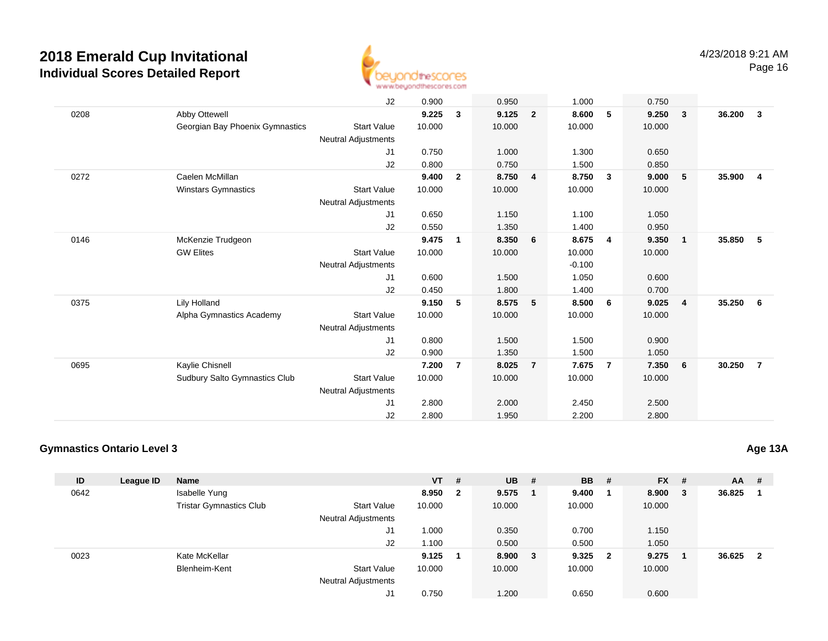

J2 0.900 0.950 1.000 0.750 0208 Abby Ottewell **9.225 <sup>3</sup> 9.125 <sup>2</sup> 8.600 <sup>5</sup> 9.250 <sup>3</sup> 36.200 <sup>3</sup>** Georgian Bay Phoenix Gymnastics Start Valuee 10.000 10.000 10.000 10.000 Neutral Adjustments J1 0.750 1.000 1.300 0.650 J2 0.800 0.750 1.500 0.850 0272 Caelen McMillan **9.400 <sup>2</sup> 8.750 <sup>4</sup> 8.750 <sup>3</sup> 9.000 <sup>5</sup> 35.900 <sup>4</sup>** Winstars Gymnastics Start Valuee 10.000 10.000 10.000 10.000 Neutral Adjustments J1 0.650 1.150 1.100 1.050 J2 0.550 1.350 1.400 0.950 0146 McKenzie Trudgeon **9.475 <sup>1</sup> 8.350 <sup>6</sup> 8.675 <sup>4</sup> 9.350 <sup>1</sup> 35.850 <sup>5</sup>** GW Elites Start Valuee 10.000 10.000 10.000 10.000 Neutral Adjustments $\sim$  -0.100 1.050 J1 0.600 1.500 1.050 0.600 J2 0.450 1.800 1.400 0.700 0375 Lily Holland **9.150 <sup>5</sup> 8.575 <sup>5</sup> 8.500 <sup>6</sup> 9.025 <sup>4</sup> 35.250 <sup>6</sup>** Alpha Gymnastics Academy Start Valuee 10.000 10.000 10.000 10.000 Neutral Adjustments J1 0.800 1.500 1.500 0.900 J2 0.900 1.350 1.500 1.050 0695 Kaylie Chisnell **7.200 <sup>7</sup> 8.025 <sup>7</sup> 7.675 <sup>7</sup> 7.350 <sup>6</sup> 30.250 <sup>7</sup>** Sudbury Salto Gymnastics Clubb Start Value 10.000 10.000 10.000 10.000 10.000 Neutral Adjustments J1 2.800 2.000 2.450 2.500 J22.800 1.950 2.200 2.800

#### **Gymnastics Ontario Level 3**

**ID League ID Name VT # UB # BB # FX # AA #** 0642 Isabelle Yung **8.950 <sup>2</sup> 9.575 <sup>1</sup> 9.400 <sup>1</sup> 8.900 <sup>3</sup> 36.825 <sup>1</sup>** Tristar Gymnastics Clubb 3tart Value 10.000 10.000 10.000 10.000 10.000 Neutral Adjustments J1 1.000 0.350 0.700 1.150 J2 1.100 0.500 0.500 1.050 0023 Kate McKellar **9.125 <sup>1</sup> 8.900 <sup>3</sup> 9.325 <sup>2</sup> 9.275 <sup>1</sup> 36.625 <sup>2</sup>** Blenheim-Kent Start Valuee 10.000 10.000 10.000 10.000 Neutral Adjustments J10.750 1.200 0.650 0.600

**Age 13A**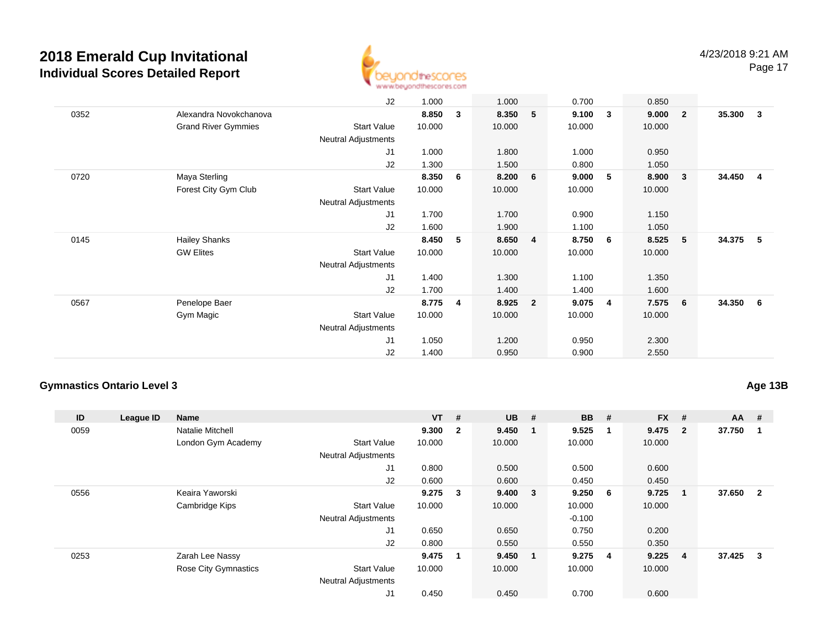

Page 17

|      |                            | J2                         | 1.000  |   | 1.000  |                | 0.700  |   | 0.850  |                         |        |                         |
|------|----------------------------|----------------------------|--------|---|--------|----------------|--------|---|--------|-------------------------|--------|-------------------------|
| 0352 | Alexandra Novokchanova     |                            | 8.850  | 3 | 8.350  | 5              | 9.100  | 3 | 9.000  | $\overline{\mathbf{2}}$ | 35.300 | $\overline{\mathbf{3}}$ |
|      | <b>Grand River Gymmies</b> | Start Value                | 10.000 |   | 10.000 |                | 10.000 |   | 10.000 |                         |        |                         |
|      |                            | Neutral Adjustments        |        |   |        |                |        |   |        |                         |        |                         |
|      |                            | J1                         | 1.000  |   | 1.800  |                | 1.000  |   | 0.950  |                         |        |                         |
|      |                            | J2                         | 1.300  |   | 1.500  |                | 0.800  |   | 1.050  |                         |        |                         |
| 0720 | Maya Sterling              |                            | 8.350  | 6 | 8.200  | 6              | 9.000  | 5 | 8.900  | $\overline{\mathbf{3}}$ | 34.450 | $\overline{4}$          |
|      | Forest City Gym Club       | Start Value                | 10.000 |   | 10.000 |                | 10.000 |   | 10.000 |                         |        |                         |
|      |                            | <b>Neutral Adjustments</b> |        |   |        |                |        |   |        |                         |        |                         |
|      |                            | J <sub>1</sub>             | 1.700  |   | 1.700  |                | 0.900  |   | 1.150  |                         |        |                         |
|      |                            | J2                         | 1.600  |   | 1.900  |                | 1.100  |   | 1.050  |                         |        |                         |
| 0145 | <b>Hailey Shanks</b>       |                            | 8.450  | 5 | 8.650  | $\overline{4}$ | 8.750  | 6 | 8.525  | 5 <sub>5</sub>          | 34.375 | - 5                     |
|      | <b>GW Elites</b>           | <b>Start Value</b>         | 10.000 |   | 10.000 |                | 10.000 |   | 10.000 |                         |        |                         |
|      |                            | <b>Neutral Adjustments</b> |        |   |        |                |        |   |        |                         |        |                         |
|      |                            | J1                         | 1.400  |   | 1.300  |                | 1.100  |   | 1.350  |                         |        |                         |
|      |                            | J2                         | 1.700  |   | 1.400  |                | 1.400  |   | 1.600  |                         |        |                         |
| 0567 | Penelope Baer              |                            | 8.775  | 4 | 8.925  | $\overline{2}$ | 9.075  | 4 | 7.575  | $6\phantom{.0}6$        | 34.350 | $6\overline{6}$         |
|      | Gym Magic                  | Start Value                | 10.000 |   | 10.000 |                | 10.000 |   | 10.000 |                         |        |                         |
|      |                            | Neutral Adjustments        |        |   |        |                |        |   |        |                         |        |                         |
|      |                            | J1                         | 1.050  |   | 1.200  |                | 0.950  |   | 2.300  |                         |        |                         |
|      |                            | J2                         | 1.400  |   | 0.950  |                | 0.900  |   | 2.550  |                         |        |                         |

### **Gymnastics Ontario Level 3**

**Age 13B**

| ID   | League ID | <b>Name</b>                 |                            | $VT$ # |                | $UB$ # |                         | <b>BB</b> | #              | <b>FX</b> | #              | $AA$ # |                |
|------|-----------|-----------------------------|----------------------------|--------|----------------|--------|-------------------------|-----------|----------------|-----------|----------------|--------|----------------|
| 0059 |           | <b>Natalie Mitchell</b>     |                            | 9.300  | $\overline{2}$ | 9.450  |                         | 9.525     | -1             | 9.475     | $\overline{2}$ | 37.750 |                |
|      |           | London Gym Academy          | <b>Start Value</b>         | 10.000 |                | 10.000 |                         | 10.000    |                | 10.000    |                |        |                |
|      |           |                             | <b>Neutral Adjustments</b> |        |                |        |                         |           |                |           |                |        |                |
|      |           |                             | J1                         | 0.800  |                | 0.500  |                         | 0.500     |                | 0.600     |                |        |                |
|      |           |                             | J2                         | 0.600  |                | 0.600  |                         | 0.450     |                | 0.450     |                |        |                |
| 0556 |           | Keaira Yaworski             |                            | 9.275  | 3              | 9.400  | $\overline{\mathbf{3}}$ | 9.250     | - 6            | 9.725     | $\mathbf 1$    | 37.650 | $\overline{2}$ |
|      |           | Cambridge Kips              | <b>Start Value</b>         | 10.000 |                | 10.000 |                         | 10.000    |                | 10.000    |                |        |                |
|      |           |                             | <b>Neutral Adjustments</b> |        |                |        |                         | $-0.100$  |                |           |                |        |                |
|      |           |                             | J1                         | 0.650  |                | 0.650  |                         | 0.750     |                | 0.200     |                |        |                |
|      |           |                             | J2                         | 0.800  |                | 0.550  |                         | 0.550     |                | 0.350     |                |        |                |
| 0253 |           | Zarah Lee Nassy             |                            | 9.475  | 1              | 9.450  |                         | 9.275     | $\overline{4}$ | 9.225     | $\overline{4}$ | 37.425 | 3              |
|      |           | <b>Rose City Gymnastics</b> | <b>Start Value</b>         | 10.000 |                | 10.000 |                         | 10.000    |                | 10.000    |                |        |                |
|      |           |                             | <b>Neutral Adjustments</b> |        |                |        |                         |           |                |           |                |        |                |
|      |           |                             | J1                         | 0.450  |                | 0.450  |                         | 0.700     |                | 0.600     |                |        |                |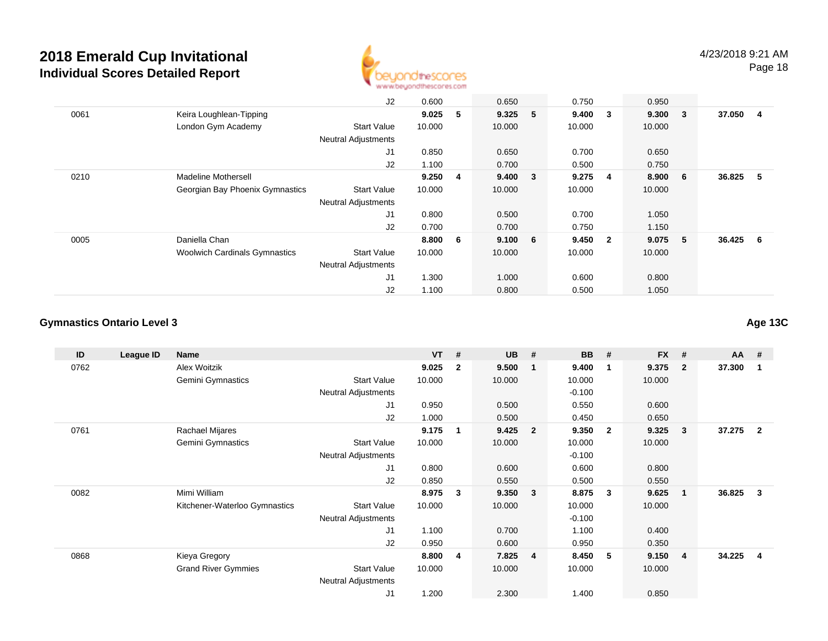

J2 0.600 0.650 0.750 0.950 0061 Keira Loughlean-Tipping **9.025 <sup>5</sup> 9.325 <sup>5</sup> 9.400 <sup>3</sup> 9.300 <sup>3</sup> 37.050 <sup>4</sup>** London Gym Academy Start Valuee 10.000 10.000 10.000 10.000 Neutral Adjustments J1 0.850 0.650 0.700 0.650 J2 1.100 0.700 0.500 0.750 0210 Madeline Mothersell **9.250 <sup>4</sup> 9.400 <sup>3</sup> 9.275 <sup>4</sup> 8.900 <sup>6</sup> 36.825 <sup>5</sup>** Georgian Bay Phoenix Gymnastics Start Valuee 10.000 10.000 10.000 10.000 Neutral Adjustments J1 0.800 0.500 0.700 1.050 J2 0.700 0.700 0.750 1.150 0005 Daniella Chan **8.800 <sup>6</sup> 9.100 <sup>6</sup> 9.450 <sup>2</sup> 9.075 <sup>5</sup> 36.425 <sup>6</sup>** Woolwich Cardinals Gymnastics Start Valuee 10.000 10.000 10.000 10.000 Neutral Adjustments J1 1.300 1.000 0.600 0.800 J21.100 0.800 0.500 1.050

#### **Gymnastics Ontario Level 3**

**ID League ID Name VT # UB # BB # FX # AA #** 0762 Alex Woitzik **9.025 <sup>2</sup> 9.500 <sup>1</sup> 9.400 <sup>1</sup> 9.375 <sup>2</sup> 37.300 <sup>1</sup>** Gemini Gymnastics Start Valuee 10.000 10.000 10.000 10.000 Neutral Adjustments $-0.100$ 0.550 J1 0.950 0.500 0.550 0.600 J2 1.000 0.500 0.450 0.650 0761 Rachael Mijares **9.175 <sup>1</sup> 9.425 <sup>2</sup> 9.350 <sup>2</sup> 9.325 <sup>3</sup> 37.275 <sup>2</sup>** Gemini Gymnastics Start Valuee 10.000 10.000 10.000 10.000 Neutral Adjustments $-0.100$ 0.600 J1 0.800 0.600 0.600 0.800 J2 0.850 0.550 0.500 0.550 0082 Mimi William **8.975 <sup>3</sup> 9.350 <sup>3</sup> 8.875 <sup>3</sup> 9.625 <sup>1</sup> 36.825 <sup>3</sup>** Kitchener-Waterloo Gymnastics Start Valuee 10.000 10.000 10.000 10.000 Neutral Adjustments $-0.100$ 1.100 J1 1.100 0.700 1.100 0.400 J2 0.950 0.600 0.950 0.350 0868 Kieya Gregory **8.800 <sup>4</sup> 7.825 <sup>4</sup> 8.450 <sup>5</sup> 9.150 <sup>4</sup> 34.225 <sup>4</sup>** Grand River Gymmies Start Valuee 10.000 10.000 10.000 10.000 Neutral Adjustments J11.200 2.300 1.400 0.850

**Age 13C**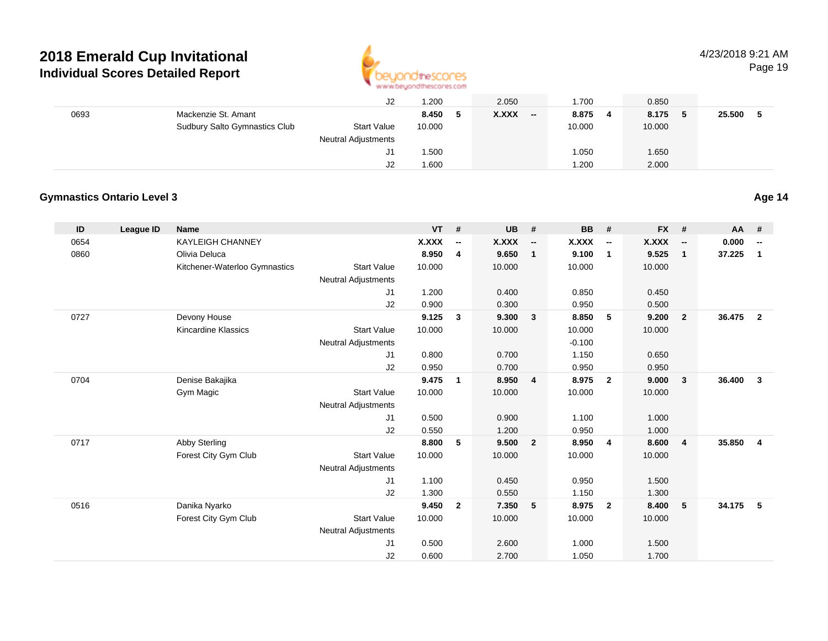

### 4/23/2018 9:21 AM

Page 19

|      |                               | J2                  | 1.200   | 2.050        | .700                              | 0.850   |               |
|------|-------------------------------|---------------------|---------|--------------|-----------------------------------|---------|---------------|
| 0693 | Mackenzie St. Amant           |                     | 8.450 5 | <b>X.XXX</b> | 8.875<br>$\overline{\phantom{a}}$ | 8.175 5 | 25.500<br>- 5 |
|      | Sudbury Salto Gymnastics Club | <b>Start Value</b>  | 10.000  |              | 10.000                            | 10.000  |               |
|      |                               | Neutral Adjustments |         |              |                                   |         |               |
|      |                               | J1                  | 1.500   |              | .050                              | 1.650   |               |
|      |                               | J2                  | 1.600   |              | .200                              | 2.000   |               |

### **Gymnastics Ontario Level 3**

| ID   | <b>League ID</b> | Name                          |                            | <b>VT</b> | #                        | UB     | #                        | <b>BB</b> | #                        | <b>FX</b>    | #                        | <b>AA</b> | #                        |
|------|------------------|-------------------------------|----------------------------|-----------|--------------------------|--------|--------------------------|-----------|--------------------------|--------------|--------------------------|-----------|--------------------------|
| 0654 |                  | <b>KAYLEIGH CHANNEY</b>       |                            | X.XXX     | $\overline{\phantom{a}}$ | X.XXX  | $\overline{\phantom{a}}$ | X.XXX     | $\overline{\phantom{a}}$ | <b>X.XXX</b> | $\overline{\phantom{a}}$ | 0.000     | $\overline{\phantom{a}}$ |
| 0860 |                  | Olivia Deluca                 |                            | 8.950     | 4                        | 9.650  | $\mathbf{1}$             | 9.100     | $\overline{1}$           | 9.525        | $\mathbf{1}$             | 37.225    | $\mathbf{1}$             |
|      |                  | Kitchener-Waterloo Gymnastics | <b>Start Value</b>         | 10.000    |                          | 10.000 |                          | 10.000    |                          | 10.000       |                          |           |                          |
|      |                  |                               | <b>Neutral Adjustments</b> |           |                          |        |                          |           |                          |              |                          |           |                          |
|      |                  |                               | J1                         | 1.200     |                          | 0.400  |                          | 0.850     |                          | 0.450        |                          |           |                          |
|      |                  |                               | J2                         | 0.900     |                          | 0.300  |                          | 0.950     |                          | 0.500        |                          |           |                          |
| 0727 |                  | Devony House                  |                            | 9.125     | 3                        | 9.300  | $\mathbf{3}$             | 8.850     | 5                        | 9.200        | $\overline{2}$           | 36.475    | $\overline{2}$           |
|      |                  | <b>Kincardine Klassics</b>    | <b>Start Value</b>         | 10.000    |                          | 10.000 |                          | 10.000    |                          | 10.000       |                          |           |                          |
|      |                  |                               | <b>Neutral Adjustments</b> |           |                          |        |                          | $-0.100$  |                          |              |                          |           |                          |
|      |                  |                               | J1                         | 0.800     |                          | 0.700  |                          | 1.150     |                          | 0.650        |                          |           |                          |
|      |                  |                               | J2                         | 0.950     |                          | 0.700  |                          | 0.950     |                          | 0.950        |                          |           |                          |
| 0704 |                  | Denise Bakajika               |                            | 9.475     | 1                        | 8.950  | $\overline{4}$           | 8.975     | $\overline{2}$           | 9.000        | $\overline{\mathbf{3}}$  | 36.400    | $\mathbf{3}$             |
|      |                  | Gym Magic                     | <b>Start Value</b>         | 10.000    |                          | 10.000 |                          | 10.000    |                          | 10.000       |                          |           |                          |
|      |                  |                               | <b>Neutral Adjustments</b> |           |                          |        |                          |           |                          |              |                          |           |                          |
|      |                  |                               | J1                         | 0.500     |                          | 0.900  |                          | 1.100     |                          | 1.000        |                          |           |                          |
|      |                  |                               | J2                         | 0.550     |                          | 1.200  |                          | 0.950     |                          | 1.000        |                          |           |                          |
| 0717 |                  | Abby Sterling                 |                            | 8.800     | 5                        | 9.500  | $\overline{\mathbf{2}}$  | 8.950     | $\overline{4}$           | 8.600        | $\overline{4}$           | 35.850    | $\overline{4}$           |
|      |                  | Forest City Gym Club          | <b>Start Value</b>         | 10.000    |                          | 10.000 |                          | 10.000    |                          | 10.000       |                          |           |                          |
|      |                  |                               | <b>Neutral Adjustments</b> |           |                          |        |                          |           |                          |              |                          |           |                          |
|      |                  |                               | J1                         | 1.100     |                          | 0.450  |                          | 0.950     |                          | 1.500        |                          |           |                          |
|      |                  |                               | J2                         | 1.300     |                          | 0.550  |                          | 1.150     |                          | 1.300        |                          |           |                          |
| 0516 |                  | Danika Nyarko                 |                            | 9.450     | $\overline{2}$           | 7.350  | 5                        | 8.975     | $\overline{2}$           | 8.400        | 5                        | 34.175    | 5                        |
|      |                  | Forest City Gym Club          | <b>Start Value</b>         | 10.000    |                          | 10.000 |                          | 10.000    |                          | 10.000       |                          |           |                          |
|      |                  |                               | <b>Neutral Adjustments</b> |           |                          |        |                          |           |                          |              |                          |           |                          |
|      |                  |                               | J1                         | 0.500     |                          | 2.600  |                          | 1.000     |                          | 1.500        |                          |           |                          |
|      |                  |                               | J2                         | 0.600     |                          | 2.700  |                          | 1.050     |                          | 1.700        |                          |           |                          |

**Age 14**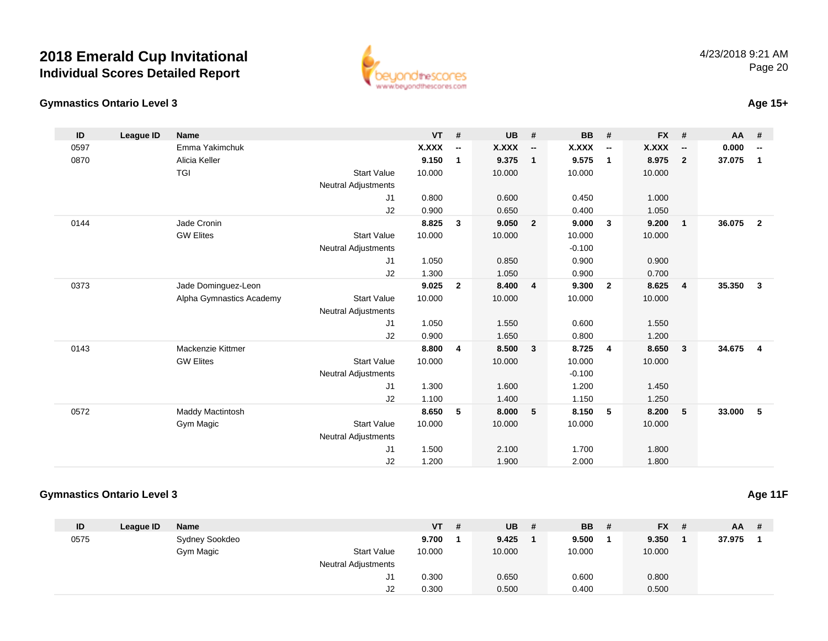**Gymnastics Ontario Level 3**



### **Age 15+**

| ID   | League ID | <b>Name</b>              |                            | <b>VT</b>    | #                        | <b>UB</b> | #                        | <b>BB</b> | #                        | <b>FX</b>    | #                        | <b>AA</b> | #                        |
|------|-----------|--------------------------|----------------------------|--------------|--------------------------|-----------|--------------------------|-----------|--------------------------|--------------|--------------------------|-----------|--------------------------|
| 0597 |           | Emma Yakimchuk           |                            | <b>X.XXX</b> | $\overline{\phantom{a}}$ | X.XXX     | $\overline{\phantom{a}}$ | X.XXX     | $\overline{\phantom{a}}$ | <b>X.XXX</b> | $\overline{\phantom{a}}$ | 0.000     | $\overline{\phantom{a}}$ |
| 0870 |           | Alicia Keller            |                            | 9.150        | 1                        | 9.375     | $\mathbf{1}$             | 9.575     | $\mathbf{1}$             | 8.975        | $\overline{2}$           | 37.075    | $\mathbf{1}$             |
|      |           | <b>TGI</b>               | <b>Start Value</b>         | 10.000       |                          | 10.000    |                          | 10.000    |                          | 10.000       |                          |           |                          |
|      |           |                          | <b>Neutral Adjustments</b> |              |                          |           |                          |           |                          |              |                          |           |                          |
|      |           |                          | J1                         | 0.800        |                          | 0.600     |                          | 0.450     |                          | 1.000        |                          |           |                          |
|      |           |                          | J2                         | 0.900        |                          | 0.650     |                          | 0.400     |                          | 1.050        |                          |           |                          |
| 0144 |           | Jade Cronin              |                            | 8.825        | 3                        | 9.050     | $\overline{2}$           | 9.000     | $\overline{\mathbf{3}}$  | 9.200        | $\overline{1}$           | 36.075    | $\overline{2}$           |
|      |           | <b>GW Elites</b>         | <b>Start Value</b>         | 10.000       |                          | 10.000    |                          | 10.000    |                          | 10.000       |                          |           |                          |
|      |           |                          | <b>Neutral Adjustments</b> |              |                          |           |                          | $-0.100$  |                          |              |                          |           |                          |
|      |           |                          | J1                         | 1.050        |                          | 0.850     |                          | 0.900     |                          | 0.900        |                          |           |                          |
|      |           |                          | J2                         | 1.300        |                          | 1.050     |                          | 0.900     |                          | 0.700        |                          |           |                          |
| 0373 |           | Jade Dominguez-Leon      |                            | 9.025        | $\overline{2}$           | 8.400     | $\overline{4}$           | 9.300     | $\overline{2}$           | 8.625        | $\overline{4}$           | 35.350    | $\mathbf{3}$             |
|      |           | Alpha Gymnastics Academy | <b>Start Value</b>         | 10.000       |                          | 10.000    |                          | 10.000    |                          | 10.000       |                          |           |                          |
|      |           |                          | <b>Neutral Adjustments</b> |              |                          |           |                          |           |                          |              |                          |           |                          |
|      |           |                          | J1                         | 1.050        |                          | 1.550     |                          | 0.600     |                          | 1.550        |                          |           |                          |
|      |           |                          | J2                         | 0.900        |                          | 1.650     |                          | 0.800     |                          | 1.200        |                          |           |                          |
| 0143 |           | Mackenzie Kittmer        |                            | 8.800        | $\overline{4}$           | 8.500     | $\overline{\mathbf{3}}$  | 8.725     | $\overline{4}$           | 8.650        | $\mathbf{3}$             | 34.675    | $\overline{\mathbf{4}}$  |
|      |           | <b>GW Elites</b>         | <b>Start Value</b>         | 10.000       |                          | 10.000    |                          | 10.000    |                          | 10.000       |                          |           |                          |
|      |           |                          | <b>Neutral Adjustments</b> |              |                          |           |                          | $-0.100$  |                          |              |                          |           |                          |
|      |           |                          | J1                         | 1.300        |                          | 1.600     |                          | 1.200     |                          | 1.450        |                          |           |                          |
|      |           |                          | J2                         | 1.100        |                          | 1.400     |                          | 1.150     |                          | 1.250        |                          |           |                          |
| 0572 |           | <b>Maddy Mactintosh</b>  |                            | 8.650        | 5                        | 8.000     | 5                        | 8.150     | 5                        | 8.200        | 5                        | 33.000    | 5                        |
|      |           | Gym Magic                | <b>Start Value</b>         | 10.000       |                          | 10.000    |                          | 10.000    |                          | 10.000       |                          |           |                          |
|      |           |                          | Neutral Adjustments        |              |                          |           |                          |           |                          |              |                          |           |                          |
|      |           |                          | J <sub>1</sub>             | 1.500        |                          | 2.100     |                          | 1.700     |                          | 1.800        |                          |           |                          |
|      |           |                          | J2                         | 1.200        |                          | 1.900     |                          | 2.000     |                          | 1.800        |                          |           |                          |

### **Gymnastics Ontario Level 3**

| ID   | League ID | <b>Name</b>    |                            | <b>VT</b> | -# | <b>UB</b> | # | <b>BB</b> | # | $FX$ # | $AA$ # |  |
|------|-----------|----------------|----------------------------|-----------|----|-----------|---|-----------|---|--------|--------|--|
| 0575 |           | Sydney Sookdeo |                            | 9.700     |    | 9.425     |   | 9.500     |   | 9.350  | 37.975 |  |
|      |           | Gym Magic      | <b>Start Value</b>         | 10.000    |    | 10.000    |   | 10.000    |   | 10.000 |        |  |
|      |           |                | <b>Neutral Adjustments</b> |           |    |           |   |           |   |        |        |  |
|      |           |                | J1                         | 0.300     |    | 0.650     |   | 0.600     |   | 0.800  |        |  |
|      |           |                | J2                         | 0.300     |    | 0.500     |   | 0.400     |   | 0.500  |        |  |

**Age 11F**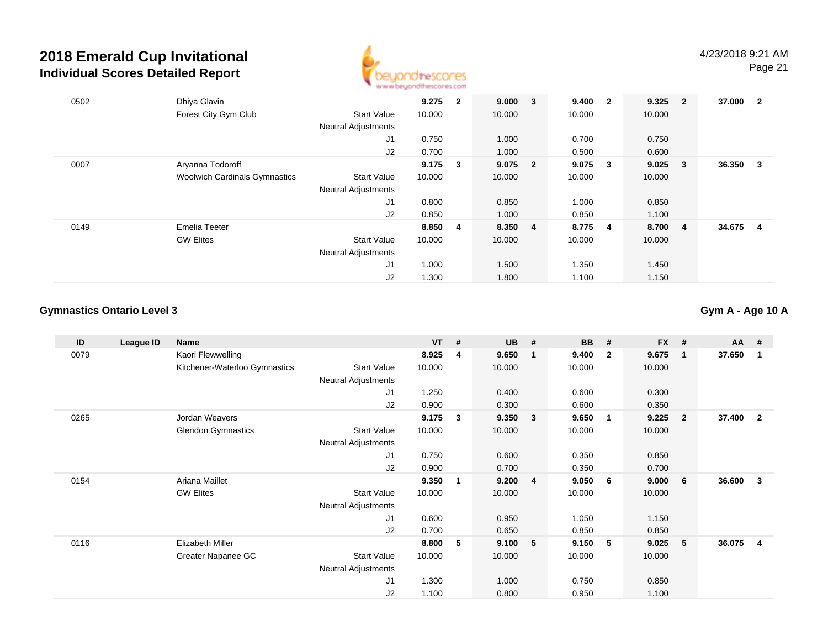

| 0502 | Dhiya Glavin                         |                            | 9.275     | $\mathbf{2}$ | 9.000 3   | 9.400  | $\overline{\mathbf{2}}$ | 9.325  | $\overline{\mathbf{2}}$ | 37.000 | $\overline{\mathbf{2}}$ |
|------|--------------------------------------|----------------------------|-----------|--------------|-----------|--------|-------------------------|--------|-------------------------|--------|-------------------------|
|      | Forest City Gym Club                 | <b>Start Value</b>         | 10.000    |              | 10.000    | 10.000 |                         | 10.000 |                         |        |                         |
|      |                                      | <b>Neutral Adjustments</b> |           |              |           |        |                         |        |                         |        |                         |
|      |                                      | J1                         | 0.750     |              | 1.000     | 0.700  |                         | 0.750  |                         |        |                         |
|      |                                      | J2                         | 0.700     |              | 1.000     | 0.500  |                         | 0.600  |                         |        |                         |
| 0007 | Aryanna Todoroff                     |                            | $9.175$ 3 |              | $9.075$ 2 | 9.075  | $\overline{\mathbf{3}}$ | 9.025  | $\overline{\mathbf{3}}$ | 36.350 | 3                       |
|      | <b>Woolwich Cardinals Gymnastics</b> | <b>Start Value</b>         | 10.000    |              | 10.000    | 10.000 |                         | 10.000 |                         |        |                         |
|      |                                      | <b>Neutral Adjustments</b> |           |              |           |        |                         |        |                         |        |                         |
|      |                                      | J1                         | 0.800     |              | 0.850     | 1.000  |                         | 0.850  |                         |        |                         |
|      |                                      | J2                         | 0.850     |              | 1.000     | 0.850  |                         | 1.100  |                         |        |                         |
| 0149 | Emelia Teeter                        |                            | 8.850 4   |              | 8.350 4   | 8.775  | - 4                     | 8.700  | $\overline{\mathbf{4}}$ | 34.675 | 4                       |
|      | <b>GW Elites</b>                     | <b>Start Value</b>         | 10.000    |              | 10.000    | 10.000 |                         | 10.000 |                         |        |                         |
|      |                                      | <b>Neutral Adjustments</b> |           |              |           |        |                         |        |                         |        |                         |
|      |                                      | J1                         | 1.000     |              | 1.500     | 1.350  |                         | 1.450  |                         |        |                         |
|      |                                      | J <sub>2</sub>             | 1.300     |              | 1.800     | 1.100  |                         | 1.150  |                         |        |                         |

### **Gymnastics Ontario Level 3**

**Gym A - Age 10 A**

| ID   | League ID | Name                          |                            | <b>VT</b> | # | <b>UB</b> | #              | <b>BB</b> | #              | FX #   |                         | AA     | -#             |
|------|-----------|-------------------------------|----------------------------|-----------|---|-----------|----------------|-----------|----------------|--------|-------------------------|--------|----------------|
| 0079 |           | Kaori Flewwelling             |                            | 8.925     | 4 | 9.650     | $\mathbf{1}$   | 9.400     | $\overline{2}$ | 9.675  | $\overline{\mathbf{1}}$ | 37.650 | -1             |
|      |           | Kitchener-Waterloo Gymnastics | <b>Start Value</b>         | 10.000    |   | 10.000    |                | 10.000    |                | 10.000 |                         |        |                |
|      |           |                               | Neutral Adjustments        |           |   |           |                |           |                |        |                         |        |                |
|      |           |                               | J <sub>1</sub>             | 1.250     |   | 0.400     |                | 0.600     |                | 0.300  |                         |        |                |
|      |           |                               | J2                         | 0.900     |   | 0.300     |                | 0.600     |                | 0.350  |                         |        |                |
| 0265 |           | Jordan Weavers                |                            | 9.175     | 3 | 9.350     | 3              | 9.650     | 1              | 9.225  | $\overline{\mathbf{2}}$ | 37.400 | $\overline{2}$ |
|      |           | <b>Glendon Gymnastics</b>     | <b>Start Value</b>         | 10.000    |   | 10.000    |                | 10.000    |                | 10.000 |                         |        |                |
|      |           |                               | <b>Neutral Adjustments</b> |           |   |           |                |           |                |        |                         |        |                |
|      |           |                               | J <sub>1</sub>             | 0.750     |   | 0.600     |                | 0.350     |                | 0.850  |                         |        |                |
|      |           |                               | J2                         | 0.900     |   | 0.700     |                | 0.350     |                | 0.700  |                         |        |                |
| 0154 |           | Ariana Maillet                |                            | 9.350     | 1 | 9.200     | $\overline{4}$ | 9.050     | 6              | 9.000  | 6                       | 36.600 | -3             |
|      |           | <b>GW Elites</b>              | <b>Start Value</b>         | 10.000    |   | 10.000    |                | 10.000    |                | 10.000 |                         |        |                |
|      |           |                               | <b>Neutral Adjustments</b> |           |   |           |                |           |                |        |                         |        |                |
|      |           |                               | J1                         | 0.600     |   | 0.950     |                | 1.050     |                | 1.150  |                         |        |                |
|      |           |                               | J2                         | 0.700     |   | 0.650     |                | 0.850     |                | 0.850  |                         |        |                |
| 0116 |           | Elizabeth Miller              |                            | 8.800     | 5 | 9.100     | 5              | 9.150     | 5              | 9.025  | 5                       | 36.075 | -4             |
|      |           | Greater Napanee GC            | <b>Start Value</b>         | 10.000    |   | 10.000    |                | 10.000    |                | 10.000 |                         |        |                |
|      |           |                               | <b>Neutral Adjustments</b> |           |   |           |                |           |                |        |                         |        |                |
|      |           |                               | J <sub>1</sub>             | 1.300     |   | 1.000     |                | 0.750     |                | 0.850  |                         |        |                |
|      |           |                               | J2                         | 1.100     |   | 0.800     |                | 0.950     |                | 1.100  |                         |        |                |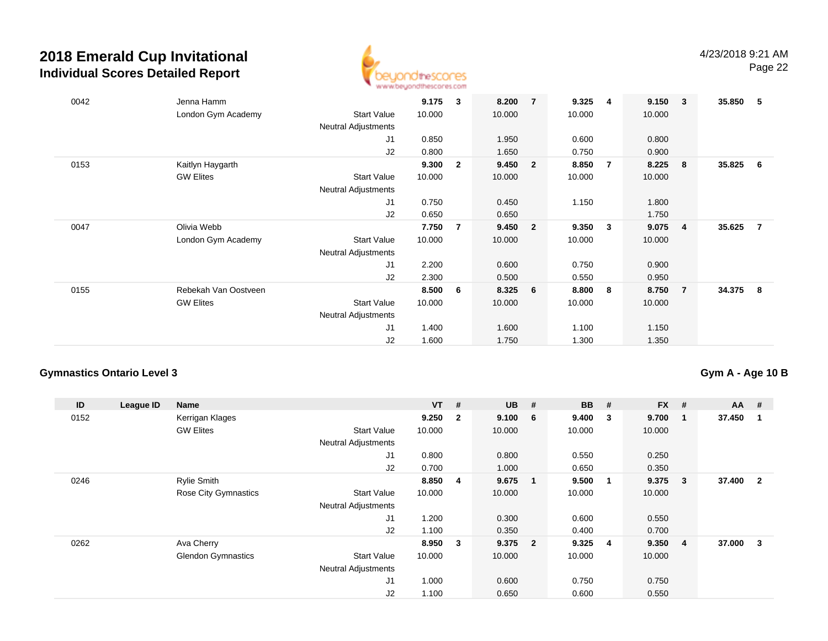

| 0042 | Jenna Hamm<br>London Gym Academy | <b>Start Value</b>         | 9.175<br>10.000 | 3              | 8.200<br>10.000 | $\overline{7}$ | 9.325<br>10.000 | -4                      | 9.150<br>10.000 | $\overline{\mathbf{3}}$ | 35.850 | - 5 |
|------|----------------------------------|----------------------------|-----------------|----------------|-----------------|----------------|-----------------|-------------------------|-----------------|-------------------------|--------|-----|
|      |                                  | Neutral Adjustments<br>J1  | 0.850           |                | 1.950           |                | 0.600           |                         | 0.800           |                         |        |     |
|      |                                  | J2                         | 0.800           |                | 1.650           |                | 0.750           |                         | 0.900           |                         |        |     |
| 0153 | Kaitlyn Haygarth                 |                            | 9.300           | $\overline{2}$ | 9.450           | $\overline{2}$ | 8.850           | $\overline{7}$          | 8.225           | 8                       | 35.825 | - 6 |
|      | <b>GW Elites</b>                 | <b>Start Value</b>         | 10.000          |                | 10.000          |                | 10.000          |                         | 10.000          |                         |        |     |
|      |                                  | <b>Neutral Adjustments</b> |                 |                |                 |                |                 |                         |                 |                         |        |     |
|      |                                  | J1                         | 0.750           |                | 0.450           |                | 1.150           |                         | 1.800           |                         |        |     |
|      |                                  | J2                         | 0.650           |                | 0.650           |                |                 |                         | 1.750           |                         |        |     |
| 0047 | Olivia Webb                      |                            | 7.750           | $\overline{7}$ | 9.450           | $\overline{2}$ | 9.350           | $\overline{\mathbf{3}}$ | 9.075           | $\overline{\mathbf{4}}$ | 35.625 | - 7 |
|      | London Gym Academy               | <b>Start Value</b>         | 10.000          |                | 10.000          |                | 10.000          |                         | 10.000          |                         |        |     |
|      |                                  | <b>Neutral Adjustments</b> |                 |                |                 |                |                 |                         |                 |                         |        |     |
|      |                                  | J <sub>1</sub>             | 2.200           |                | 0.600           |                | 0.750           |                         | 0.900           |                         |        |     |
|      |                                  | J <sub>2</sub>             | 2.300           |                | 0.500           |                | 0.550           |                         | 0.950           |                         |        |     |
| 0155 | Rebekah Van Oostveen             |                            | 8.500           | 6              | 8.325           | 6              | 8.800           | - 8                     | 8.750           | $\overline{7}$          | 34.375 | - 8 |
|      | <b>GW Elites</b>                 | <b>Start Value</b>         | 10.000          |                | 10.000          |                | 10.000          |                         | 10.000          |                         |        |     |
|      |                                  | <b>Neutral Adjustments</b> |                 |                |                 |                |                 |                         |                 |                         |        |     |
|      |                                  | J <sub>1</sub>             | 1.400           |                | 1.600           |                | 1.100           |                         | 1.150           |                         |        |     |
|      |                                  | J2                         | 1.600           |                | 1.750           |                | 1.300           |                         | 1.350           |                         |        |     |

### **Gymnastics Ontario Level 3**

**Gym A - Age 10 B**

| ID   | League ID | Name                      |                            | $VT$ # |                         | <b>UB</b> | #                       | <b>BB</b> | # | $FX$ # |   | AA #     |                         |
|------|-----------|---------------------------|----------------------------|--------|-------------------------|-----------|-------------------------|-----------|---|--------|---|----------|-------------------------|
| 0152 |           | Kerrigan Klages           |                            | 9.250  | $\overline{\mathbf{2}}$ | 9.100     | - 6                     | 9.400     | 3 | 9.700  |   | 37.450   |                         |
|      |           | <b>GW Elites</b>          | <b>Start Value</b>         | 10.000 |                         | 10.000    |                         | 10.000    |   | 10.000 |   |          |                         |
|      |           |                           | <b>Neutral Adjustments</b> |        |                         |           |                         |           |   |        |   |          |                         |
|      |           |                           | J <sub>1</sub>             | 0.800  |                         | 0.800     |                         | 0.550     |   | 0.250  |   |          |                         |
|      |           |                           | J2                         | 0.700  |                         | 1.000     |                         | 0.650     |   | 0.350  |   |          |                         |
| 0246 |           | Rylie Smith               |                            | 8.850  | $\overline{4}$          | 9.675     | $\overline{\mathbf{1}}$ | 9.500     | 1 | 9.375  | 3 | 37.400 2 |                         |
|      |           | Rose City Gymnastics      | <b>Start Value</b>         | 10.000 |                         | 10.000    |                         | 10.000    |   | 10.000 |   |          |                         |
|      |           |                           | <b>Neutral Adjustments</b> |        |                         |           |                         |           |   |        |   |          |                         |
|      |           |                           | J <sub>1</sub>             | 1.200  |                         | 0.300     |                         | 0.600     |   | 0.550  |   |          |                         |
|      |           |                           | J2                         | 1.100  |                         | 0.350     |                         | 0.400     |   | 0.700  |   |          |                         |
| 0262 |           | Ava Cherry                |                            | 8.950  | $\overline{\mathbf{3}}$ | 9.375     | $\overline{\mathbf{2}}$ | 9.325     | 4 | 9.350  | 4 | 37.000   | $\overline{\mathbf{3}}$ |
|      |           | <b>Glendon Gymnastics</b> | <b>Start Value</b>         | 10.000 |                         | 10.000    |                         | 10.000    |   | 10.000 |   |          |                         |
|      |           |                           | <b>Neutral Adjustments</b> |        |                         |           |                         |           |   |        |   |          |                         |
|      |           |                           | J <sub>1</sub>             | 1.000  |                         | 0.600     |                         | 0.750     |   | 0.750  |   |          |                         |
|      |           |                           | J2                         | 1.100  |                         | 0.650     |                         | 0.600     |   | 0.550  |   |          |                         |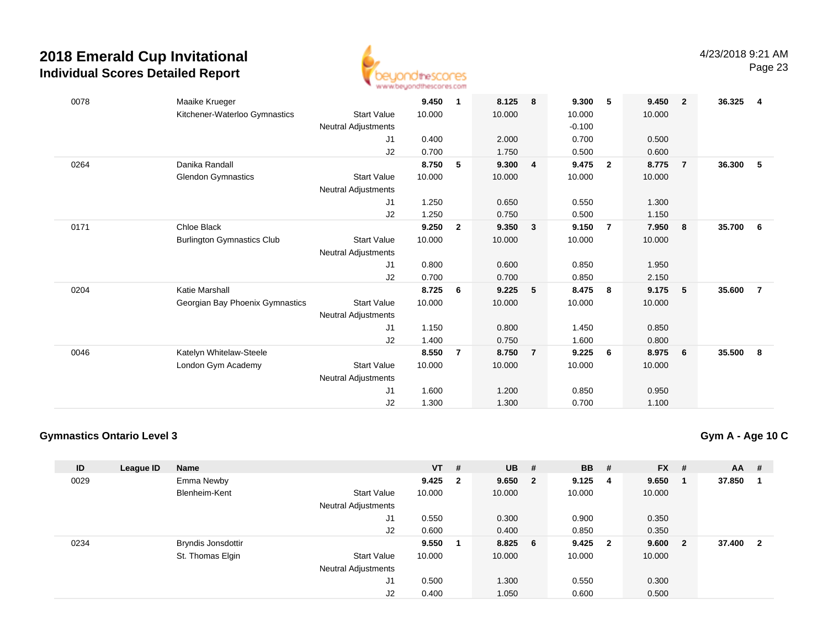

| 0078 | Maaike Krueger                    |                     | 9.450  | 1              | 8.125  | 8              | 9.300    | -5             | 9.450  | $\overline{2}$ | 36.325 | 4              |
|------|-----------------------------------|---------------------|--------|----------------|--------|----------------|----------|----------------|--------|----------------|--------|----------------|
|      | Kitchener-Waterloo Gymnastics     | <b>Start Value</b>  | 10.000 |                | 10.000 |                | 10.000   |                | 10.000 |                |        |                |
|      |                                   | Neutral Adjustments |        |                |        |                | $-0.100$ |                |        |                |        |                |
|      |                                   | J1                  | 0.400  |                | 2.000  |                | 0.700    |                | 0.500  |                |        |                |
|      |                                   | J2                  | 0.700  |                | 1.750  |                | 0.500    |                | 0.600  |                |        |                |
| 0264 | Danika Randall                    |                     | 8.750  | 5              | 9.300  | $\overline{4}$ | 9.475    | $\overline{2}$ | 8.775  | $\overline{7}$ | 36.300 | 5              |
|      | <b>Glendon Gymnastics</b>         | <b>Start Value</b>  | 10.000 |                | 10.000 |                | 10.000   |                | 10.000 |                |        |                |
|      |                                   | Neutral Adjustments |        |                |        |                |          |                |        |                |        |                |
|      |                                   | J1                  | 1.250  |                | 0.650  |                | 0.550    |                | 1.300  |                |        |                |
|      |                                   | J2                  | 1.250  |                | 0.750  |                | 0.500    |                | 1.150  |                |        |                |
| 0171 | Chloe Black                       |                     | 9.250  | $\overline{2}$ | 9.350  | $\mathbf{3}$   | 9.150    | $\overline{7}$ | 7.950  | - 8            | 35.700 | - 6            |
|      | <b>Burlington Gymnastics Club</b> | <b>Start Value</b>  | 10.000 |                | 10.000 |                | 10.000   |                | 10.000 |                |        |                |
|      |                                   | Neutral Adjustments |        |                |        |                |          |                |        |                |        |                |
|      |                                   | J1                  | 0.800  |                | 0.600  |                | 0.850    |                | 1.950  |                |        |                |
|      |                                   | J2                  | 0.700  |                | 0.700  |                | 0.850    |                | 2.150  |                |        |                |
| 0204 | Katie Marshall                    |                     | 8.725  | 6              | 9.225  | 5              | 8.475    | - 8            | 9.175  | 5              | 35.600 | $\overline{7}$ |
|      | Georgian Bay Phoenix Gymnastics   | <b>Start Value</b>  | 10.000 |                | 10.000 |                | 10.000   |                | 10.000 |                |        |                |
|      |                                   | Neutral Adjustments |        |                |        |                |          |                |        |                |        |                |
|      |                                   | J1                  | 1.150  |                | 0.800  |                | 1.450    |                | 0.850  |                |        |                |
|      |                                   | J2                  | 1.400  |                | 0.750  |                | 1.600    |                | 0.800  |                |        |                |
| 0046 | Katelyn Whitelaw-Steele           |                     | 8.550  | $\overline{7}$ | 8.750  | $\overline{7}$ | 9.225    | - 6            | 8.975  | 6              | 35.500 | 8              |
|      | London Gym Academy                | <b>Start Value</b>  | 10.000 |                | 10.000 |                | 10.000   |                | 10.000 |                |        |                |
|      |                                   | Neutral Adjustments |        |                |        |                |          |                |        |                |        |                |
|      |                                   | J <sub>1</sub>      | 1.600  |                | 1.200  |                | 0.850    |                | 0.950  |                |        |                |
|      |                                   | J2                  | 1.300  |                | 1.300  |                | 0.700    |                | 1.100  |                |        |                |

### **Gymnastics Ontario Level 3**

**Gym A - Age 10 C**

| ID   | League ID | <b>Name</b>               |                            | <b>VT</b> | #                       | <b>UB</b> | #                       | <b>BB</b> | #              | $FX$ # |              | AA #   |                         |
|------|-----------|---------------------------|----------------------------|-----------|-------------------------|-----------|-------------------------|-----------|----------------|--------|--------------|--------|-------------------------|
| 0029 |           | Emma Newby                |                            | 9.425     | $\overline{\mathbf{2}}$ | 9.650     | $\overline{\mathbf{2}}$ | 9.125     | 4              | 9.650  |              | 37.850 |                         |
|      |           | Blenheim-Kent             | <b>Start Value</b>         | 10.000    |                         | 10.000    |                         | 10.000    |                | 10.000 |              |        |                         |
|      |           |                           | <b>Neutral Adjustments</b> |           |                         |           |                         |           |                |        |              |        |                         |
|      |           |                           | J1                         | 0.550     |                         | 0.300     |                         | 0.900     |                | 0.350  |              |        |                         |
|      |           |                           | J2                         | 0.600     |                         | 0.400     |                         | 0.850     |                | 0.350  |              |        |                         |
| 0234 |           | <b>Bryndis Jonsdottir</b> |                            | 9.550     |                         | 8.825     | - 6                     | 9.425     | $\overline{2}$ | 9.600  | $\mathbf{2}$ | 37.400 | $\overline{\mathbf{2}}$ |
|      |           | St. Thomas Elgin          | <b>Start Value</b>         | 10.000    |                         | 10.000    |                         | 10.000    |                | 10.000 |              |        |                         |
|      |           |                           | <b>Neutral Adjustments</b> |           |                         |           |                         |           |                |        |              |        |                         |
|      |           |                           | J <sub>1</sub>             | 0.500     |                         | 1.300     |                         | 0.550     |                | 0.300  |              |        |                         |
|      |           |                           | J2                         | 0.400     |                         | 1.050     |                         | 0.600     |                | 0.500  |              |        |                         |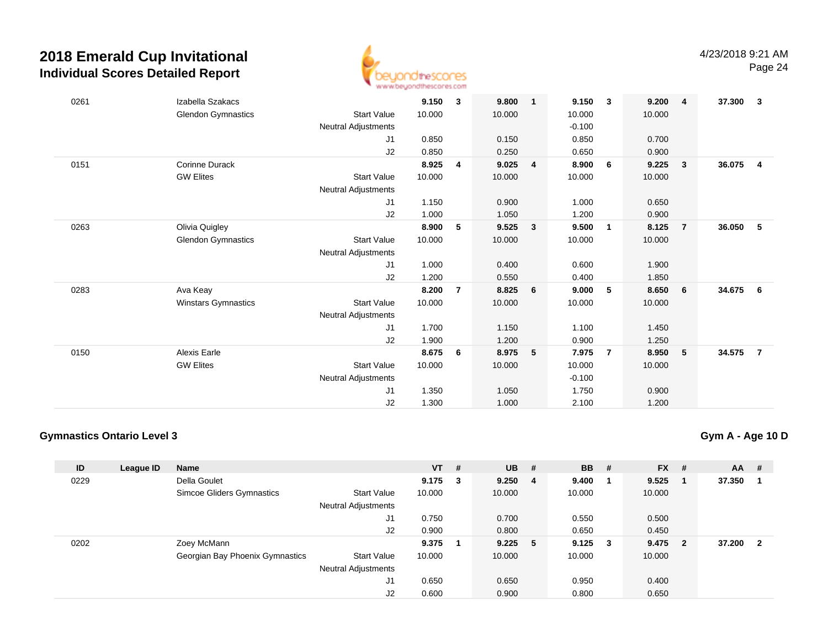

| 0261 | Izabella Szakacs          |                            | 9.150  | 3              | 9.800  | $\mathbf{1}$ | 9.150    | $\overline{\mathbf{3}}$ | 9.200  | $\overline{\mathbf{4}}$ | 37.300 | $\mathbf{3}$   |
|------|---------------------------|----------------------------|--------|----------------|--------|--------------|----------|-------------------------|--------|-------------------------|--------|----------------|
|      | <b>Glendon Gymnastics</b> | <b>Start Value</b>         | 10.000 |                | 10.000 |              | 10.000   |                         | 10.000 |                         |        |                |
|      |                           | Neutral Adjustments        |        |                |        |              | $-0.100$ |                         |        |                         |        |                |
|      |                           | J1                         | 0.850  |                | 0.150  |              | 0.850    |                         | 0.700  |                         |        |                |
|      |                           | J2                         | 0.850  |                | 0.250  |              | 0.650    |                         | 0.900  |                         |        |                |
| 0151 | <b>Corinne Durack</b>     |                            | 8.925  | 4              | 9.025  | 4            | 8.900    | 6                       | 9.225  | $\overline{\mathbf{3}}$ | 36.075 | $\overline{4}$ |
|      | <b>GW Elites</b>          | <b>Start Value</b>         | 10.000 |                | 10.000 |              | 10.000   |                         | 10.000 |                         |        |                |
|      |                           | Neutral Adjustments        |        |                |        |              |          |                         |        |                         |        |                |
|      |                           | J1                         | 1.150  |                | 0.900  |              | 1.000    |                         | 0.650  |                         |        |                |
|      |                           | J2                         | 1.000  |                | 1.050  |              | 1.200    |                         | 0.900  |                         |        |                |
| 0263 | Olivia Quigley            |                            | 8.900  | 5              | 9.525  | $\mathbf{3}$ | 9.500    | $\overline{1}$          | 8.125  | $\overline{7}$          | 36.050 | - 5            |
|      | <b>Glendon Gymnastics</b> | <b>Start Value</b>         | 10.000 |                | 10.000 |              | 10.000   |                         | 10.000 |                         |        |                |
|      |                           | Neutral Adjustments        |        |                |        |              |          |                         |        |                         |        |                |
|      |                           | J1                         | 1.000  |                | 0.400  |              | 0.600    |                         | 1.900  |                         |        |                |
|      |                           | J2                         | 1.200  |                | 0.550  |              | 0.400    |                         | 1.850  |                         |        |                |
| 0283 | Ava Keay                  |                            | 8.200  | $\overline{7}$ | 8.825  | 6            | 9.000    | 5                       | 8.650  | 6                       | 34.675 | - 6            |
|      | Winstars Gymnastics       | <b>Start Value</b>         | 10.000 |                | 10.000 |              | 10.000   |                         | 10.000 |                         |        |                |
|      |                           | Neutral Adjustments        |        |                |        |              |          |                         |        |                         |        |                |
|      |                           | J1                         | 1.700  |                | 1.150  |              | 1.100    |                         | 1.450  |                         |        |                |
|      |                           | J2                         | 1.900  |                | 1.200  |              | 0.900    |                         | 1.250  |                         |        |                |
| 0150 | <b>Alexis Earle</b>       |                            | 8.675  | 6              | 8.975  | 5            | 7.975    | $\overline{7}$          | 8.950  | 5                       | 34.575 | $\overline{7}$ |
|      | <b>GW Elites</b>          | <b>Start Value</b>         | 10.000 |                | 10.000 |              | 10.000   |                         | 10.000 |                         |        |                |
|      |                           | <b>Neutral Adjustments</b> |        |                |        |              | $-0.100$ |                         |        |                         |        |                |
|      |                           | J1                         | 1.350  |                | 1.050  |              | 1.750    |                         | 0.900  |                         |        |                |
|      |                           | J2                         | 1.300  |                | 1.000  |              | 2.100    |                         | 1.200  |                         |        |                |

### **Gymnastics Ontario Level 3**

**Gym A - Age 10 D**

| ID   | League ID | <b>Name</b>                     |                            | $VT$ # |     | <b>UB</b> | #   | <b>BB</b> | # | $FX$ # |                         | <b>AA</b> | #                       |
|------|-----------|---------------------------------|----------------------------|--------|-----|-----------|-----|-----------|---|--------|-------------------------|-----------|-------------------------|
| 0229 |           | Della Goulet                    |                            | 9.175  | - 3 | 9.250     | -4  | 9.400     |   | 9.525  |                         | 37.350    |                         |
|      |           | Simcoe Gliders Gymnastics       | <b>Start Value</b>         | 10.000 |     | 10.000    |     | 10.000    |   | 10.000 |                         |           |                         |
|      |           |                                 | <b>Neutral Adjustments</b> |        |     |           |     |           |   |        |                         |           |                         |
|      |           |                                 | J1                         | 0.750  |     | 0.700     |     | 0.550     |   | 0.500  |                         |           |                         |
|      |           |                                 | J2                         | 0.900  |     | 0.800     |     | 0.650     |   | 0.450  |                         |           |                         |
| 0202 |           | Zoey McMann                     |                            | 9.375  |     | 9.225     | - 5 | 9.125     | 3 | 9.475  | $\overline{\mathbf{2}}$ | 37.200    | $\overline{\mathbf{2}}$ |
|      |           | Georgian Bay Phoenix Gymnastics | <b>Start Value</b>         | 10.000 |     | 10.000    |     | 10.000    |   | 10.000 |                         |           |                         |
|      |           |                                 | <b>Neutral Adjustments</b> |        |     |           |     |           |   |        |                         |           |                         |
|      |           |                                 | J1                         | 0.650  |     | 0.650     |     | 0.950     |   | 0.400  |                         |           |                         |
|      |           |                                 | J2                         | 0.600  |     | 0.900     |     | 0.800     |   | 0.650  |                         |           |                         |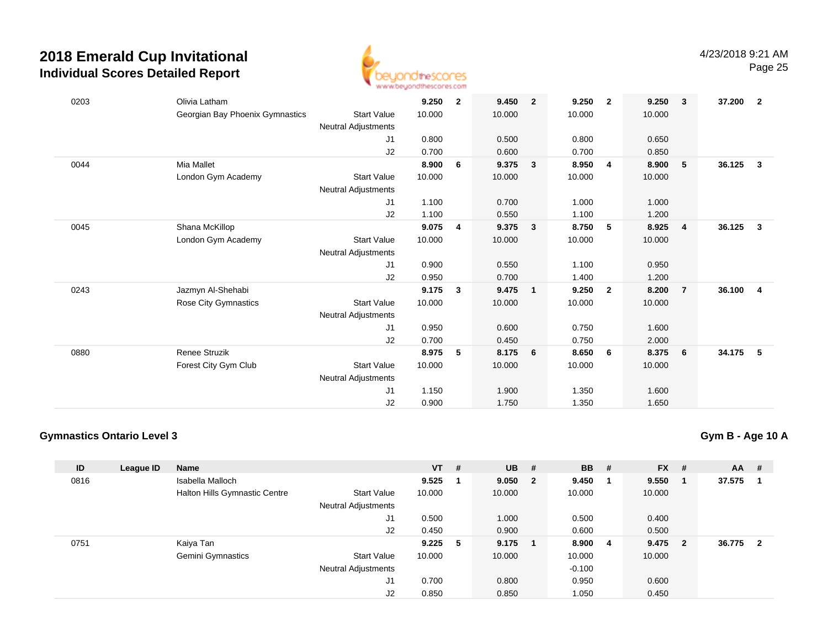

| 0203 | Olivia Latham                   |                     | 9.250  | $\mathbf{2}$ | 9.450  | $\overline{2}$ | 9.250  | $\overline{2}$ | 9.250  | $\mathbf{3}$   | 37.200 | - 2                     |
|------|---------------------------------|---------------------|--------|--------------|--------|----------------|--------|----------------|--------|----------------|--------|-------------------------|
|      | Georgian Bay Phoenix Gymnastics | <b>Start Value</b>  | 10.000 |              | 10.000 |                | 10.000 |                | 10.000 |                |        |                         |
|      |                                 | Neutral Adjustments |        |              |        |                |        |                |        |                |        |                         |
|      |                                 | J <sub>1</sub>      | 0.800  |              | 0.500  |                | 0.800  |                | 0.650  |                |        |                         |
|      |                                 | J2                  | 0.700  |              | 0.600  |                | 0.700  |                | 0.850  |                |        |                         |
| 0044 | Mia Mallet                      |                     | 8.900  | 6            | 9.375  | $\mathbf{3}$   | 8.950  | $\overline{4}$ | 8.900  | 5              | 36.125 | $\mathbf{3}$            |
|      | London Gym Academy              | <b>Start Value</b>  | 10.000 |              | 10.000 |                | 10.000 |                | 10.000 |                |        |                         |
|      |                                 | Neutral Adjustments |        |              |        |                |        |                |        |                |        |                         |
|      |                                 | J1                  | 1.100  |              | 0.700  |                | 1.000  |                | 1.000  |                |        |                         |
|      |                                 | J2                  | 1.100  |              | 0.550  |                | 1.100  |                | 1.200  |                |        |                         |
| 0045 | Shana McKillop                  |                     | 9.075  | 4            | 9.375  | $\mathbf{3}$   | 8.750  | 5              | 8.925  | $\overline{4}$ | 36.125 | $\overline{\mathbf{3}}$ |
|      | London Gym Academy              | <b>Start Value</b>  | 10.000 |              | 10.000 |                | 10.000 |                | 10.000 |                |        |                         |
|      |                                 | Neutral Adjustments |        |              |        |                |        |                |        |                |        |                         |
|      |                                 | J1                  | 0.900  |              | 0.550  |                | 1.100  |                | 0.950  |                |        |                         |
|      |                                 | J2                  | 0.950  |              | 0.700  |                | 1.400  |                | 1.200  |                |        |                         |
| 0243 | Jazmyn Al-Shehabi               |                     | 9.175  | 3            | 9.475  | $\mathbf{1}$   | 9.250  | $\overline{2}$ | 8.200  | $\overline{7}$ | 36.100 | $\overline{4}$          |
|      | Rose City Gymnastics            | <b>Start Value</b>  | 10.000 |              | 10.000 |                | 10.000 |                | 10.000 |                |        |                         |
|      |                                 | Neutral Adjustments |        |              |        |                |        |                |        |                |        |                         |
|      |                                 | J1                  | 0.950  |              | 0.600  |                | 0.750  |                | 1.600  |                |        |                         |
|      |                                 | J2                  | 0.700  |              | 0.450  |                | 0.750  |                | 2.000  |                |        |                         |
| 0880 | <b>Renee Struzik</b>            |                     | 8.975  | 5            | 8.175  | 6              | 8.650  | 6              | 8.375  | 6              | 34.175 | - 5                     |
|      | Forest City Gym Club            | <b>Start Value</b>  | 10.000 |              | 10.000 |                | 10.000 |                | 10.000 |                |        |                         |
|      |                                 | Neutral Adjustments |        |              |        |                |        |                |        |                |        |                         |
|      |                                 | J1                  | 1.150  |              | 1.900  |                | 1.350  |                | 1.600  |                |        |                         |
|      |                                 | J2                  | 0.900  |              | 1.750  |                | 1.350  |                | 1.650  |                |        |                         |

### **Gymnastics Ontario Level 3**

**Gym B - Age 10 A**

| ID   | League ID | <b>Name</b>                          |                            | $VT$ # |   | <b>UB</b> | #                       | <b>BB</b> | # | $FX$ # |                | $AA$ #   |  |
|------|-----------|--------------------------------------|----------------------------|--------|---|-----------|-------------------------|-----------|---|--------|----------------|----------|--|
| 0816 |           | Isabella Malloch                     |                            | 9.525  |   | 9.050     | $\overline{\mathbf{2}}$ | 9.450     |   | 9.550  |                | 37.575   |  |
|      |           | <b>Halton Hills Gymnastic Centre</b> | <b>Start Value</b>         | 10.000 |   | 10.000    |                         | 10.000    |   | 10.000 |                |          |  |
|      |           |                                      | <b>Neutral Adjustments</b> |        |   |           |                         |           |   |        |                |          |  |
|      |           |                                      | J1                         | 0.500  |   | 1.000     |                         | 0.500     |   | 0.400  |                |          |  |
|      |           |                                      | J2                         | 0.450  |   | 0.900     |                         | 0.600     |   | 0.500  |                |          |  |
| 0751 |           | Kaiya Tan                            |                            | 9.225  | 5 | 9.175     | - 1                     | 8.900     | 4 | 9.475  | $\overline{2}$ | 36.775 2 |  |
|      |           | <b>Gemini Gymnastics</b>             | <b>Start Value</b>         | 10.000 |   | 10.000    |                         | 10.000    |   | 10.000 |                |          |  |
|      |           |                                      | <b>Neutral Adjustments</b> |        |   |           |                         | $-0.100$  |   |        |                |          |  |
|      |           |                                      | J1                         | 0.700  |   | 0.800     |                         | 0.950     |   | 0.600  |                |          |  |
|      |           |                                      | J <sub>2</sub>             | 0.850  |   | 0.850     |                         | 1.050     |   | 0.450  |                |          |  |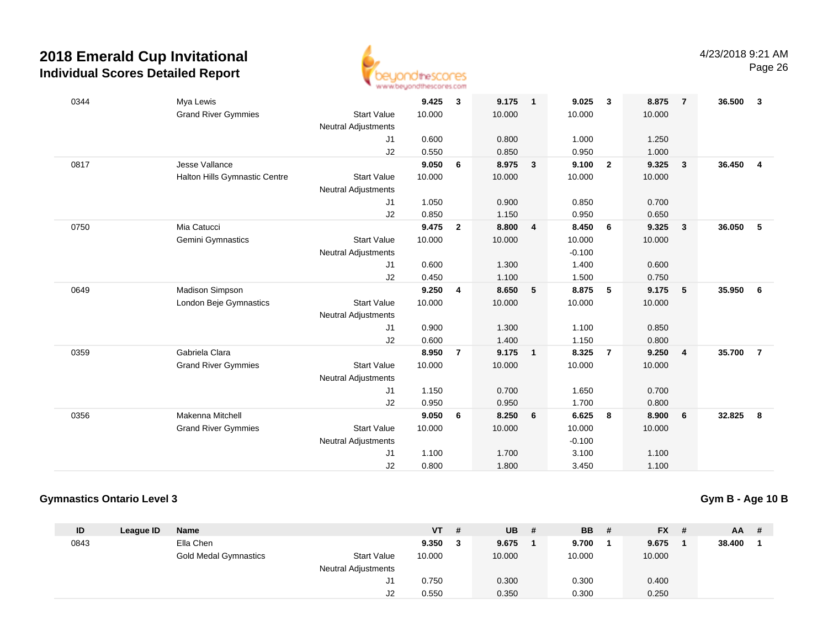

| 0344 | Mya Lewis                     |                            | 9.425  | 3              | 9.175  | $\overline{\mathbf{1}}$  | 9.025    | $\overline{\mathbf{3}}$ | 8.875  | $\overline{7}$ | 36.500 | 3              |
|------|-------------------------------|----------------------------|--------|----------------|--------|--------------------------|----------|-------------------------|--------|----------------|--------|----------------|
|      | <b>Grand River Gymmies</b>    | <b>Start Value</b>         | 10.000 |                | 10.000 |                          | 10.000   |                         | 10.000 |                |        |                |
|      |                               | Neutral Adjustments        |        |                |        |                          |          |                         |        |                |        |                |
|      |                               | J1                         | 0.600  |                | 0.800  |                          | 1.000    |                         | 1.250  |                |        |                |
|      |                               | J2                         | 0.550  |                | 0.850  |                          | 0.950    |                         | 1.000  |                |        |                |
| 0817 | Jesse Vallance                |                            | 9.050  | 6              | 8.975  | $\overline{\mathbf{3}}$  | 9.100    | $\overline{\mathbf{2}}$ | 9.325  | $\mathbf{3}$   | 36.450 | $\overline{4}$ |
|      | Halton Hills Gymnastic Centre | <b>Start Value</b>         | 10.000 |                | 10.000 |                          | 10.000   |                         | 10.000 |                |        |                |
|      |                               | <b>Neutral Adjustments</b> |        |                |        |                          |          |                         |        |                |        |                |
|      |                               | J1                         | 1.050  |                | 0.900  |                          | 0.850    |                         | 0.700  |                |        |                |
|      |                               | J2                         | 0.850  |                | 1.150  |                          | 0.950    |                         | 0.650  |                |        |                |
| 0750 | Mia Catucci                   |                            | 9.475  | $\overline{2}$ | 8.800  | $\overline{\mathbf{4}}$  | 8.450    | 6                       | 9.325  | $\mathbf{3}$   | 36.050 | 5              |
|      | Gemini Gymnastics             | <b>Start Value</b>         | 10.000 |                | 10.000 |                          | 10.000   |                         | 10.000 |                |        |                |
|      |                               | <b>Neutral Adjustments</b> |        |                |        |                          | $-0.100$ |                         |        |                |        |                |
|      |                               | J1                         | 0.600  |                | 1.300  |                          | 1.400    |                         | 0.600  |                |        |                |
|      |                               | J2                         | 0.450  |                | 1.100  |                          | 1.500    |                         | 0.750  |                |        |                |
| 0649 | Madison Simpson               |                            | 9.250  | $\overline{4}$ | 8.650  | $5\phantom{.0}$          | 8.875    | 5                       | 9.175  | 5              | 35.950 | 6              |
|      | London Beje Gymnastics        | <b>Start Value</b>         | 10.000 |                | 10.000 |                          | 10.000   |                         | 10.000 |                |        |                |
|      |                               | Neutral Adjustments        |        |                |        |                          |          |                         |        |                |        |                |
|      |                               | J <sub>1</sub>             | 0.900  |                | 1.300  |                          | 1.100    |                         | 0.850  |                |        |                |
|      |                               | J2                         | 0.600  |                | 1.400  |                          | 1.150    |                         | 0.800  |                |        |                |
| 0359 | Gabriela Clara                |                            | 8.950  | $\overline{7}$ | 9.175  | $\overline{\phantom{0}}$ | 8.325    | $\overline{7}$          | 9.250  | 4              | 35.700 | $\overline{7}$ |
|      | <b>Grand River Gymmies</b>    | <b>Start Value</b>         | 10.000 |                | 10.000 |                          | 10.000   |                         | 10.000 |                |        |                |
|      |                               | <b>Neutral Adjustments</b> |        |                |        |                          |          |                         |        |                |        |                |
|      |                               | J1                         | 1.150  |                | 0.700  |                          | 1.650    |                         | 0.700  |                |        |                |
|      |                               | J2                         | 0.950  |                | 0.950  |                          | 1.700    |                         | 0.800  |                |        |                |
| 0356 | Makenna Mitchell              |                            | 9.050  | 6              | 8.250  | 6                        | 6.625    | 8                       | 8.900  | 6              | 32.825 | 8              |
|      | <b>Grand River Gymmies</b>    | <b>Start Value</b>         | 10.000 |                | 10.000 |                          | 10.000   |                         | 10.000 |                |        |                |
|      |                               | <b>Neutral Adjustments</b> |        |                |        |                          | $-0.100$ |                         |        |                |        |                |
|      |                               | J1                         | 1.100  |                | 1.700  |                          | 3.100    |                         | 1.100  |                |        |                |
|      |                               | J2                         | 0.800  |                | 1.800  |                          | 3.450    |                         | 1.100  |                |        |                |

### **Gymnastics Ontario Level 3**

**Gym B - Age 10 B**

| ID   | League ID | <b>Name</b>                  |                            | <b>VT</b> | -#  | <b>UB</b> | # | <b>BB</b> | <b>FX</b> | $AA$ # |  |
|------|-----------|------------------------------|----------------------------|-----------|-----|-----------|---|-----------|-----------|--------|--|
| 0843 |           | Ella Chen                    |                            | 9.350     | - 3 | 9.675     |   | 9.700     | 9.675     | 38.400 |  |
|      |           | <b>Gold Medal Gymnastics</b> | <b>Start Value</b>         | 10.000    |     | 10.000    |   | 10.000    | 10.000    |        |  |
|      |           |                              | <b>Neutral Adjustments</b> |           |     |           |   |           |           |        |  |
|      |           |                              | J1                         | 0.750     |     | 0.300     |   | 0.300     | 0.400     |        |  |
|      |           |                              | J2                         | 0.550     |     | 0.350     |   | 0.300     | 0.250     |        |  |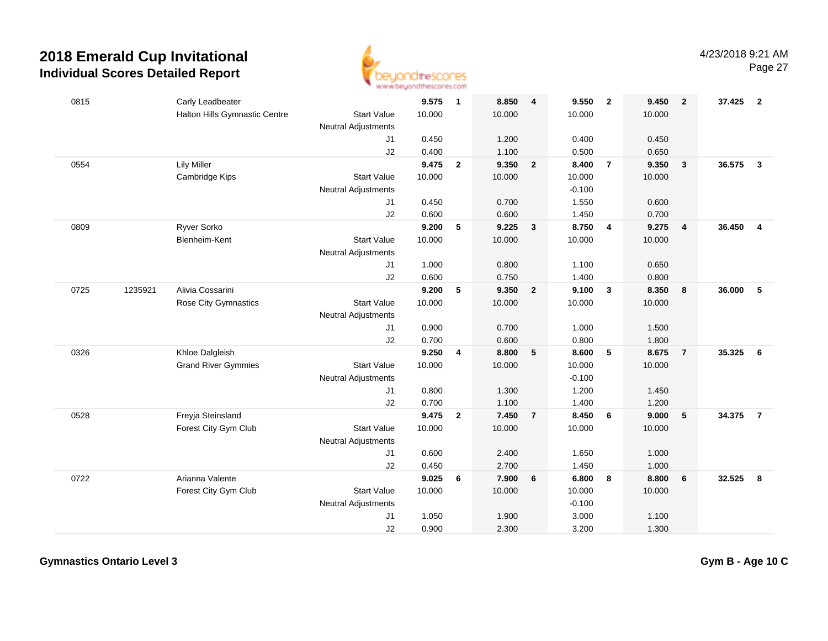

| 0815 |         | Carly Leadbeater              |                            | 9.575          | $\overline{\mathbf{1}}$ | 8.850          | $\overline{\mathbf{4}}$ | 9.550          | $\overline{2}$          | 9.450          | $\overline{2}$          | 37.425 | $\overline{\mathbf{2}}$ |
|------|---------|-------------------------------|----------------------------|----------------|-------------------------|----------------|-------------------------|----------------|-------------------------|----------------|-------------------------|--------|-------------------------|
|      |         | Halton Hills Gymnastic Centre | <b>Start Value</b>         | 10.000         |                         | 10.000         |                         | 10.000         |                         | 10.000         |                         |        |                         |
|      |         |                               | <b>Neutral Adjustments</b> |                |                         |                |                         |                |                         |                |                         |        |                         |
|      |         |                               | J1                         | 0.450          |                         | 1.200          |                         | 0.400          |                         | 0.450          |                         |        |                         |
|      |         |                               | J2                         | 0.400          |                         | 1.100          |                         | 0.500          |                         | 0.650          |                         |        |                         |
| 0554 |         | <b>Lily Miller</b>            |                            | 9.475          | $\overline{2}$          | 9.350          | $\overline{2}$          | 8.400          | $\overline{7}$          | 9.350          | 3                       | 36.575 | $\overline{\mathbf{3}}$ |
|      |         | Cambridge Kips                | <b>Start Value</b>         | 10.000         |                         | 10.000         |                         | 10.000         |                         | 10.000         |                         |        |                         |
|      |         |                               | <b>Neutral Adjustments</b> |                |                         |                |                         | $-0.100$       |                         |                |                         |        |                         |
|      |         |                               | J1                         | 0.450          |                         | 0.700          |                         | 1.550          |                         | 0.600          |                         |        |                         |
|      |         |                               | J2                         | 0.600          |                         | 0.600          |                         | 1.450          |                         | 0.700          |                         |        |                         |
| 0809 |         | Ryver Sorko                   |                            | 9.200          | 5                       | 9.225          | $\overline{\mathbf{3}}$ | 8.750          | $\overline{4}$          | 9.275          | $\overline{\mathbf{4}}$ | 36.450 | $\overline{4}$          |
|      |         | Blenheim-Kent                 | <b>Start Value</b>         | 10.000         |                         | 10.000         |                         | 10.000         |                         | 10.000         |                         |        |                         |
|      |         |                               | Neutral Adjustments        |                |                         |                |                         |                |                         |                |                         |        |                         |
|      |         |                               | J1                         | 1.000          |                         | 0.800          |                         | 1.100          |                         | 0.650          |                         |        |                         |
|      |         |                               | J2                         | 0.600          |                         | 0.750          |                         | 1.400          |                         | 0.800          |                         |        |                         |
| 0725 | 1235921 | Alivia Cossarini              |                            | 9.200          | 5                       | 9.350          | $\overline{2}$          | 9.100          | $\overline{\mathbf{3}}$ | 8.350          | 8                       | 36.000 | 5                       |
|      |         | <b>Rose City Gymnastics</b>   | <b>Start Value</b>         | 10.000         |                         | 10.000         |                         | 10.000         |                         | 10.000         |                         |        |                         |
|      |         |                               | <b>Neutral Adjustments</b> |                |                         |                |                         |                |                         |                |                         |        |                         |
|      |         |                               | J1                         | 0.900          |                         | 0.700          |                         | 1.000          |                         | 1.500          |                         |        |                         |
|      |         |                               | J2                         | 0.700          |                         | 0.600          |                         | 0.800          |                         | 1.800          |                         |        |                         |
| 0326 |         | Khloe Dalgleish               |                            | 9.250          | 4                       | 8.800          | 5                       | 8.600          | 5                       | 8.675          | $\overline{7}$          | 35.325 | 6                       |
|      |         | <b>Grand River Gymmies</b>    | <b>Start Value</b>         | 10.000         |                         | 10.000         |                         | 10.000         |                         | 10.000         |                         |        |                         |
|      |         |                               | <b>Neutral Adjustments</b> |                |                         |                |                         | $-0.100$       |                         |                |                         |        |                         |
|      |         |                               | J1<br>J2                   | 0.800<br>0.700 |                         | 1.300<br>1.100 |                         | 1.200<br>1.400 |                         | 1.450<br>1.200 |                         |        |                         |
| 0528 |         | Freyja Steinsland             |                            | 9.475          | $\overline{2}$          | 7.450          | $\overline{7}$          | 8.450          | 6                       | 9.000          | 5                       | 34.375 | $\overline{7}$          |
|      |         | Forest City Gym Club          | <b>Start Value</b>         | 10.000         |                         | 10.000         |                         | 10.000         |                         | 10.000         |                         |        |                         |
|      |         |                               | <b>Neutral Adjustments</b> |                |                         |                |                         |                |                         |                |                         |        |                         |
|      |         |                               | J1                         | 0.600          |                         | 2.400          |                         | 1.650          |                         | 1.000          |                         |        |                         |
|      |         |                               | J2                         | 0.450          |                         | 2.700          |                         | 1.450          |                         | 1.000          |                         |        |                         |
| 0722 |         | Arianna Valente               |                            | 9.025          | 6                       | 7.900          | 6                       | 6.800          | 8                       | 8.800          | 6                       | 32.525 | 8                       |
|      |         | Forest City Gym Club          | <b>Start Value</b>         | 10.000         |                         | 10.000         |                         | 10.000         |                         | 10.000         |                         |        |                         |
|      |         |                               | <b>Neutral Adjustments</b> |                |                         |                |                         | $-0.100$       |                         |                |                         |        |                         |
|      |         |                               | J1                         | 1.050          |                         | 1.900          |                         | 3.000          |                         | 1.100          |                         |        |                         |
|      |         |                               | J2                         | 0.900          |                         | 2.300          |                         | 3.200          |                         | 1.300          |                         |        |                         |
|      |         |                               |                            |                |                         |                |                         |                |                         |                |                         |        |                         |

**Gymnastics Ontario Level 3**

**Gym B - Age 10 C**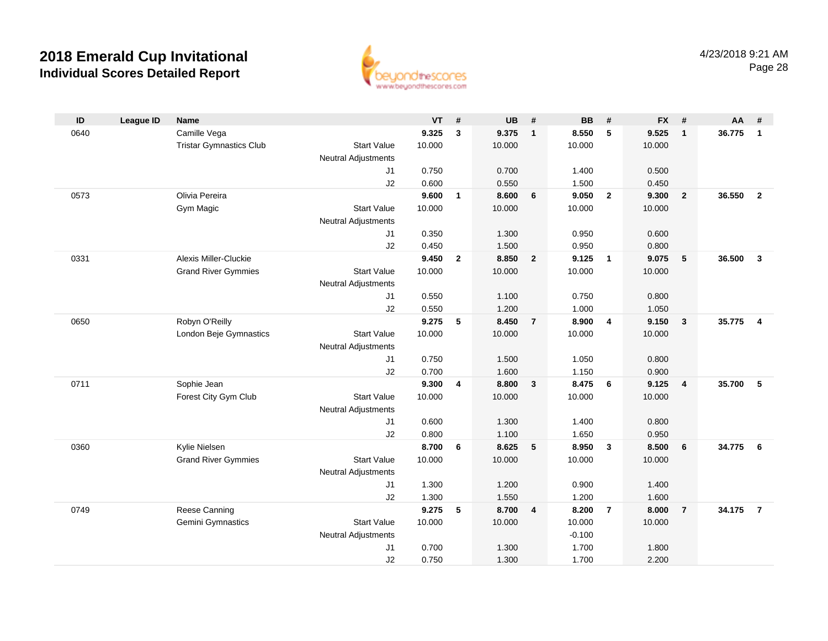

| ID   | League ID | Name                           |                            | VT             | #                       | <b>UB</b>      | #              | <b>BB</b>      | #              | FX #           |                         | AA     | #                       |
|------|-----------|--------------------------------|----------------------------|----------------|-------------------------|----------------|----------------|----------------|----------------|----------------|-------------------------|--------|-------------------------|
| 0640 |           | Camille Vega                   |                            | 9.325          | $\mathbf{3}$            | 9.375          | $\mathbf{1}$   | 8.550          | 5              | 9.525          | $\overline{1}$          | 36.775 | $\mathbf{1}$            |
|      |           | <b>Tristar Gymnastics Club</b> | <b>Start Value</b>         | 10.000         |                         | 10.000         |                | 10.000         |                | 10.000         |                         |        |                         |
|      |           |                                | <b>Neutral Adjustments</b> |                |                         |                |                |                |                |                |                         |        |                         |
|      |           |                                | J1                         | 0.750          |                         | 0.700          |                | 1.400          |                | 0.500          |                         |        |                         |
|      |           |                                | J2                         | 0.600          |                         | 0.550          |                | 1.500          |                | 0.450          |                         |        |                         |
| 0573 |           | Olivia Pereira                 |                            | 9.600          | 1                       | 8.600          | 6              | 9.050          | $\overline{2}$ | 9.300          | $\overline{2}$          | 36.550 | $\overline{2}$          |
|      |           | Gym Magic                      | <b>Start Value</b>         | 10.000         |                         | 10.000         |                | 10.000         |                | 10.000         |                         |        |                         |
|      |           |                                | <b>Neutral Adjustments</b> |                |                         |                |                |                |                |                |                         |        |                         |
|      |           |                                | J1                         | 0.350          |                         | 1.300          |                | 0.950          |                | 0.600          |                         |        |                         |
|      |           |                                | J2                         | 0.450          |                         | 1.500          |                | 0.950          |                | 0.800          |                         |        |                         |
| 0331 |           | Alexis Miller-Cluckie          |                            | 9.450          | $\mathbf{2}$            | 8.850          | $\overline{2}$ | 9.125          | $\overline{1}$ | 9.075          | 5                       | 36.500 | $\overline{\mathbf{3}}$ |
|      |           | <b>Grand River Gymmies</b>     | <b>Start Value</b>         | 10.000         |                         | 10.000         |                | 10.000         |                | 10.000         |                         |        |                         |
|      |           |                                | <b>Neutral Adjustments</b> |                |                         |                |                |                |                |                |                         |        |                         |
|      |           |                                | J1                         | 0.550          |                         | 1.100          |                | 0.750          |                | 0.800          |                         |        |                         |
|      |           |                                | J2                         | 0.550          |                         | 1.200          |                | 1.000          |                | 1.050          |                         |        |                         |
| 0650 |           | Robyn O'Reilly                 |                            | 9.275          | 5                       | 8.450          | $\overline{7}$ | 8.900          | $\overline{4}$ | 9.150          | $\overline{\mathbf{3}}$ | 35.775 | $\boldsymbol{4}$        |
|      |           | London Beje Gymnastics         | <b>Start Value</b>         | 10.000         |                         | 10.000         |                | 10.000         |                | 10.000         |                         |        |                         |
|      |           |                                | <b>Neutral Adjustments</b> |                |                         |                |                |                |                |                |                         |        |                         |
|      |           |                                | J1<br>J2                   | 0.750          |                         | 1.500          |                | 1.050          |                | 0.800          |                         |        |                         |
| 0711 |           | Sophie Jean                    |                            | 0.700<br>9.300 | $\overline{\mathbf{4}}$ | 1.600<br>8.800 | $\mathbf{3}$   | 1.150<br>8.475 | 6              | 0.900<br>9.125 | $\overline{4}$          | 35.700 | -5                      |
|      |           | Forest City Gym Club           | <b>Start Value</b>         | 10.000         |                         | 10.000         |                | 10.000         |                | 10.000         |                         |        |                         |
|      |           |                                | <b>Neutral Adjustments</b> |                |                         |                |                |                |                |                |                         |        |                         |
|      |           |                                | J1                         | 0.600          |                         | 1.300          |                | 1.400          |                | 0.800          |                         |        |                         |
|      |           |                                | J2                         | 0.800          |                         | 1.100          |                | 1.650          |                | 0.950          |                         |        |                         |
| 0360 |           | Kylie Nielsen                  |                            | 8.700          | 6                       | 8.625          | 5              | 8.950          | $\mathbf{3}$   | 8.500          | 6                       | 34.775 | - 6                     |
|      |           | <b>Grand River Gymmies</b>     | <b>Start Value</b>         | 10.000         |                         | 10.000         |                | 10.000         |                | 10.000         |                         |        |                         |
|      |           |                                | <b>Neutral Adjustments</b> |                |                         |                |                |                |                |                |                         |        |                         |
|      |           |                                | J1                         | 1.300          |                         | 1.200          |                | 0.900          |                | 1.400          |                         |        |                         |
|      |           |                                | J2                         | 1.300          |                         | 1.550          |                | 1.200          |                | 1.600          |                         |        |                         |
| 0749 |           | Reese Canning                  |                            | 9.275          | 5                       | 8.700          | $\overline{4}$ | 8.200          | $\overline{7}$ | 8.000          | $\overline{7}$          | 34.175 | $\overline{7}$          |
|      |           | Gemini Gymnastics              | <b>Start Value</b>         | 10.000         |                         | 10.000         |                | 10.000         |                | 10.000         |                         |        |                         |
|      |           |                                | <b>Neutral Adjustments</b> |                |                         |                |                | $-0.100$       |                |                |                         |        |                         |
|      |           |                                | J1                         | 0.700          |                         | 1.300          |                | 1.700          |                | 1.800          |                         |        |                         |
|      |           |                                | J2                         | 0.750          |                         | 1.300          |                | 1.700          |                | 2.200          |                         |        |                         |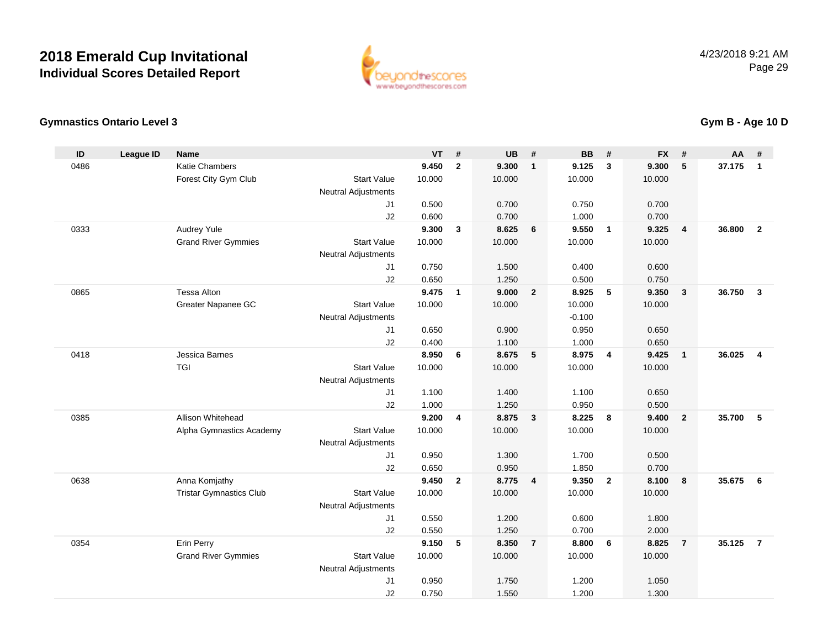

### **Gymnastics Ontario Level 3**

| ID   | <b>League ID</b> | <b>Name</b>                    |                            | <b>VT</b>      | #              | <b>UB</b> | #                       | <b>BB</b> | #                       | <b>FX</b> | #                       | <b>AA</b> | #              |
|------|------------------|--------------------------------|----------------------------|----------------|----------------|-----------|-------------------------|-----------|-------------------------|-----------|-------------------------|-----------|----------------|
| 0486 |                  | <b>Katie Chambers</b>          |                            | 9.450          | $\overline{2}$ | 9.300     | $\mathbf{1}$            | 9.125     | $\mathbf{3}$            | 9.300     | 5                       | 37.175    | $\mathbf{1}$   |
|      |                  | Forest City Gym Club           | <b>Start Value</b>         | 10.000         |                | 10.000    |                         | 10.000    |                         | 10.000    |                         |           |                |
|      |                  |                                | <b>Neutral Adjustments</b> |                |                |           |                         |           |                         |           |                         |           |                |
|      |                  |                                | J <sub>1</sub>             | 0.500          |                | 0.700     |                         | 0.750     |                         | 0.700     |                         |           |                |
|      |                  |                                | J2                         | 0.600          |                | 0.700     |                         | 1.000     |                         | 0.700     |                         |           |                |
| 0333 |                  | Audrey Yule                    |                            | 9.300          | $\mathbf{3}$   | 8.625     | 6                       | 9.550     | $\overline{1}$          | 9.325     | $\overline{\mathbf{4}}$ | 36.800    | $\overline{2}$ |
|      |                  | <b>Grand River Gymmies</b>     | <b>Start Value</b>         | 10.000         |                | 10.000    |                         | 10.000    |                         | 10.000    |                         |           |                |
|      |                  |                                | <b>Neutral Adjustments</b> |                |                |           |                         |           |                         |           |                         |           |                |
|      |                  |                                | J <sub>1</sub>             | 0.750          |                | 1.500     |                         | 0.400     |                         | 0.600     |                         |           |                |
|      |                  |                                | J2                         | 0.650          |                | 1.250     |                         | 0.500     |                         | 0.750     |                         |           |                |
| 0865 |                  | <b>Tessa Alton</b>             |                            | 9.475          | $\mathbf{1}$   | 9.000     | $\overline{2}$          | 8.925     | 5                       | 9.350     | $\mathbf{3}$            | 36.750    | $\mathbf{3}$   |
|      |                  | Greater Napanee GC             | <b>Start Value</b>         | 10.000         |                | 10.000    |                         | 10.000    |                         | 10.000    |                         |           |                |
|      |                  |                                | <b>Neutral Adjustments</b> |                |                |           |                         | $-0.100$  |                         |           |                         |           |                |
|      |                  |                                | J1                         | 0.650          |                | 0.900     |                         | 0.950     |                         | 0.650     |                         |           |                |
|      |                  |                                | J2                         | 0.400          |                | 1.100     |                         | 1.000     |                         | 0.650     |                         |           |                |
| 0418 |                  | Jessica Barnes                 |                            | 8.950          | 6              | 8.675     | 5                       | 8.975     | $\overline{\mathbf{4}}$ | 9.425     | $\overline{1}$          | 36.025    | $\overline{4}$ |
|      |                  | <b>TGI</b>                     | <b>Start Value</b>         | 10.000         |                | 10.000    |                         | 10.000    |                         | 10.000    |                         |           |                |
|      |                  |                                | <b>Neutral Adjustments</b> |                |                |           |                         |           |                         |           |                         |           |                |
|      |                  |                                | J1                         | 1.100          |                | 1.400     |                         | 1.100     |                         | 0.650     |                         |           |                |
|      |                  |                                | J2                         | 1.000          |                | 1.250     |                         | 0.950     |                         | 0.500     |                         |           |                |
| 0385 |                  | Allison Whitehead              |                            | 9.200          | 4              | 8.875     | $\overline{\mathbf{3}}$ | 8.225     | 8                       | 9.400     | $\overline{2}$          | 35.700    | 5              |
|      |                  | Alpha Gymnastics Academy       | <b>Start Value</b>         | 10.000         |                | 10.000    |                         | 10.000    |                         | 10.000    |                         |           |                |
|      |                  |                                | <b>Neutral Adjustments</b> |                |                |           |                         |           |                         |           |                         |           |                |
|      |                  |                                | J1                         | 0.950          |                | 1.300     |                         | 1.700     |                         | 0.500     |                         |           |                |
|      |                  |                                | J2                         | 0.650<br>9.450 |                | 0.950     |                         | 1.850     |                         | 0.700     |                         |           |                |
| 0638 |                  | Anna Komjathy                  |                            |                | $\mathbf{2}$   | 8.775     | $\overline{\mathbf{4}}$ | 9.350     | $\overline{2}$          | 8.100     | 8                       | 35.675    | 6              |
|      |                  | <b>Tristar Gymnastics Club</b> | <b>Start Value</b>         | 10.000         |                | 10.000    |                         | 10.000    |                         | 10.000    |                         |           |                |
|      |                  |                                | <b>Neutral Adjustments</b> | 0.550          |                | 1.200     |                         | 0.600     |                         | 1.800     |                         |           |                |
|      |                  |                                | J1<br>J2                   | 0.550          |                | 1.250     |                         | 0.700     |                         | 2.000     |                         |           |                |
| 0354 |                  | Erin Perry                     |                            | 9.150          | 5              | 8.350     | $\overline{7}$          | 8.800     | 6                       | 8.825     | $\overline{7}$          | 35.125    | $\overline{7}$ |
|      |                  | <b>Grand River Gymmies</b>     | <b>Start Value</b>         | 10.000         |                | 10.000    |                         | 10.000    |                         | 10.000    |                         |           |                |
|      |                  |                                | <b>Neutral Adjustments</b> |                |                |           |                         |           |                         |           |                         |           |                |
|      |                  |                                | J <sub>1</sub>             | 0.950          |                | 1.750     |                         | 1.200     |                         | 1.050     |                         |           |                |
|      |                  |                                | J2                         | 0.750          |                | 1.550     |                         | 1.200     |                         | 1.300     |                         |           |                |
|      |                  |                                |                            |                |                |           |                         |           |                         |           |                         |           |                |

### **Gym B - Age 10 D**